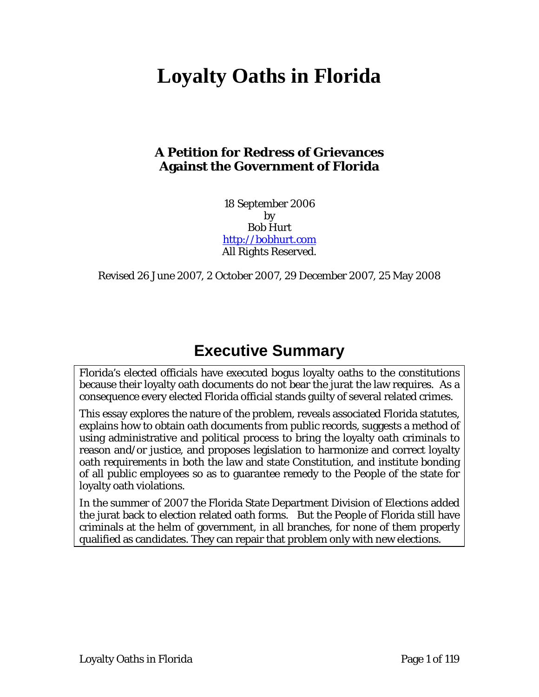# **Loyalty Oaths in Florida**

# **A Petition for Redress of Grievances Against the Government of Florida**

18 September 2006 by Bob Hurt [http://bobhurt.com](http://bobhurt.com/) All Rights Reserved.

Revised 26 June 2007, 2 October 2007, 29 December 2007, 25 May 2008

# **Executive Summary**

Florida's elected officials have executed bogus loyalty oaths to the constitutions because their loyalty oath documents do not bear the jurat the law requires. As a consequence every elected Florida official stands guilty of several related crimes.

This essay explores the nature of the problem, reveals associated Florida statutes, explains how to obtain oath documents from public records, suggests a method of using administrative and political process to bring the loyalty oath criminals to reason and/or justice, and proposes legislation to harmonize and correct loyalty oath requirements in both the law and state Constitution, and institute bonding of all public employees so as to guarantee remedy to the People of the state for loyalty oath violations.

In the summer of 2007 the Florida State Department Division of Elections added the jurat back to election related oath forms. But the People of Florida still have criminals at the helm of government, in all branches, for none of them properly qualified as candidates. They can repair that problem only with new elections.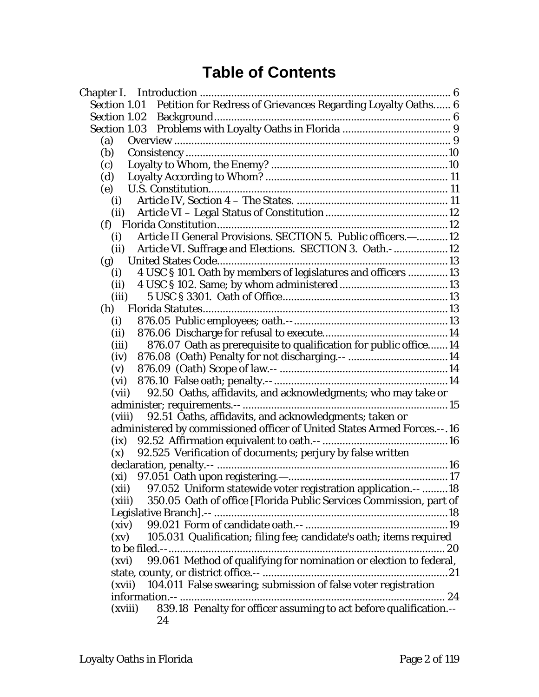# **Table of Contents**

| Petition for Redress of Grievances Regarding Loyalty Oaths 6<br>Section 1.01   |  |
|--------------------------------------------------------------------------------|--|
|                                                                                |  |
| Section 1.03                                                                   |  |
| (a)                                                                            |  |
| (b)                                                                            |  |
| (c)                                                                            |  |
| (d)                                                                            |  |
| (e)                                                                            |  |
| (i)                                                                            |  |
| (ii)                                                                           |  |
|                                                                                |  |
| Article II General Provisions. SECTION 5. Public officers.--12<br>(i)          |  |
| Article VI. Suffrage and Elections. SECTION 3. Oath.- 12<br>(ii)               |  |
| (g)                                                                            |  |
| 4 USC § 101. Oath by members of legislatures and officers  13<br>(i)           |  |
| (ii)                                                                           |  |
| (iii)                                                                          |  |
| (h)                                                                            |  |
| (i)                                                                            |  |
| (ii)                                                                           |  |
| 876.07 Oath as prerequisite to qualification for public office 14<br>(iii)     |  |
| (iv)                                                                           |  |
| (v)                                                                            |  |
| (vi)<br>92.50 Oaths, affidavits, and acknowledgments; who may take or<br>(vii) |  |
|                                                                                |  |
| 92.51 Oaths, affidavits, and acknowledgments; taken or<br>(viii)               |  |
| administered by commissioned officer of United States Armed Forces.--. 16      |  |
| (ix)                                                                           |  |
| 92.525 Verification of documents; perjury by false written<br>(x)              |  |
|                                                                                |  |
| (xi)                                                                           |  |
| 97.052 Uniform statewide voter registration application.-- 18<br>(xii)         |  |
| 350.05 Oath of office [Florida Public Services Commission, part of<br>(xiii)   |  |
|                                                                                |  |
| (xiv)                                                                          |  |
| 105.031 Qualification; filing fee; candidate's oath; items required<br>(xv)    |  |
| to be filed.--                                                                 |  |
| 99.061 Method of qualifying for nomination or election to federal,<br>(xvi)    |  |
|                                                                                |  |
| 104.011 False swearing; submission of false voter registration<br>(xvii)       |  |
|                                                                                |  |
| 839.18 Penalty for officer assuming to act before qualification.--<br>(xviii)  |  |
| 24                                                                             |  |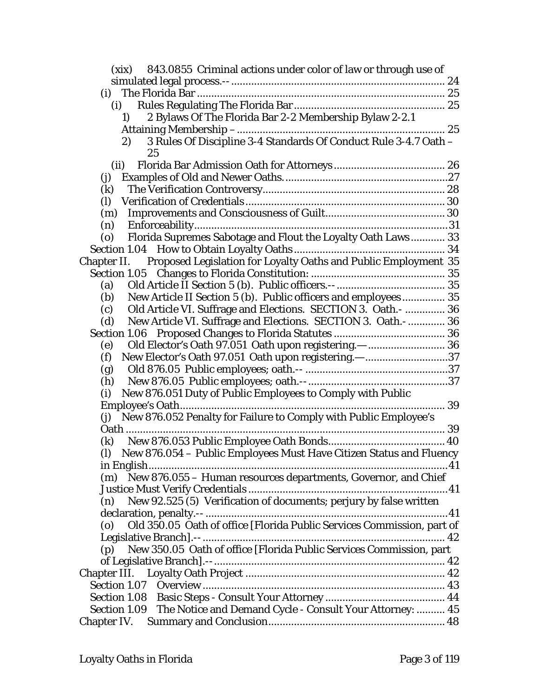| (xix) 843.0855 Criminal actions under color of law or through use of              |  |
|-----------------------------------------------------------------------------------|--|
|                                                                                   |  |
|                                                                                   |  |
| (i)                                                                               |  |
| 2 Bylaws Of The Florida Bar 2-2 Membership Bylaw 2-2.1<br>1)                      |  |
|                                                                                   |  |
| 3 Rules Of Discipline 3-4 Standards Of Conduct Rule 3-4.7 Oath -<br>2)            |  |
| 25                                                                                |  |
| (ii)                                                                              |  |
| (j)                                                                               |  |
| $\left( \mathbf{k}\right)$                                                        |  |
| (I)                                                                               |  |
| (m)                                                                               |  |
| (n)                                                                               |  |
| Florida Supremes Sabotage and Flout the Loyalty Oath Laws 33<br>(o)               |  |
|                                                                                   |  |
| Chapter II. Proposed Legislation for Loyalty Oaths and Public Employment 35       |  |
|                                                                                   |  |
| (a)                                                                               |  |
| New Article II Section 5 (b). Public officers and employees 35<br>(b)             |  |
| Old Article VI. Suffrage and Elections. SECTION 3. Oath. -  36<br>(c)             |  |
| New Article VI. Suffrage and Elections. SECTION 3. Oath.- 36<br>(d)               |  |
| Old Elector's Oath 97.051 Oath upon registering. -  36<br>(e)                     |  |
| New Elector's Oath 97.051 Oath upon registering. - 37<br>(f)                      |  |
| (g)                                                                               |  |
| (h)                                                                               |  |
| New 876.051 Duty of Public Employees to Comply with Public<br>(i)                 |  |
| Employee's Oath<br>39                                                             |  |
| New 876.052 Penalty for Failure to Comply with Public Employee's<br>(i)           |  |
|                                                                                   |  |
| $\left( k\right)$                                                                 |  |
| New 876.054 - Public Employees Must Have Citizen Status and Fluency<br><b>(I)</b> |  |
|                                                                                   |  |
| (m) New 876.055 - Human resources departments, Governor, and Chief                |  |
|                                                                                   |  |
| (n) New 92.525 (5) Verification of documents; perjury by false written            |  |
|                                                                                   |  |
| Old 350.05 Oath of office [Florida Public Services Commission, part of<br>(o)     |  |
|                                                                                   |  |
| (p) New 350.05 Oath of office [Florida Public Services Commission, part           |  |
|                                                                                   |  |
|                                                                                   |  |
|                                                                                   |  |
|                                                                                   |  |
| Section 1.09 The Notice and Demand Cycle - Consult Your Attorney:  45             |  |
| Chapter IV.                                                                       |  |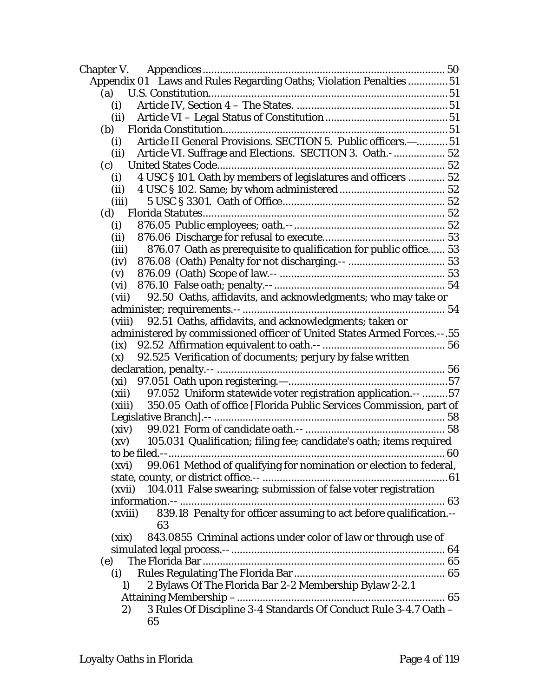| Appendix 01 Laws and Rules Regarding Oaths; Violation Penalties  51                  |    |
|--------------------------------------------------------------------------------------|----|
| (a)                                                                                  |    |
| (i)                                                                                  |    |
| (ii)                                                                                 |    |
| (b)                                                                                  |    |
| Article II General Provisions. SECTION 5. Public officers.-- 51<br>(i)               |    |
| Article VI. Suffrage and Elections. SECTION 3. Oath.- 52<br>(ii)                     |    |
| (c)                                                                                  |    |
| 4 USC § 101. Oath by members of legislatures and officers  52<br>(i)                 |    |
| (ii)                                                                                 |    |
| (iii)                                                                                |    |
| (d)                                                                                  |    |
| (i)                                                                                  |    |
| (ii)                                                                                 |    |
| 876.07 Oath as prerequisite to qualification for public office 53<br>(iii)           |    |
| (iv)                                                                                 |    |
| (v)                                                                                  |    |
| (vi)                                                                                 |    |
| 92.50 Oaths, affidavits, and acknowledgments; who may take or<br>(vii)               |    |
|                                                                                      |    |
| 92.51 Oaths, affidavits, and acknowledgments; taken or<br>(viii)                     |    |
| administered by commissioned officer of United States Armed Forces.--. 55            |    |
| (ix)                                                                                 |    |
| 92.525 Verification of documents; perjury by false written<br>(x)                    |    |
|                                                                                      |    |
|                                                                                      |    |
| 97.052 Uniform statewide voter registration application.--  57<br>(xii)              |    |
| 350.05 Oath of office [Florida Public Services Commission, part of<br>(xiii)         |    |
|                                                                                      |    |
| (xiv)<br>105.031 Qualification; filing fee; candidate's oath; items required<br>(xv) |    |
|                                                                                      |    |
| 99.061 Method of qualifying for nomination or election to federal,<br>(xvi)          |    |
|                                                                                      |    |
| 104.011 False swearing; submission of false voter registration<br>(xvii)             |    |
|                                                                                      | 63 |
| 839.18 Penalty for officer assuming to act before qualification.--<br>(xviii)        |    |
| 63                                                                                   |    |
| 843.0855 Criminal actions under color of law or through use of<br>(xix)              |    |
|                                                                                      |    |
| (e)                                                                                  |    |
| (i)                                                                                  |    |
| 2 Bylaws Of The Florida Bar 2-2 Membership Bylaw 2-2.1<br>1)                         |    |
|                                                                                      |    |
| 3 Rules Of Discipline 3-4 Standards Of Conduct Rule 3-4.7 Oath -<br>2)               |    |
| 65                                                                                   |    |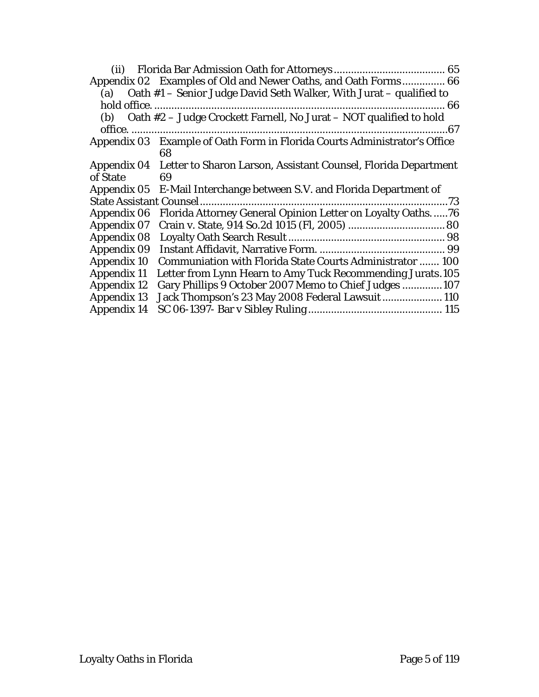|             | Appendix 02 Examples of Old and Newer Oaths, and Oath Forms 66             |
|-------------|----------------------------------------------------------------------------|
|             | (a) Oath #1 - Senior Judge David Seth Walker, With Jurat - qualified to    |
|             |                                                                            |
| (b)         | Oath #2 - Judge Crockett Farnell, No Jurat - NOT qualified to hold         |
|             |                                                                            |
|             | Appendix 03 Example of Oath Form in Florida Courts Administrator's Office  |
|             | 68                                                                         |
|             | Appendix 04 Letter to Sharon Larson, Assistant Counsel, Florida Department |
| of State    | 69                                                                         |
|             | Appendix 05 E-Mail Interchange between S.V. and Florida Department of      |
|             | .73                                                                        |
|             | Appendix 06 Florida Attorney General Opinion Letter on Loyalty Oaths76     |
| Appendix 07 |                                                                            |
| Appendix 08 |                                                                            |
| Appendix 09 |                                                                            |
| Appendix 10 | Communiation with Florida State Courts Administrator  100                  |
| Appendix 11 | Letter from Lynn Hearn to Amy Tuck Recommending Jurats.105                 |
| Appendix 12 | Gary Phillips 9 October 2007 Memo to Chief Judges  107                     |
| Appendix 13 | Jack Thompson's 23 May 2008 Federal Lawsuit  110                           |
| Appendix 14 |                                                                            |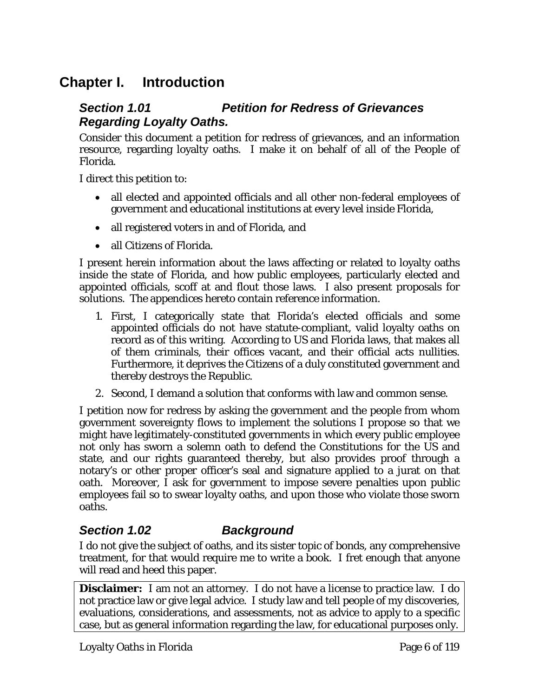# <span id="page-5-0"></span>**Chapter I. Introduction**

# <span id="page-5-1"></span>*Section 1.01 Petition for Redress of Grievances Regarding Loyalty Oaths.*

Consider this document a petition for redress of grievances, and an information resource, regarding loyalty oaths. I make it on behalf of all of the People of Florida.

I direct this petition to:

- all elected and appointed officials and all other non-federal employees of government and educational institutions at every level inside Florida,
- all registered voters in and of Florida, and
- all Citizens of Florida.

I present herein information about the laws affecting or related to loyalty oaths inside the state of Florida, and how public employees, particularly elected and appointed officials, scoff at and flout those laws. I also present proposals for solutions. The appendices hereto contain reference information.

- 1. First, I categorically state that Florida's elected officials and some appointed officials do not have statute-compliant, valid loyalty oaths on record as of this writing. According to US and Florida laws, that makes all of them criminals, their offices vacant, and their official acts nullities. Furthermore, it deprives the Citizens of a duly constituted government and thereby destroys the Republic.
- 2. Second, I demand a solution that conforms with law and common sense.

I petition now for redress by asking the government and the people from whom government sovereignty flows to implement the solutions I propose so that we might have legitimately-constituted governments in which every public employee not only has sworn a solemn oath to defend the Constitutions for the US and state, and our rights guaranteed thereby, but also provides proof through a notary's or other proper officer's seal and signature applied to a jurat on that oath. Moreover, I ask for government to impose severe penalties upon public employees fail so to swear loyalty oaths, and upon those who violate those sworn oaths.

# <span id="page-5-2"></span>*Section 1.02 Background*

I do not give the subject of oaths, and its sister topic of bonds, any comprehensive treatment, for that would require me to write a book. I fret enough that anyone will read and heed this paper.

**Disclaimer:** I am not an attorney. I do not have a license to practice law. I do not practice law or give legal advice. I study law and tell people of my discoveries, evaluations, considerations, and assessments, not as advice to apply to a specific case, but as general information regarding the law, for educational purposes only.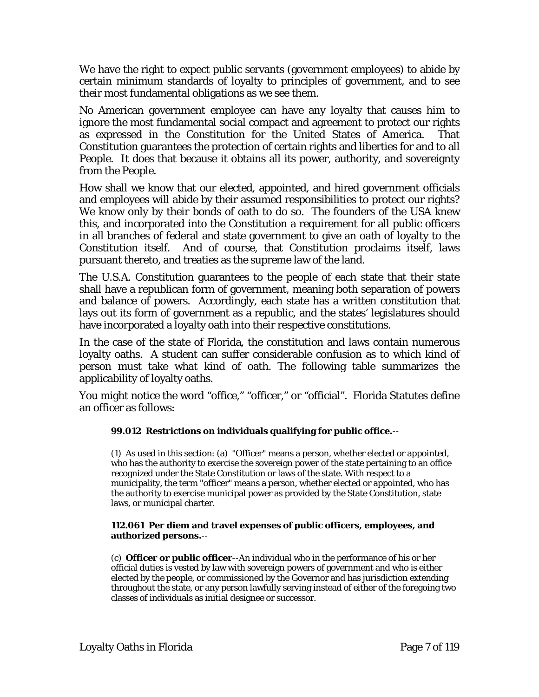We have the right to expect public servants (government employees) to abide by certain minimum standards of loyalty to principles of government, and to see their most fundamental obligations as we see them.

No American government employee can have any loyalty that causes him to ignore the most fundamental social compact and agreement to protect our rights as expressed in the Constitution for the United States of America. That Constitution guarantees the protection of certain rights and liberties for and to all People. It does that because it obtains all its power, authority, and sovereignty from the People.

How shall we know that our elected, appointed, and hired government officials and employees will abide by their assumed responsibilities to protect our rights? We know only by their bonds of oath to do so. The founders of the USA knew this, and incorporated into the Constitution a requirement for all public officers in all branches of federal and state government to give an oath of loyalty to the Constitution itself. And of course, that Constitution proclaims itself, laws pursuant thereto, and treaties as the supreme law of the land.

The U.S.A. Constitution guarantees to the people of each state that their state shall have a republican form of government, meaning both separation of powers and balance of powers. Accordingly, each state has a written constitution that lays out its form of government as a republic, and the states' legislatures should have incorporated a loyalty oath into their respective constitutions.

In the case of the state of Florida, the constitution and laws contain numerous loyalty oaths. A student can suffer considerable confusion as to which kind of person must take what kind of oath. The following table summarizes the applicability of loyalty oaths.

You might notice the word "office," "officer," or "official". Florida Statutes define an officer as follows:

#### **99.012 Restrictions on individuals qualifying for public office.**--

(1) As used in this section: (a) "Officer" means a person, whether elected or appointed, who has the authority to exercise the sovereign power of the state pertaining to an office recognized under the State Constitution or laws of the state. With respect to a municipality, the term "officer" means a person, whether elected or appointed, who has the authority to exercise municipal power as provided by the State Constitution, state laws, or municipal charter.

#### **112.061 Per diem and travel expenses of public officers, employees, and authorized persons.**--

(c) **Officer or public officer**--An individual who in the performance of his or her official duties is vested by law with sovereign powers of government and who is either elected by the people, or commissioned by the Governor and has jurisdiction extending throughout the state, or any person lawfully serving instead of either of the foregoing two classes of individuals as initial designee or successor.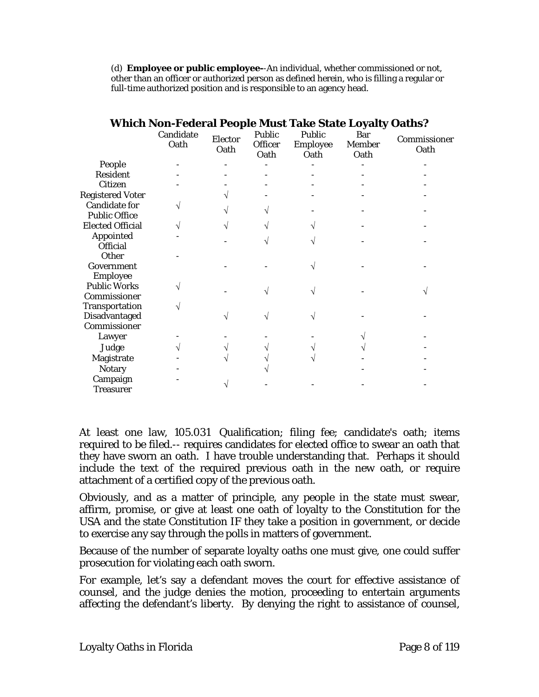(d) **Employee or public employee-**-An individual, whether commissioned or not, other than an officer or authorized person as defined herein, who is filling a regular or full-time authorized position and is responsible to an agency head.

|                                              | Candidate<br>Oath | Elector<br>Oath | Public<br>Officer<br>Oath | Public<br>Employee<br>Oath | ັ<br><b>Bar</b><br>Member<br>Oath | Commissioner<br>Oath |
|----------------------------------------------|-------------------|-----------------|---------------------------|----------------------------|-----------------------------------|----------------------|
| People                                       |                   |                 |                           |                            |                                   |                      |
| Resident                                     |                   |                 |                           |                            |                                   |                      |
| Citizen                                      |                   |                 |                           |                            |                                   |                      |
| <b>Registered Voter</b>                      |                   |                 |                           |                            |                                   |                      |
| <b>Candidate for</b><br><b>Public Office</b> |                   |                 |                           |                            |                                   |                      |
| <b>Elected Official</b>                      |                   |                 |                           |                            |                                   |                      |
| Appointed<br><b>Official</b>                 |                   |                 |                           |                            |                                   |                      |
| Other                                        |                   |                 |                           |                            |                                   |                      |
| Government<br>Employee                       |                   |                 |                           |                            |                                   |                      |
| <b>Public Works</b>                          | V                 |                 |                           |                            |                                   |                      |
| Commissioner<br>Transportation               |                   |                 |                           |                            |                                   |                      |
| Disadvantaged<br>Commissioner                |                   |                 |                           |                            |                                   |                      |
| Lawyer                                       |                   |                 |                           |                            |                                   |                      |
| Judge                                        |                   |                 |                           |                            |                                   |                      |
| Magistrate                                   |                   |                 |                           |                            |                                   |                      |
| <b>Notary</b>                                |                   |                 |                           |                            |                                   |                      |
| Campaign<br><b>Treasurer</b>                 |                   |                 |                           |                            |                                   |                      |

#### **Which Non-Federal People Must Take State Loyalty Oaths?**

At least one law, 105.031 [Qualification; filing fee; candidate's oath; items](#page-59-0)  [required to be filed.--](#page-59-0) requires candidates for elected office to swear an oath that they have sworn an oath. I have trouble understanding that. Perhaps it should include the text of the required previous oath in the new oath, or require attachment of a certified copy of the previous oath.

Obviously, and as a matter of principle, any people in the state must swear, affirm, promise, or give at least one oath of loyalty to the Constitution for the USA and the state Constitution IF they take a position in government, or decide to exercise any say through the polls in matters of government.

Because of the number of separate loyalty oaths one must give, one could suffer prosecution for violating each oath sworn.

For example, let's say a defendant moves the court for effective assistance of counsel, and the judge denies the motion, proceeding to entertain arguments affecting the defendant's liberty. By denying the right to assistance of counsel,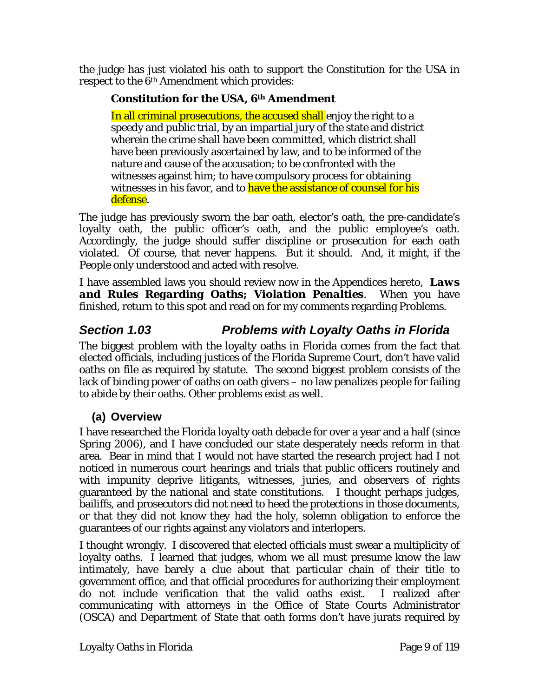the judge has just violated his oath to support the Constitution for the USA in respect to the 6th Amendment which provides:

# **Constitution for the USA, 6th Amendment**

In all criminal prosecutions, the accused shall enjoy the right to a speedy and public trial, by an impartial jury of the state and district wherein the crime shall have been committed, which district shall have been previously ascertained by law, and to be informed of the nature and cause of the accusation; to be confronted with the witnesses against him; to have compulsory process for obtaining witnesses in his favor, and to have the assistance of counsel for his defense.

The judge has previously sworn the bar oath, elector's oath, the pre-candidate's loyalty oath, the public officer's oath, and the public employee's oath. Accordingly, the judge should suffer discipline or prosecution for each oath violated. Of course, that never happens. But it should. And, it might, if the People only understood and acted with resolve.

I have assembled laws you should review now in the Appendices hereto, *[Laws](#page-50-0)  [and Rules Regarding Oaths; Violation Penalties](#page-50-0)*. When you have finished, return to this spot and read on for my comments regarding Problems.

# <span id="page-8-0"></span>*Section 1.03 Problems with Loyalty Oaths in Florida*

The biggest problem with the loyalty oaths in Florida comes from the fact that elected officials, including justices of the Florida Supreme Court, don't have valid oaths on file as required by statute. The second biggest problem consists of the lack of binding power of oaths on oath givers – no law penalizes people for failing to abide by their oaths. Other problems exist as well.

# <span id="page-8-1"></span>**(a) Overview**

I have researched the Florida loyalty oath debacle for over a year and a half (since Spring 2006), and I have concluded our state desperately needs reform in that area. Bear in mind that I would not have started the research project had I not noticed in numerous court hearings and trials that public officers routinely and with impunity deprive litigants, witnesses, juries, and observers of rights guaranteed by the national and state constitutions. I thought perhaps judges, bailiffs, and prosecutors did not need to heed the protections in those documents, or that they did not know *they* had the holy, solemn obligation to enforce the guarantees of our rights against any violators and interlopers.

I thought wrongly. I discovered that elected officials must swear a multiplicity of loyalty oaths. I learned that judges, whom we all must presume know the law intimately, have barely a clue about that particular chain of their title to government office, and that official procedures for authorizing their employment do not include verification that the valid oaths exist. I realized after communicating with attorneys in the Office of State Courts Administrator (OSCA) and Department of State that oath forms don't have jurats required by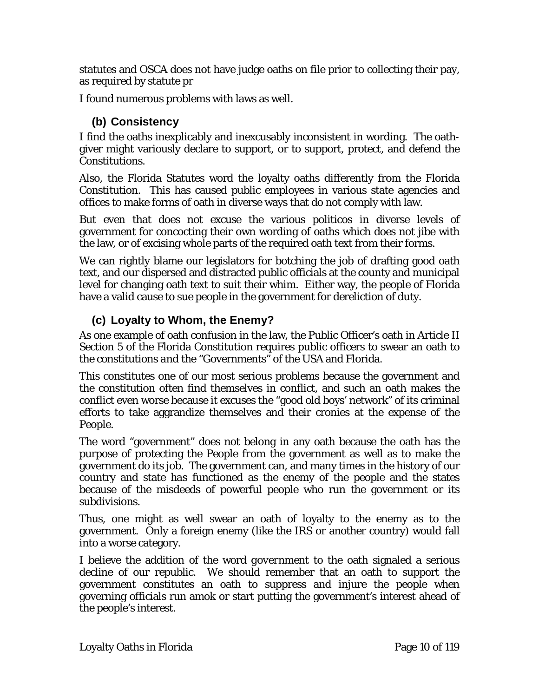statutes and OSCA does not have judge oaths on file prior to collecting their pay, as required by statute pr

I found numerous problems with laws as well.

# <span id="page-9-0"></span>**(b) Consistency**

I find the oaths inexplicably and inexcusably inconsistent in wording. The oathgiver might variously declare to support, or to support, protect, and defend the Constitutions.

Also, the Florida Statutes word the loyalty oaths differently from the Florida Constitution. This has caused public employees in various state agencies and offices to make forms of oath in diverse ways that do not comply with law.

But even that does not excuse the various politicos in diverse levels of government for concocting their own wording of oaths which does not jibe with the law, or of excising whole parts of the required oath text from their forms.

We can rightly blame our legislators for botching the job of drafting good oath text, and our dispersed and distracted public officials at the county and municipal level for changing oath text to suit their whim. Either way, the people of Florida have a valid cause to sue people in the government for dereliction of duty.

# <span id="page-9-1"></span>**(c) Loyalty to Whom, the Enemy?**

As one example of oath confusion in the law, the Public Officer's oath in Article II Section 5 of the Florida Constitution requires public officers to swear an oath to the constitutions *and* the "Governments" of the USA and Florida.

This constitutes one of our most serious problems because the government and the constitution often find themselves in conflict, and such an oath makes the conflict even worse because it excuses the "good old boys' network" of its criminal efforts to take aggrandize themselves and their cronies at the expense of the People.

The word "government" does not belong in any oath because the oath has the purpose of protecting the People *from* the government as well as to make the government do its job. The government can, and many times in the history of our country and state *has* functioned as the enemy of the people and the states because of the misdeeds of powerful people who run the government or its subdivisions.

Thus, one might as well swear an oath of loyalty to the enemy as to the government. Only a foreign enemy (like the IRS or another country) would fall into a worse category.

I believe the addition of the word *government* to the oath signaled a serious decline of our republic. We should remember that an oath to support the government constitutes an oath to suppress and injure the people when governing officials run amok or start putting the government's interest ahead of the people's interest.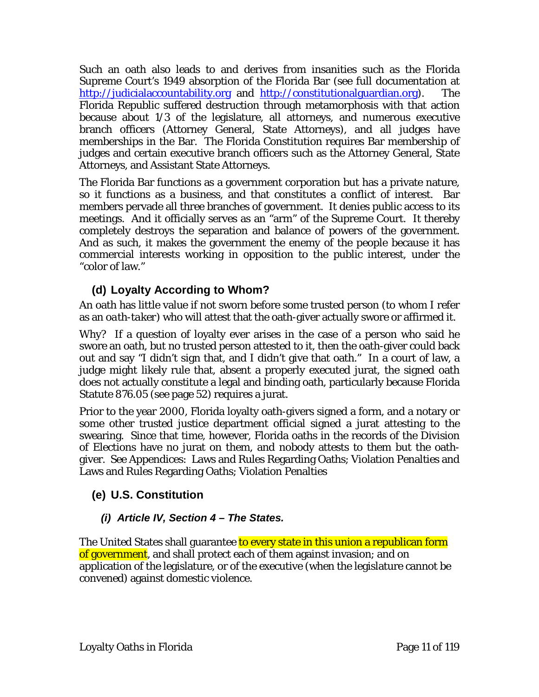Such an oath also leads to and derives from insanities such as the Florida Supreme Court's 1949 absorption of the Florida Bar (see full documentation at [http://judicialaccountability.org](http://judicialaccountability.org/) and [http://constitutionalguardian.org\)](http://constitutionalguardian.org/). The Florida Republic suffered destruction through metamorphosis with that action because about 1/3 of the legislature, all attorneys, and numerous executive branch officers (Attorney General, State Attorneys), and all judges have memberships in the Bar. The Florida Constitution requires Bar membership of judges and certain executive branch officers such as the Attorney General, State Attorneys, and Assistant State Attorneys.

The Florida Bar functions as a government corporation but has a private nature, so it functions as a business, and that constitutes a conflict of interest. Bar members pervade all three branches of government. It denies public access to its meetings. And it officially serves as an "arm" of the Supreme Court. It thereby completely destroys the separation and balance of powers of the government. And as such, it makes the government the enemy of the people because it has commercial interests working in opposition to the public interest, under the "color of law."

# <span id="page-10-0"></span>**(d) Loyalty According to Whom?**

An oath has little value if not sworn before some trusted person (to whom I refer as an *oath-taker*) who will attest that the oath-giver actually swore or affirmed it.

Why? If a question of loyalty ever arises in the case of a person who said he swore an oath, but no trusted person attested to it, then the oath-giver could back out and say "I didn't sign that, and I didn't give that oath." In a court of law, a judge might likely rule that, absent a properly executed jurat, the signed oath does not actually constitute a legal and binding oath, particularly because Florida Statute 876.05 (see page [52\)](#page-51-6) requires a jurat.

Prior to the year 2000, Florida loyalty oath-givers signed a form, and a notary or some other trusted justice department official signed a jurat attesting to the swearing. Since that time, however, Florida oaths in the records of the Division of Elections have no jurat on them, and nobody attests to them but the oathgiver. See Appendices: Laws [and Rules Regarding Oaths; Violation Penalties](#page-50-0) and Laws [and Rules Regarding Oaths; Violation Penalties](#page-50-0)

# <span id="page-10-2"></span><span id="page-10-1"></span>**(e) [U.S. Constitution](#page-50-0)**

# *(i) [Article IV, Section 4](#page-50-0) – The States.*

The United States shall guarantee to every state in this union a republican form of government, and shall protect each of them against invasion; and on [application of the legislature, or of the executive \(when the legislature cannot be](#page-50-0)  [convened\) against domestic violence.](#page-50-0)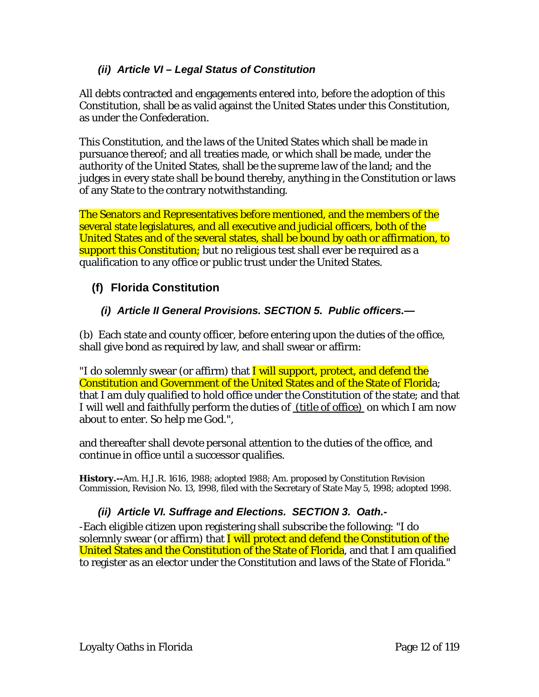#### <span id="page-11-0"></span>*(ii) Article VI – Legal Status of Constitution*

All debts contracted and engagements entered into, before the adoption of this Constitution, shall be as valid against the United States under this Constitution, as under the Confederation.

This Constitution, and the laws of the United States which shall be made in pursuance thereof; and all treaties made, or which shall be made, under the authority of the United States, shall be the supreme law of the land; and the judges in every state shall be bound thereby, anything in the Constitution or laws of any State to the contrary notwithstanding.

The Senators and Representatives before mentioned, and the members of the several state legislatures, and all executive and judicial officers, both of the United States and of the several states, shall be bound by oath or affirmation, to support this Constitution; but no religious test shall ever be required as a qualification to any office or public trust under the United States.

# <span id="page-11-2"></span><span id="page-11-1"></span>**(f) Florida Constitution**

# *(i) Article II General Provisions. SECTION 5. Public officers.—*

(b) Each state and county officer, before entering upon the duties of the office, shall give bond as required by law, and shall swear or affirm:

"I do solemnly swear (or affirm) that **I will support, protect, and defend the** Constitution and Government of the United States and of the State of Florida; that I am duly qualified to hold office under the Constitution of the state; and that I will well and faithfully perform the duties of <u>(title of office)</u> on which I am now about to enter. So help me God.",

and thereafter shall devote personal attention to the duties of the office, and continue in office until a successor qualifies.

**History.--**Am. H.J.R. 1616, 1988; adopted 1988; Am. proposed by Constitution Revision Commission, Revision No. 13, 1998, filed with the Secretary of State May 5, 1998; adopted 1998.

#### *(ii) Article VI. Suffrage and Elections. SECTION 3. Oath.-*

<span id="page-11-3"></span>-Each eligible citizen upon registering shall subscribe the following: "I do solemnly swear (or affirm) that **I will protect and defend the Constitution of the** United States and the Constitution of the State of Florida, and that I am qualified to register as an elector under the Constitution and laws of the State of Florida."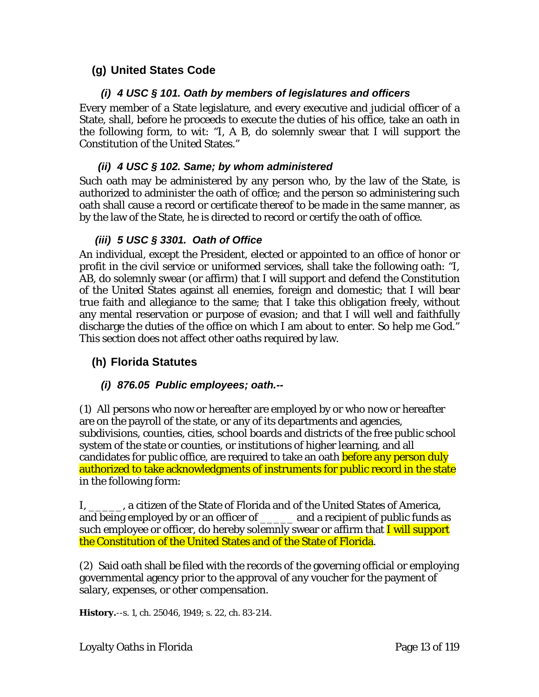## <span id="page-12-1"></span><span id="page-12-0"></span>**(g) United States Code**

#### *(i) 4 USC § 101. Oath by members of legislatures and officers*

Every member of a State legislature, and every executive and judicial officer of a State, shall, before he proceeds to execute the duties of his office, take an oath in the following form, to wit: "I, A B, do solemnly swear that I will support the Constitution of the United States."

#### *(ii) 4 USC § 102. Same; by whom administered*

<span id="page-12-2"></span>Such oath may be administered by any person who, by the law of the State, is authorized to administer the oath of office; and the person so administering such oath shall cause a record or certificate thereof to be made in the same manner, as by the law of the State, he is directed to record or certify the oath of office.

#### <span id="page-12-3"></span>*(iii) 5 USC § 3301. Oath of Office*

An individual, except the President, elected or appointed to an office of honor or profit in the civil service or uniformed services, shall take the following oath: "I, AB, do solemnly swear (or affirm) that I will support and defend the Constitution of the United States against all enemies, foreign and domestic; that I will bear true faith and allegiance to the same; that I take this obligation freely, without any mental reservation or purpose of evasion; and that I will well and faithfully discharge the duties of the office on which I am about to enter. So help me God." This section does not affect other oaths required by law.

#### <span id="page-12-5"></span><span id="page-12-4"></span>**(h) Florida Statutes**

#### *(i) 876.05 Public employees; oath.--*

(1) All persons who now or hereafter are employed by or who now or hereafter are on the payroll of the state, or any of its departments and agencies, subdivisions, counties, cities, school boards and districts of the free public school system of the state or counties, or institutions of higher learning, and all candidates for public office, are required to take an oath **before any person duly** authorized to take acknowledgments of instruments for public record in the state in the following form:

I, \_\_\_\_\_, a citizen of the State of Florida and of the United States of America, and being employed by or an officer of \_\_\_\_\_\_ and a recipient of public funds as such employee or officer, do hereby solemnly swear or affirm that **I will support** the Constitution of the United States and of the State of Florida.

(2) Said oath shall be filed with the records of the governing official or employing governmental agency prior to the approval of any voucher for the payment of salary, expenses, or other compensation.

**History.**--s. 1, ch. 25046, 1949; s. 22, ch. 83-214.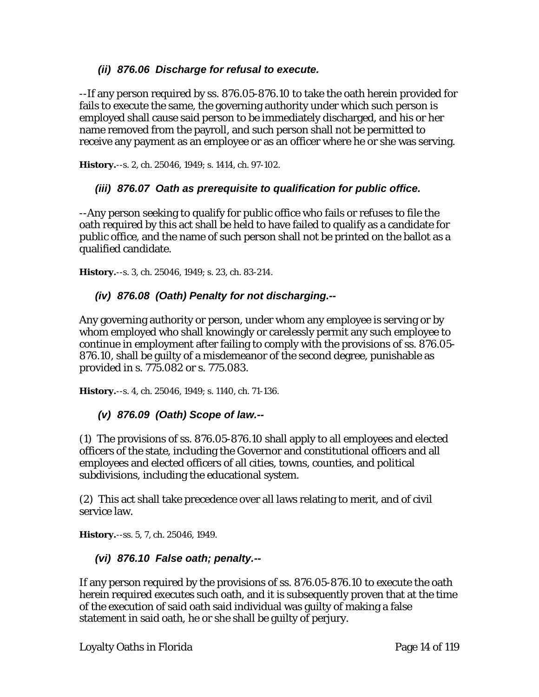#### <span id="page-13-0"></span>*(ii) 876.06 Discharge for refusal to execute.*

--If any person required by ss. 876.05-876.10 to take the oath herein provided for fails to execute the same, the governing authority under which such person is employed shall cause said person to be immediately discharged, and his or her name removed from the payroll, and such person shall not be permitted to receive any payment as an employee or as an officer where he or she was serving.

**History.**--s. 2, ch. 25046, 1949; s. 1414, ch. 97-102.

#### <span id="page-13-1"></span>*(iii) 876.07 Oath as prerequisite to qualification for public office.*

--Any person seeking to qualify for public office who fails or refuses to file the oath required by this act shall be held to have failed to qualify as a candidate for public office, and the name of such person shall not be printed on the ballot as a qualified candidate.

**History.**--s. 3, ch. 25046, 1949; s. 23, ch. 83-214.

#### <span id="page-13-2"></span>*(iv) 876.08 (Oath) Penalty for not discharging.--*

Any governing authority or person, under whom any employee is serving or by whom employed who shall knowingly or carelessly permit any such employee to continue in employment after failing to comply with the provisions of ss. 876.05- 876.10, shall be guilty of a misdemeanor of the second degree, punishable as provided in s. 775.082 or s. 775.083.

**History.**--s. 4, ch. 25046, 1949; s. 1140, ch. 71-136.

#### <span id="page-13-3"></span>*(v) 876.09 (Oath) Scope of law.--*

(1) The provisions of ss. 876.05-876.10 shall apply to all employees and elected officers of the state, including the Governor and constitutional officers and all employees and elected officers of all cities, towns, counties, and political subdivisions, including the educational system.

(2) This act shall take precedence over all laws relating to merit, and of civil service law.

**History.**--ss. 5, 7, ch. 25046, 1949.

#### <span id="page-13-4"></span>*(vi) 876.10 False oath; penalty.--*

If any person required by the provisions of ss. 876.05-876.10 to execute the oath herein required executes such oath, and it is subsequently proven that at the time of the execution of said oath said individual was guilty of making a false statement in said oath, he or she shall be guilty of perjury.

Loyalty Oaths in Florida **Page 14 of 119**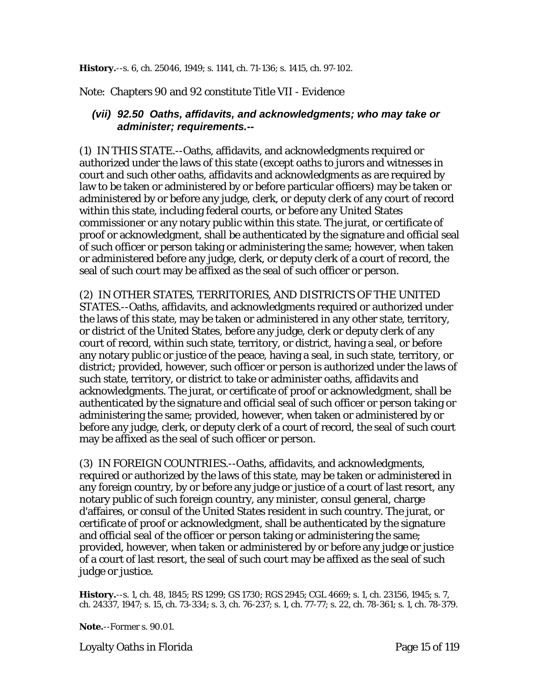#### **History.**--s. 6, ch. 25046, 1949; s. 1141, ch. 71-136; s. 1415, ch. 97-102.

Note: Chapters 90 and 92 constitute Title VII - Evidence

#### <span id="page-14-0"></span>*(vii) 92.50 Oaths, affidavits, and acknowledgments; who may take or administer; requirements.--*

(1) IN THIS STATE.--Oaths, affidavits, and acknowledgments required or authorized under the laws of this state (except oaths to jurors and witnesses in court and such other oaths, affidavits and acknowledgments as are required by law to be taken or administered by or before particular officers) may be taken or administered by or before any judge, clerk, or deputy clerk of any court of record within this state, including federal courts, or before any United States commissioner or any notary public within this state. The jurat, or certificate of proof or acknowledgment, shall be authenticated by the signature and official seal of such officer or person taking or administering the same; however, when taken or administered before any judge, clerk, or deputy clerk of a court of record, the seal of such court may be affixed as the seal of such officer or person.

(2) IN OTHER STATES, TERRITORIES, AND DISTRICTS OF THE UNITED STATES.--Oaths, affidavits, and acknowledgments required or authorized under the laws of this state, may be taken or administered in any other state, territory, or district of the United States, before any judge, clerk or deputy clerk of any court of record, within such state, territory, or district, having a seal, or before any notary public or justice of the peace, having a seal, in such state, territory, or district; provided, however, such officer or person is authorized under the laws of such state, territory, or district to take or administer oaths, affidavits and acknowledgments. The jurat, or certificate of proof or acknowledgment, shall be authenticated by the signature and official seal of such officer or person taking or administering the same; provided, however, when taken or administered by or before any judge, clerk, or deputy clerk of a court of record, the seal of such court may be affixed as the seal of such officer or person.

(3) IN FOREIGN COUNTRIES.--Oaths, affidavits, and acknowledgments, required or authorized by the laws of this state, may be taken or administered in any foreign country, by or before any judge or justice of a court of last resort, any notary public of such foreign country, any minister, consul general, charge d'affaires, or consul of the United States resident in such country. The jurat, or certificate of proof or acknowledgment, shall be authenticated by the signature and official seal of the officer or person taking or administering the same; provided, however, when taken or administered by or before any judge or justice of a court of last resort, the seal of such court may be affixed as the seal of such judge or justice.

**History.**--s. 1, ch. 48, 1845; RS 1299; GS 1730; RGS 2945; CGL 4669; s. 1, ch. 23156, 1945; s. 7, ch. 24337, 1947; s. 15, ch. 73-334; s. 3, ch. 76-237; s. 1, ch. 77-77; s. 22, ch. 78-361; s. 1, ch. 78-379.

**Note.**--Former s. 90.01.

Loyalty Oaths in Florida Page 15 of 119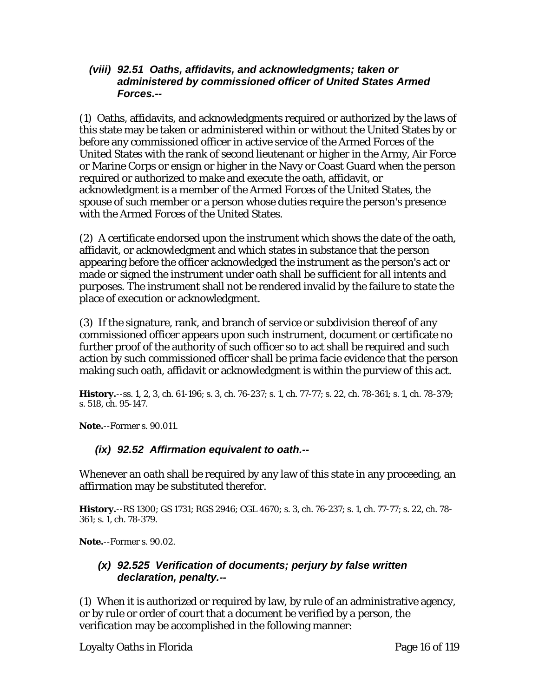<span id="page-15-0"></span>*(viii) 92.51 Oaths, affidavits, and acknowledgments; taken or administered by commissioned officer of United States Armed Forces.--*

(1) Oaths, affidavits, and acknowledgments required or authorized by the laws of this state may be taken or administered within or without the United States by or before any commissioned officer in active service of the Armed Forces of the United States with the rank of second lieutenant or higher in the Army, Air Force or Marine Corps or ensign or higher in the Navy or Coast Guard when the person required or authorized to make and execute the oath, affidavit, or acknowledgment is a member of the Armed Forces of the United States, the spouse of such member or a person whose duties require the person's presence with the Armed Forces of the United States.

(2) A certificate endorsed upon the instrument which shows the date of the oath, affidavit, or acknowledgment and which states in substance that the person appearing before the officer acknowledged the instrument as the person's act or made or signed the instrument under oath shall be sufficient for all intents and purposes. The instrument shall not be rendered invalid by the failure to state the place of execution or acknowledgment.

(3) If the signature, rank, and branch of service or subdivision thereof of any commissioned officer appears upon such instrument, document or certificate no further proof of the authority of such officer so to act shall be required and such action by such commissioned officer shall be prima facie evidence that the person making such oath, affidavit or acknowledgment is within the purview of this act.

**History.**--ss. 1, 2, 3, ch. 61-196; s. 3, ch. 76-237; s. 1, ch. 77-77; s. 22, ch. 78-361; s. 1, ch. 78-379; s. 518, ch. 95-147.

**Note.**--Former s. 90.011.

#### <span id="page-15-1"></span>*(ix) 92.52 Affirmation equivalent to oath.--*

Whenever an oath shall be required by any law of this state in any proceeding, an affirmation may be substituted therefor.

**History.**--RS 1300; GS 1731; RGS 2946; CGL 4670; s. 3, ch. 76-237; s. 1, ch. 77-77; s. 22, ch. 78- 361; s. 1, ch. 78-379.

**Note.**--Former s. 90.02.

#### <span id="page-15-2"></span>*(x) 92.525 Verification of documents; perjury by false written declaration, penalty.--*

(1) When it is authorized or required by law, by rule of an administrative agency, or by rule or order of court that a document be verified by a person, the verification may be accomplished in the following manner:

Loyalty Oaths in Florida **Page 16 of 119**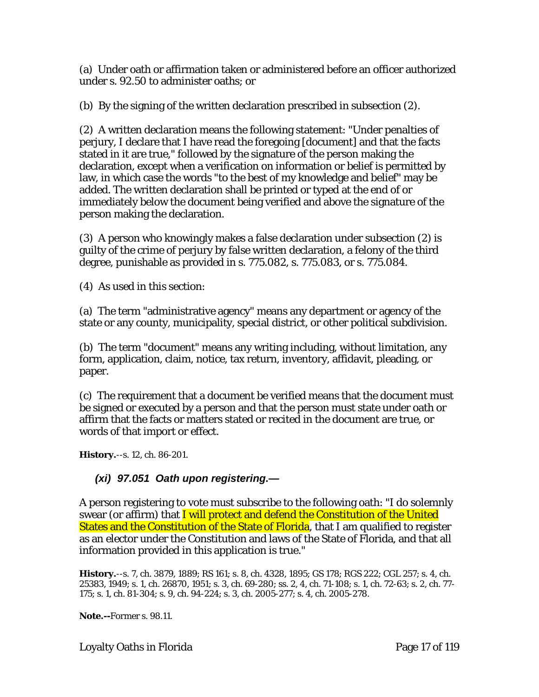(a) Under oath or affirmation taken or administered before an officer authorized under s. 92.50 to administer oaths; or

(b) By the signing of the written declaration prescribed in subsection (2).

(2) A written declaration means the following statement: "Under penalties of perjury, I declare that I have read the foregoing [document] and that the facts stated in it are true," followed by the signature of the person making the declaration, except when a verification on information or belief is permitted by law, in which case the words "to the best of my knowledge and belief" may be added. The written declaration shall be printed or typed at the end of or immediately below the document being verified and above the signature of the person making the declaration.

(3) A person who knowingly makes a false declaration under subsection (2) is guilty of the crime of perjury by false written declaration, a felony of the third degree, punishable as provided in s. 775.082, s. 775.083, or s. 775.084.

(4) As used in this section:

(a) The term "administrative agency" means any department or agency of the state or any county, municipality, special district, or other political subdivision.

(b) The term "document" means any writing including, without limitation, any form, application, claim, notice, tax return, inventory, affidavit, pleading, or paper.

(c) The requirement that a document be verified means that the document must be signed or executed by a person and that the person must state under oath or affirm that the facts or matters stated or recited in the document are true, or words of that import or effect.

**History.**--s. 12, ch. 86-201.

# <span id="page-16-0"></span>*(xi) 97.051 Oath upon registering.—*

A person registering to vote must subscribe to the following oath: "I do solemnly swear (or affirm) that **I will protect and defend the Constitution of the United** States and the Constitution of the State of Florida, that I am qualified to register as an elector under the Constitution and laws of the State of Florida, and that all information provided in this application is true."

**History.**--s. 7, ch. 3879, 1889; RS 161; s. 8, ch. 4328, 1895; GS 178; RGS 222; CGL 257; s. 4, ch. 25383, 1949; s. 1, ch. 26870, 1951; s. 3, ch. 69-280; ss. 2, 4, ch. 71-108; s. 1, ch. 72-63; s. 2, ch. 77- 175; s. 1, ch. 81-304; s. 9, ch. 94-224; s. 3, ch. 2005-277; s. 4, ch. 2005-278.

**Note.--**Former s. 98.11.

Loyalty Oaths in Florida Page 17 of 119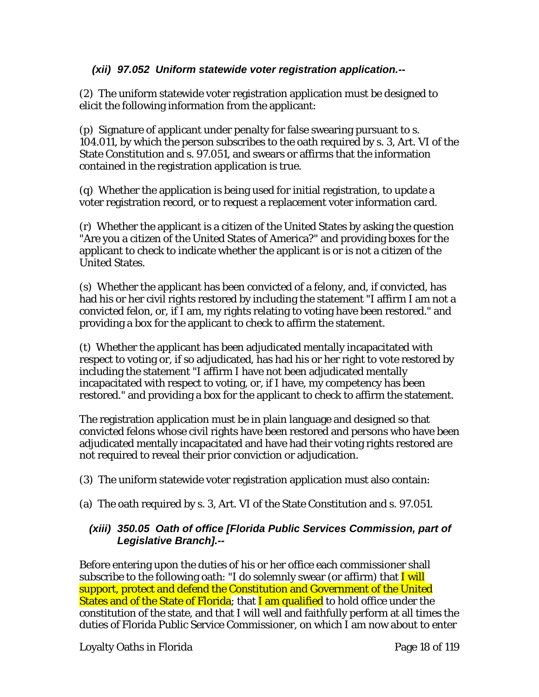#### <span id="page-17-0"></span>*(xii) 97.052 Uniform statewide voter registration application.--*

(2) The uniform statewide voter registration application must be designed to elicit the following information from the applicant:

(p) Signature of applicant under penalty for false swearing pursuant to s. 104.011, by which the person subscribes to the oath required by s. 3, Art. VI of the State Constitution and s. 97.051, and swears or affirms that the information contained in the registration application is true.

(q) Whether the application is being used for initial registration, to update a voter registration record, or to request a replacement voter information card.

(r) Whether the applicant is a citizen of the United States by asking the question "Are you a citizen of the United States of America?" and providing boxes for the applicant to check to indicate whether the applicant is or is not a citizen of the United States.

(s) Whether the applicant has been convicted of a felony, and, if convicted, has had his or her civil rights restored by including the statement "I affirm I am not a convicted felon, or, if I am, my rights relating to voting have been restored." and providing a box for the applicant to check to affirm the statement.

(t) Whether the applicant has been adjudicated mentally incapacitated with respect to voting or, if so adjudicated, has had his or her right to vote restored by including the statement "I affirm I have not been adjudicated mentally incapacitated with respect to voting, or, if I have, my competency has been restored." and providing a box for the applicant to check to affirm the statement.

The registration application must be in plain language and designed so that convicted felons whose civil rights have been restored and persons who have been adjudicated mentally incapacitated and have had their voting rights restored are not required to reveal their prior conviction or adjudication.

(3) The uniform statewide voter registration application must also contain:

(a) The oath required by s. 3, Art. VI of the State Constitution and s. 97.051.

#### <span id="page-17-1"></span>*(xiii) 350.05 Oath of office [Florida Public Services Commission, part of Legislative Branch].--*

Before entering upon the duties of his or her office each commissioner shall subscribe to the following oath: "I do solemnly swear (or affirm) that **I will** support, protect and defend the Constitution and Government of the United States and of the State of Florida; that I am qualified to hold office under the constitution of the state, and that I will well and faithfully perform at all times the duties of Florida Public Service Commissioner, on which I am now about to enter

Loyalty Oaths in Florida Page 18 of 119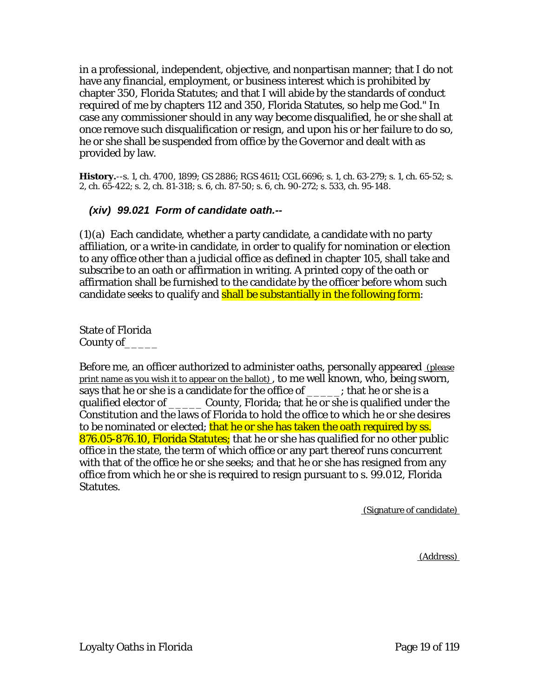in a professional, independent, objective, and nonpartisan manner; that I do not have any financial, employment, or business interest which is prohibited by chapter 350, Florida Statutes; and that I will abide by the standards of conduct required of me by chapters 112 and 350, Florida Statutes, so help me God." In case any commissioner should in any way become disqualified, he or she shall at once remove such disqualification or resign, and upon his or her failure to do so, he or she shall be suspended from office by the Governor and dealt with as provided by law.

**History.**--s. 1, ch. 4700, 1899; GS 2886; RGS 4611; CGL 6696; s. 1, ch. 63-279; s. 1, ch. 65-52; s. 2, ch. 65-422; s. 2, ch. 81-318; s. 6, ch. 87-50; s. 6, ch. 90-272; s. 533, ch. 95-148.

#### <span id="page-18-0"></span>*(xiv) 99.021 Form of candidate oath.--*

(1)(a) Each candidate, whether a party candidate, a candidate with no party affiliation, or a write-in candidate, in order to qualify for nomination or election to any office other than a judicial office as defined in chapter 105, shall take and subscribe to an oath or affirmation in writing. A printed copy of the oath or affirmation shall be furnished to the candidate by the officer before whom such candidate seeks to qualify and **shall be substantially in the following form**:

State of Florida County of

Before me, an officer authorized to administer oaths, personally appeared <u>(please</u>) print name as you wish it to appear on the ballot) , to me well known, who, being sworn, says that he or she is a candidate for the office of \_\_\_\_\_\_; that he or she is a qualified elector of \_\_\_\_\_ County, Florida; that he or she is qualified under the Constitution and the laws of Florida to hold the office to which he or she desires to be nominated or elected; that he or she has taken the oath required by ss. 876.05-876.10, Florida Statutes; that he or she has qualified for no other public office in the state, the term of which office or any part thereof runs concurrent with that of the office he or she seeks; and that he or she has resigned from any office from which he or she is required to resign pursuant to s. 99.012, Florida Statutes.

(Signature of candidate)

(Address)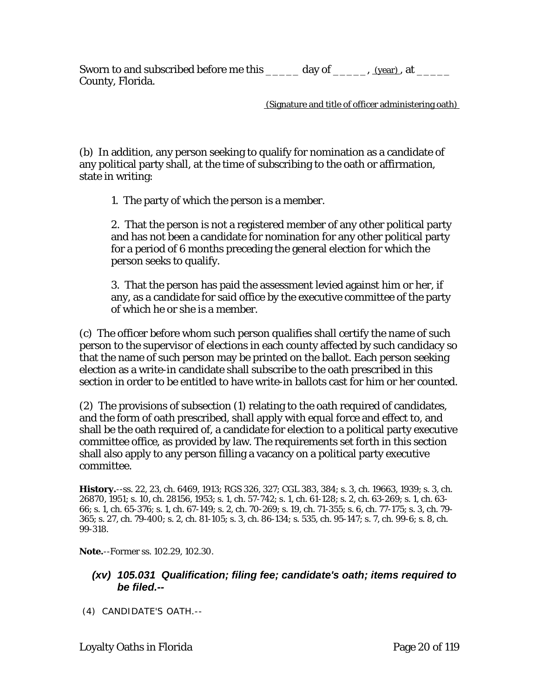Sworn to and subscribed before me this \_\_\_\_\_\_ day of \_\_\_\_\_, (year), at \_\_\_\_\_ County, Florida.

(Signature and title of officer administering oath)

(b) In addition, any person seeking to qualify for nomination as a candidate of any political party shall, at the time of subscribing to the oath or affirmation, state in writing:

1. The party of which the person is a member.

2. That the person is not a registered member of any other political party and has not been a candidate for nomination for any other political party for a period of 6 months preceding the general election for which the person seeks to qualify.

3. That the person has paid the assessment levied against him or her, if any, as a candidate for said office by the executive committee of the party of which he or she is a member.

(c) The officer before whom such person qualifies shall certify the name of such person to the supervisor of elections in each county affected by such candidacy so that the name of such person may be printed on the ballot. Each person seeking election as a write-in candidate shall subscribe to the oath prescribed in this section in order to be entitled to have write-in ballots cast for him or her counted.

(2) The provisions of subsection (1) relating to the oath required of candidates, and the form of oath prescribed, shall apply with equal force and effect to, and shall be the oath required of, a candidate for election to a political party executive committee office, as provided by law. The requirements set forth in this section shall also apply to any person filling a vacancy on a political party executive committee.

**History.**--ss. 22, 23, ch. 6469, 1913; RGS 326, 327; CGL 383, 384; s. 3, ch. 19663, 1939; s. 3, ch. 26870, 1951; s. 10, ch. 28156, 1953; s. 1, ch. 57-742; s. 1, ch. 61-128; s. 2, ch. 63-269; s. 1, ch. 63- 66; s. 1, ch. 65-376; s. 1, ch. 67-149; s. 2, ch. 70-269; s. 19, ch. 71-355; s. 6, ch. 77-175; s. 3, ch. 79- 365; s. 27, ch. 79-400; s. 2, ch. 81-105; s. 3, ch. 86-134; s. 535, ch. 95-147; s. 7, ch. 99-6; s. 8, ch. 99-318.

**Note.**--Former ss. 102.29, 102.30.

#### <span id="page-19-0"></span>*(xv) 105.031 Qualification; filing fee; candidate's oath; items required to be filed.--*

(4) CANDIDATE'S OATH.--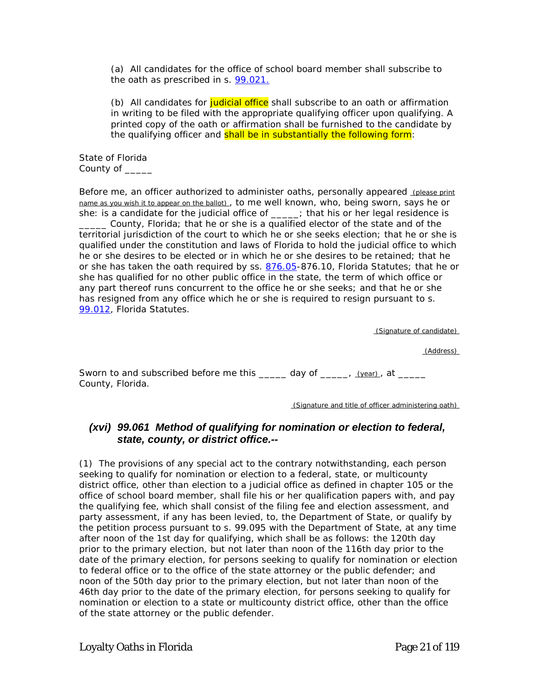(a) All candidates for the office of school board member shall subscribe to the oath as prescribed in s. 99.021.

(b) All candidates for *judicial office* shall subscribe to an oath or affirmation in writing to be filed with the appropriate qualifying officer upon qualifying. A printed copy of the oath or affirmation shall be furnished to the candidate by the qualifying officer and shall be in substantially the following form:

State of Florida County of \_\_\_\_\_

Before me, an officer authorized to administer oaths, personally appeared (please print name as you wish it to appear on the ballot), to me well known, who, being sworn, says he or she: is a candidate for the judicial office of  $\frac{1}{\sqrt{1-\frac{1}{n}}}$  that his or her legal residence is

\_\_\_\_\_ County, Florida; that he or she is a qualified elector of the state and of the territorial jurisdiction of the court to which he or she seeks election; that he or she is qualified under the constitution and laws of Florida to hold the judicial office to which he or she desires to be elected or in which he or she desires to be retained; that he or she has taken the oath required by ss. 876.05-876.10, Florida Statutes; that he or she has qualified for no other public office in the state, the term of which office or any part thereof runs concurrent to the office he or she seeks; and that he or she has resigned from any office which he or she is required to resign pursuant to s. 99.012, Florida Statutes.

(Signature of candidate)

(Address)

Sworn to and subscribed before me this  $\frac{1}{\sqrt{2}}$  day of  $\frac{1}{\sqrt{2}}$ ,  $\frac{(\text{year})}{(\text{year})}$ , at  $\frac{1}{\sqrt{2}}$ County, Florida.

(Signature and title of officer administering oath)

#### <span id="page-20-0"></span>*(xvi) 99.061 Method of qualifying for nomination or election to federal, state, county, or district office.--*

(1) The provisions of any special act to the contrary notwithstanding, each person seeking to qualify for nomination or election to a federal, state, or multicounty district office, other than election to a judicial office as defined in chapter 105 or the office of school board member, shall file his or her qualification papers with, and pay the qualifying fee, which shall consist of the filing fee and election assessment, and party assessment, if any has been levied, to, the Department of State, or qualify by the petition process pursuant to s. 99.095 with the Department of State, at any time after noon of the 1st day for qualifying, which shall be as follows: the 120th day prior to the primary election, but not later than noon of the 116th day prior to the date of the primary election, for persons seeking to qualify for nomination or election to federal office or to the office of the state attorney or the public defender; and noon of the 50th day prior to the primary election, but not later than noon of the 46th day prior to the date of the primary election, for persons seeking to qualify for nomination or election to a state or multicounty district office, other than the office of the state attorney or the public defender.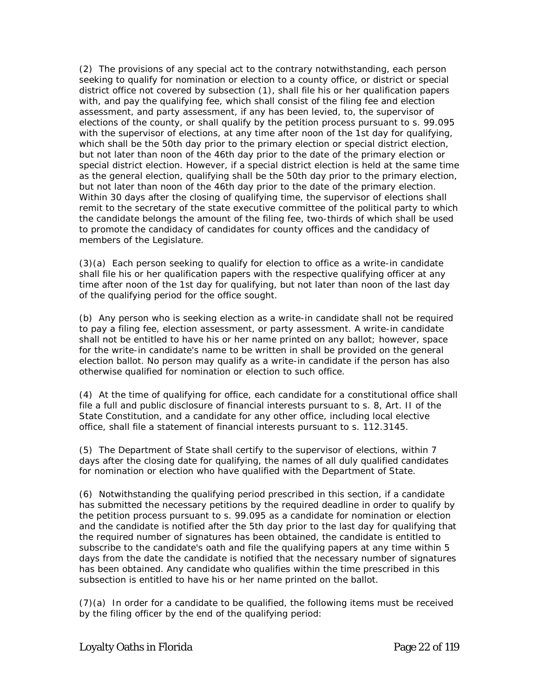(2) The provisions of any special act to the contrary notwithstanding, each person seeking to qualify for nomination or election to a county office, or district or special district office not covered by subsection (1), shall file his or her qualification papers with, and pay the qualifying fee, which shall consist of the filing fee and election assessment, and party assessment, if any has been levied, to, the supervisor of elections of the county, or shall qualify by the petition process pursuant to s. 99.095 with the supervisor of elections, at any time after noon of the 1st day for qualifying, which shall be the 50th day prior to the primary election or special district election, but not later than noon of the 46th day prior to the date of the primary election or special district election. However, if a special district election is held at the same time as the general election, qualifying shall be the 50th day prior to the primary election, but not later than noon of the 46th day prior to the date of the primary election. Within 30 days after the closing of qualifying time, the supervisor of elections shall remit to the secretary of the state executive committee of the political party to which the candidate belongs the amount of the filing fee, two-thirds of which shall be used to promote the candidacy of candidates for county offices and the candidacy of members of the Legislature.

(3)(a) Each person seeking to qualify for election to office as a write-in candidate shall file his or her qualification papers with the respective qualifying officer at any time after noon of the 1st day for qualifying, but not later than noon of the last day of the qualifying period for the office sought.

(b) Any person who is seeking election as a write-in candidate shall not be required to pay a filing fee, election assessment, or party assessment. A write-in candidate shall not be entitled to have his or her name printed on any ballot; however, space for the write-in candidate's name to be written in shall be provided on the general election ballot. No person may qualify as a write-in candidate if the person has also otherwise qualified for nomination or election to such office.

(4) At the time of qualifying for office, each candidate for a constitutional office shall file a full and public disclosure of financial interests pursuant to s. 8, Art. II of the State Constitution, and a candidate for any other office, including local elective office, shall file a statement of financial interests pursuant to s. 112.3145.

(5) The Department of State shall certify to the supervisor of elections, within 7 days after the closing date for qualifying, the names of all duly qualified candidates for nomination or election who have qualified with the Department of State.

(6) Notwithstanding the qualifying period prescribed in this section, if a candidate has submitted the necessary petitions by the required deadline in order to qualify by the petition process pursuant to s. 99.095 as a candidate for nomination or election and the candidate is notified after the 5th day prior to the last day for qualifying that the required number of signatures has been obtained, the candidate is entitled to subscribe to the candidate's oath and file the qualifying papers at any time within 5 days from the date the candidate is notified that the necessary number of signatures has been obtained. Any candidate who qualifies within the time prescribed in this subsection is entitled to have his or her name printed on the ballot.

(7)(a) In order for a candidate to be qualified, the following items must be received by the filing officer by the end of the qualifying period: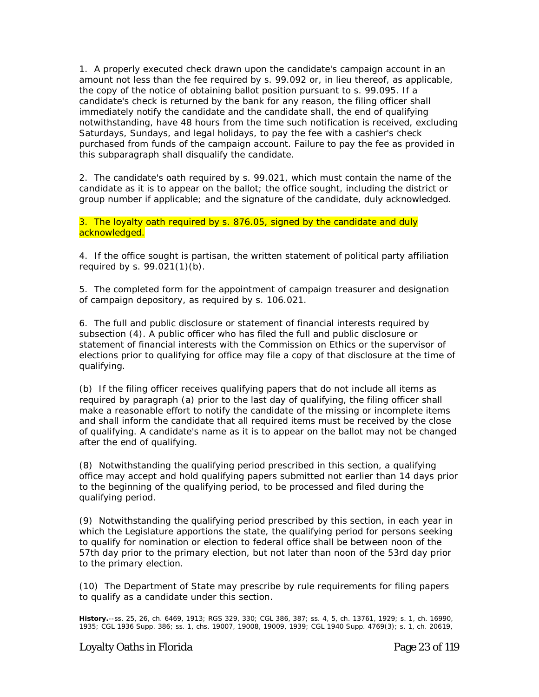1. A properly executed check drawn upon the candidate's campaign account in an amount not less than the fee required by s. 99.092 or, in lieu thereof, as applicable, the copy of the notice of obtaining ballot position pursuant to s. 99.095. If a candidate's check is returned by the bank for any reason, the filing officer shall immediately notify the candidate and the candidate shall, the end of qualifying notwithstanding, have 48 hours from the time such notification is received, excluding Saturdays, Sundays, and legal holidays, to pay the fee with a cashier's check purchased from funds of the campaign account. Failure to pay the fee as provided in this subparagraph shall disqualify the candidate.

2. The candidate's oath required by s. 99.021, which must contain the name of the candidate as it is to appear on the ballot; the office sought, including the district or group number if applicable; and the signature of the candidate, duly acknowledged.

3. The loyalty oath required by s. 876.05, signed by the candidate and duly acknowledged.

4. If the office sought is partisan, the written statement of political party affiliation required by s.  $99.021(1)(b)$ .

5. The completed form for the appointment of campaign treasurer and designation of campaign depository, as required by s. 106.021.

6. The full and public disclosure or statement of financial interests required by subsection (4). A public officer who has filed the full and public disclosure or statement of financial interests with the Commission on Ethics or the supervisor of elections prior to qualifying for office may file a copy of that disclosure at the time of qualifying.

(b) If the filing officer receives qualifying papers that do not include all items as required by paragraph (a) prior to the last day of qualifying, the filing officer shall make a reasonable effort to notify the candidate of the missing or incomplete items and shall inform the candidate that all required items must be received by the close of qualifying. A candidate's name as it is to appear on the ballot may not be changed after the end of qualifying.

(8) Notwithstanding the qualifying period prescribed in this section, a qualifying office may accept and hold qualifying papers submitted not earlier than 14 days prior to the beginning of the qualifying period, to be processed and filed during the qualifying period.

(9) Notwithstanding the qualifying period prescribed by this section, in each year in which the Legislature apportions the state, the qualifying period for persons seeking to qualify for nomination or election to federal office shall be between noon of the 57th day prior to the primary election, but not later than noon of the 53rd day prior to the primary election.

(10) The Department of State may prescribe by rule requirements for filing papers to qualify as a candidate under this section.

**History.**--ss. 25, 26, ch. 6469, 1913; RGS 329, 330; CGL 386, 387; ss. 4, 5, ch. 13761, 1929; s. 1, ch. 16990, 1935; CGL 1936 Supp. 386; ss. 1, chs. 19007, 19008, 19009, 1939; CGL 1940 Supp. 4769(3); s. 1, ch. 20619,

#### Loyalty Oaths in Florida Page 23 of 119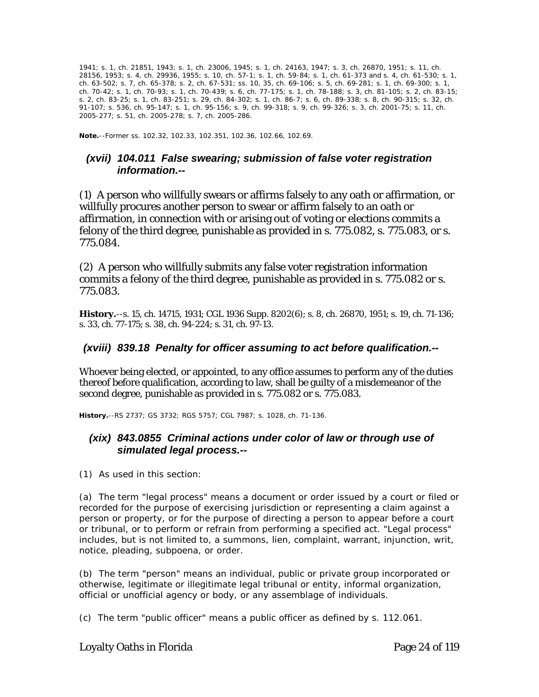1941; s. 1, ch. 21851, 1943; s. 1, ch. 23006, 1945; s. 1, ch. 24163, 1947; s. 3, ch. 26870, 1951; s. 11, ch. 28156, 1953; s. 4, ch. 29936, 1955; s. 10, ch. 57-1; s. 1, ch. 59-84; s. 1, ch. 61-373 and s. 4, ch. 61-530; s. 1, ch. 63-502; s. 7, ch. 65-378; s. 2, ch. 67-531; ss. 10, 35, ch. 69-106; s. 5, ch. 69-281; s. 1, ch. 69-300; s. 1, ch. 70-42; s. 1, ch. 70-93; s. 1, ch. 70-439; s. 6, ch. 77-175; s. 1, ch. 78-188; s. 3, ch. 81-105; s. 2, ch. 83-15; s. 2, ch. 83-25; s. 1, ch. 83-251; s. 29, ch. 84-302; s. 1, ch. 86-7; s. 6, ch. 89-338; s. 8, ch. 90-315; s. 32, ch. 91-107; s. 536, ch. 95-147; s. 1, ch. 95-156; s. 9, ch. 99-318; s. 9, ch. 99-326; s. 3, ch. 2001-75; s. 11, ch. 2005-277; s. 51, ch. 2005-278; s. 7, ch. 2005-286.

**Note.**--Former ss. 102.32, 102.33, 102.351, 102.36, 102.66, 102.69.

#### <span id="page-23-0"></span>*(xvii) 104.011 False swearing; submission of false voter registration information.--*

(1) A person who willfully swears or affirms falsely to any oath or affirmation, or willfully procures another person to swear or affirm falsely to an oath or affirmation, in connection with or arising out of voting or elections commits a felony of the third degree, punishable as provided in s. 775.082, s. 775.083, or s. 775.084.

(2) A person who willfully submits any false voter registration information commits a felony of the third degree, punishable as provided in s. 775.082 or s. 775.083.

**History.**--s. 15, ch. 14715, 1931; CGL 1936 Supp. 8202(6); s. 8, ch. 26870, 1951; s. 19, ch. 71-136; s. 33, ch. 77-175; s. 38, ch. 94-224; s. 31, ch. 97-13.

#### <span id="page-23-1"></span>*(xviii) 839.18 Penalty for officer assuming to act before qualification.--*

Whoever being elected, or appointed, to any office assumes to perform any of the duties thereof before qualification, according to law, shall be guilty of a misdemeanor of the second degree, punishable as provided in s. 775.082 or s. 775.083.

**History.**--RS 2737; GS 3732; RGS 5757; CGL 7987; s. 1028, ch. 71-136.

#### <span id="page-23-2"></span>*(xix) 843.0855 Criminal actions under color of law or through use of simulated legal process.--*

(1) As used in this section:

(a) The term "legal process" means a document or order issued by a court or filed or recorded for the purpose of exercising jurisdiction or representing a claim against a person or property, or for the purpose of directing a person to appear before a court or tribunal, or to perform or refrain from performing a specified act. "Legal process" includes, but is not limited to, a summons, lien, complaint, warrant, injunction, writ, notice, pleading, subpoena, or order.

(b) The term "person" means an individual, public or private group incorporated or otherwise, legitimate or illegitimate legal tribunal or entity, informal organization, official or unofficial agency or body, or any assemblage of individuals.

(c) The term "public officer" means a public officer as defined by s. 112.061.

#### Loyalty Oaths in Florida **Page 24 of 119**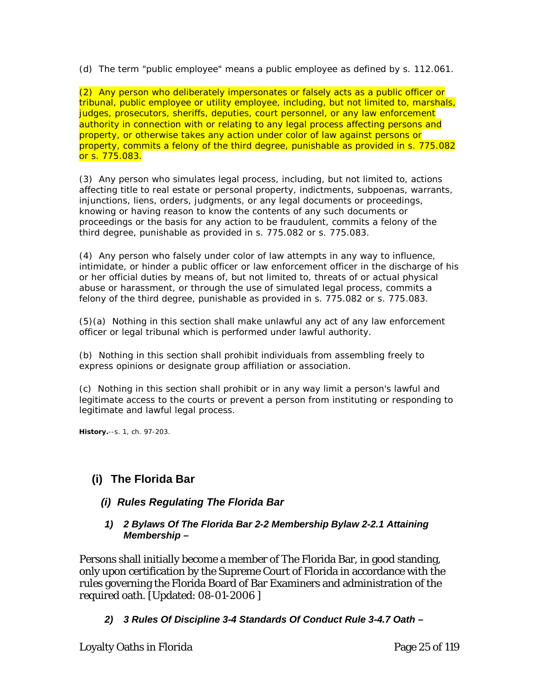(d) The term "public employee" means a public employee as defined by s. 112.061.

(2) Any person who deliberately impersonates or falsely acts as a public officer or tribunal, public employee or utility employee, including, but not limited to, marshals, judges, prosecutors, sheriffs, deputies, court personnel, or any law enforcement authority in connection with or relating to any legal process affecting persons and property, or otherwise takes any action under color of law against persons or property, commits a felony of the third degree, punishable as provided in s. 775.082 or s. 775.083.

(3) Any person who simulates legal process, including, but not limited to, actions affecting title to real estate or personal property, indictments, subpoenas, warrants, injunctions, liens, orders, judgments, or any legal documents or proceedings, knowing or having reason to know the contents of any such documents or proceedings or the basis for any action to be fraudulent, commits a felony of the third degree, punishable as provided in s. 775.082 or s. 775.083.

(4) Any person who falsely under color of law attempts in any way to influence, intimidate, or hinder a public officer or law enforcement officer in the discharge of his or her official duties by means of, but not limited to, threats of or actual physical abuse or harassment, or through the use of simulated legal process, commits a felony of the third degree, punishable as provided in s. 775.082 or s. 775.083.

(5)(a) Nothing in this section shall make unlawful any act of any law enforcement officer or legal tribunal which is performed under lawful authority.

(b) Nothing in this section shall prohibit individuals from assembling freely to express opinions or designate group affiliation or association.

(c) Nothing in this section shall prohibit or in any way limit a person's lawful and legitimate access to the courts or prevent a person from instituting or responding to legitimate and lawful legal process.

**History.**--s. 1, ch. 97-203.

#### <span id="page-24-1"></span><span id="page-24-0"></span>**(i) The Florida Bar**

#### <span id="page-24-2"></span>*(i) Rules Regulating The Florida Bar*

#### *1) 2 Bylaws Of The Florida Bar 2-2 Membership Bylaw 2-2.1 Attaining Membership –*

Persons shall initially become a member of The Florida Bar, in good standing, only upon certification by the Supreme Court of Florida in accordance with the rules governing the Florida Board of Bar Examiners and administration of the required oath. [Updated: 08-01-2006 ]

#### <span id="page-24-3"></span>*2) 3 Rules Of Discipline 3-4 Standards Of Conduct Rule 3-4.7 Oath –*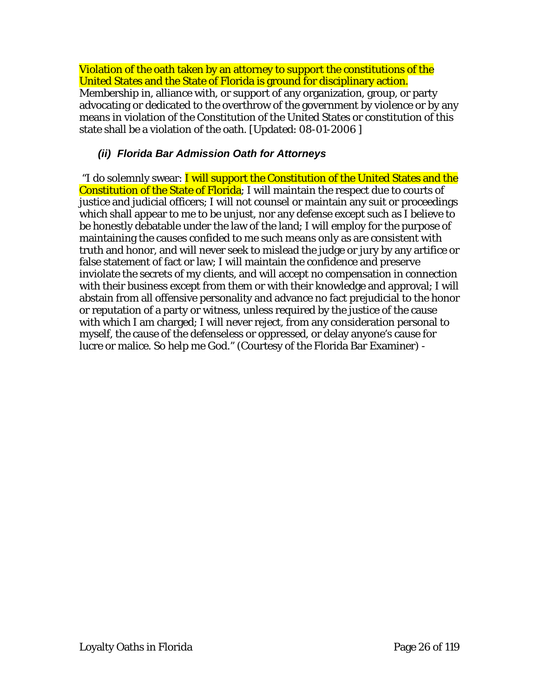Violation of the oath taken by an attorney to support the constitutions of the United States and the State of Florida is ground for disciplinary action. Membership in, alliance with, or support of any organization, group, or party advocating or dedicated to the overthrow of the government by violence or by any means in violation of the Constitution of the United States or constitution of this state shall be a violation of the oath. [Updated: 08-01-2006 ]

#### <span id="page-25-0"></span>*(ii) Florida Bar Admission Oath for Attorneys*

"I do solemnly swear: I will support the Constitution of the United States and the Constitution of the State of Florida; I will maintain the respect due to courts of justice and judicial officers; I will not counsel or maintain any suit or proceedings which shall appear to me to be unjust, nor any defense except such as I believe to be honestly debatable under the law of the land; I will employ for the purpose of maintaining the causes confided to me such means only as are consistent with truth and honor, and will never seek to mislead the judge or jury by any artifice or false statement of fact or law; I will maintain the confidence and preserve inviolate the secrets of my clients, and will accept no compensation in connection with their business except from them or with their knowledge and approval; I will abstain from all offensive personality and advance no fact prejudicial to the honor or reputation of a party or witness, unless required by the justice of the cause with which I am charged; I will never reject, from any consideration personal to myself, the cause of the defenseless or oppressed, or delay anyone's cause for lucre or malice. So help me God." (Courtesy of the Florida Bar Examiner) -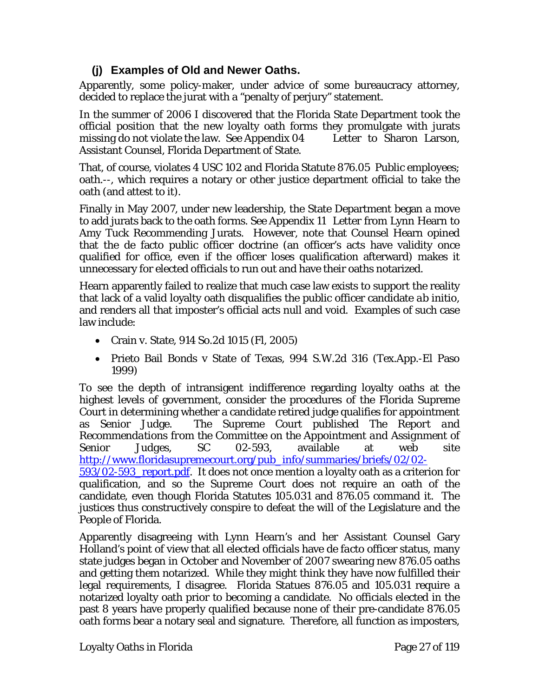# <span id="page-26-0"></span>**(j) Examples of Old and Newer Oaths.**

Apparently, some policy-maker, under advice of some bureaucracy attorney, decided to replace the jurat with a "penalty of perjury" statement.

In the summer of 2006 I discovered that the Florida State Department took the official position that the new loyalty oath forms they promulgate with jurats missing do not violate the law. See Appendix 04 Letter to Sharon Larson, Assistant Counsel, Florida Department of State.

That, of course, violates 4 USC 102 and Florida Statute 876.05 [Public employees;](#page-51-6)  [oath.--,](#page-51-6) which requires a notary or other justice department official to take the oath (and attest to it).

Finally in May 2007, under new leadership, the State Department began a move to add jurats back to the oath forms. See Appendix 11 Letter from Lynn Hearn to Amy Tuck Recommending Jurats. However, note that Counsel Hearn opined that the de facto public officer doctrine (an officer's acts have validity once qualified for office, even if the officer loses qualification afterward) makes it unnecessary for elected officials to run out and have their oaths notarized.

Hearn apparently failed to realize that much case law exists to support the reality that lack of a valid loyalty oath disqualifies the public officer candidate *ab initio*, and renders all that imposter's official acts null and void. Examples of such case law include:

- Crain v. State, 914 So.2d 1015 (Fl, 2005)
- Prieto Bail Bonds v State of Texas, 994 S.W.2d 316 (Tex.App.-El Paso 1999)

To see the depth of intransigent indifference regarding loyalty oaths at the highest levels of government, consider the procedures of the Florida Supreme Court in determining whether a candidate retired judge qualifies for appointment as Senior Judge. The Supreme Court published *The Report and Recommendations from the Committee on the Appointment and Assignment of Senior Judges*, SC 02-593, available at web site [http://www.floridasupremecourt.org/pub\\_info/summaries/briefs/02/02-](http://www.floridasupremecourt.org/pub_info/summaries/briefs/02/02-593/02-593_report.pdf)

[593/02-593\\_report.pdf.](http://www.floridasupremecourt.org/pub_info/summaries/briefs/02/02-593/02-593_report.pdf) It does not once mention a loyalty oath as a criterion for qualification, and so the Supreme Court does not require an oath of the candidate, even though Florida Statutes 105.031 and 876.05 command it. The justices thus constructively conspire to defeat the will of the Legislature and the People of Florida.

Apparently disagreeing with Lynn Hearn's and her Assistant Counsel Gary Holland's point of view that all elected officials have *de facto* officer status, many state judges began in October and November of 2007 swearing new 876.05 oaths and getting them notarized. While they might think they have now fulfilled their legal requirements, I disagree. Florida Statues 876.05 and 105.031 require a notarized loyalty oath prior to becoming a candidate. No officials elected in the past 8 years have properly qualified because none of their pre-candidate 876.05 oath forms bear a notary seal and signature. Therefore, all function as imposters,

Loyalty Oaths in Florida Page 27 of 119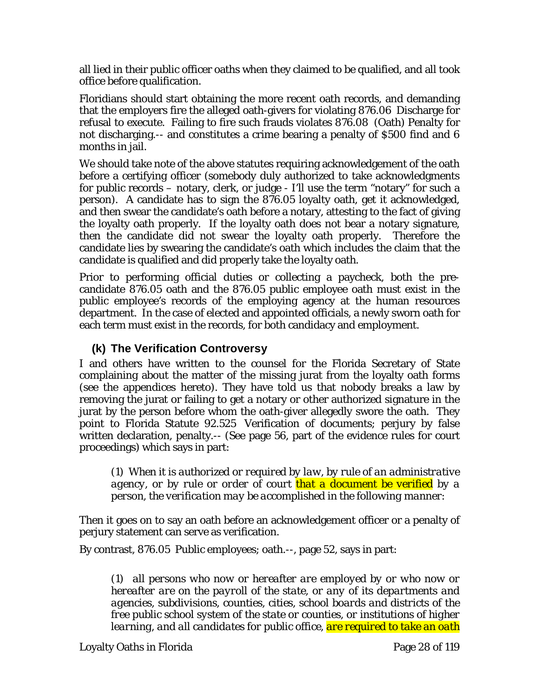all lied in their public officer oaths when they claimed to be qualified, and all took office before qualification.

Floridians should start obtaining the more recent oath records, and demanding that the employers fire the alleged oath-givers for violating 876.06 [Discharge for](#page-52-0)  [refusal to execute.](#page-52-0) Failing to fire such frauds violates 876.08 [\(Oath\) Penalty for](#page-52-2)  [not discharging.--](#page-52-2) and constitutes a crime bearing a penalty of \$500 find and 6 months in jail.

We should take note of the above statutes requiring acknowledgement of the oath before a certifying officer (somebody duly authorized to take acknowledgments for public records – notary, clerk, or judge - I'll use the term "notary" for such a person). A candidate has to sign the 876.05 loyalty oath, get it acknowledged, and then swear the candidate's oath before a notary, attesting to the fact of giving the loyalty oath properly. If the loyalty oath does not bear a notary signature, then the candidate did not swear the loyalty oath properly. Therefore the candidate lies by swearing the candidate's oath which includes the claim that the candidate is qualified and did properly take the loyalty oath.

Prior to performing official duties or collecting a paycheck, both the precandidate 876.05 oath and the 876.05 public employee oath must exist in the public employee's records of the employing agency at the human resources department. In the case of elected and appointed officials, a newly sworn oath for each term must exist in the records, for both candidacy and employment.

## <span id="page-27-0"></span>**(k) The Verification Controversy**

I and others have written to the counsel for the Florida Secretary of State complaining about the matter of the missing jurat from the loyalty oath forms (see the appendices hereto). They have told us that nobody breaks a law by removing the jurat or failing to get a notary or other authorized signature in the jurat by the person before whom the oath-giver allegedly swore the oath. They point to Florida Statute 92.525 [Verification of documents; perjury by false](#page-55-1)  [written declaration, penalty.--](#page-55-1) (See page [56,](#page-55-1) part of the evidence rules for court proceedings) which says in part:

*(1) When it is authorized or required by law, by rule of an administrative agency, or by rule or order of court that a document be verified by a person, the verification may be accomplished in the following manner:* 

Then it goes on to say an oath before an acknowledgement officer or a penalty of perjury statement can serve as verification.

By contrast, 876.05 [Public employees; oath.--,](#page-51-6) page [52,](#page-51-6) says in part:

*(1) all persons who now or hereafter are employed by or who now or hereafter are on the payroll of the state, or any of its departments and agencies, subdivisions, counties, cities, school boards and districts of the free public school system of the state or counties, or institutions of higher learning, and all candidates for public office, are required to take an oath* 

Loyalty Oaths in Florida **Page 28 of 119**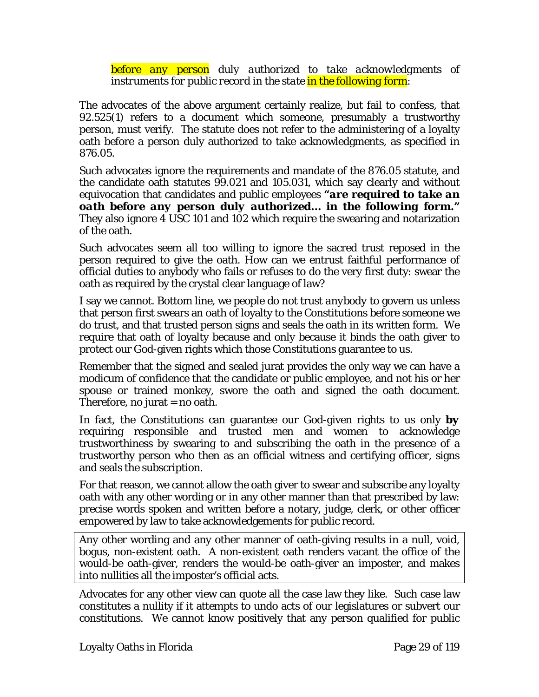*before any person duly authorized to take acknowledgments of instruments for public record in the state in the following form:*

The advocates of the above argument certainly realize, but fail to confess, that 92.525(1) refers to a document which someone, presumably a trustworthy person, must verify. The statute does not refer to the administering of a loyalty oath before a person duly authorized to take acknowledgments, as specified in 876.05.

Such advocates ignore the requirements and mandate of the 876.05 statute, and the candidate oath statutes 99.021 and 105.031, which say clearly and without equivocation that candidates and public employees *"are required to take an oath before any person duly authorized… in the following form."* They also ignore 4 USC 101 and 102 which require the swearing and notarization of the oath.

Such advocates seem all too willing to ignore the sacred trust reposed in the person required to give the oath. How can we entrust faithful performance of official duties to anybody who fails or refuses to do the very first duty: swear the oath as required by the crystal clear language of law?

I say we cannot. Bottom line, we people do not trust *anybody* to govern us unless that person first swears an oath of loyalty to the Constitutions before someone we do trust, and that trusted person signs and seals the oath in its written form. We require that oath of loyalty because and only because it binds the oath giver to protect our God-given rights which those Constitutions guarantee to us.

Remember that the signed and sealed jurat provides the only way we can have a modicum of confidence that the candidate or public employee, and not his or her spouse or trained monkey, swore the oath and signed the oath document. Therefore, no jurat = no oath.

In fact, the Constitutions can guarantee our God-given rights to us only *by*  requiring responsible and trusted men and women to acknowledge trustworthiness by swearing to and subscribing the oath in the presence of a trustworthy person who then as an official witness and certifying officer, signs and seals the subscription.

For that reason, we cannot allow the oath giver to swear and subscribe any loyalty oath with any other wording or in any other manner than that prescribed by law: precise words spoken and written before a notary, judge, clerk, or other officer empowered by law to take acknowledgements for public record.

Any other wording and any other manner of oath-giving results in a null, void, bogus, non-existent oath. A non-existent oath renders vacant the office of the would-be oath-giver, renders the would-be oath-giver an imposter, and makes into nullities all the imposter's official acts.

Advocates for any other view can quote all the case law they like. Such case law constitutes a nullity if it attempts to undo acts of our legislatures or subvert our constitutions. We cannot know positively that any person qualified for public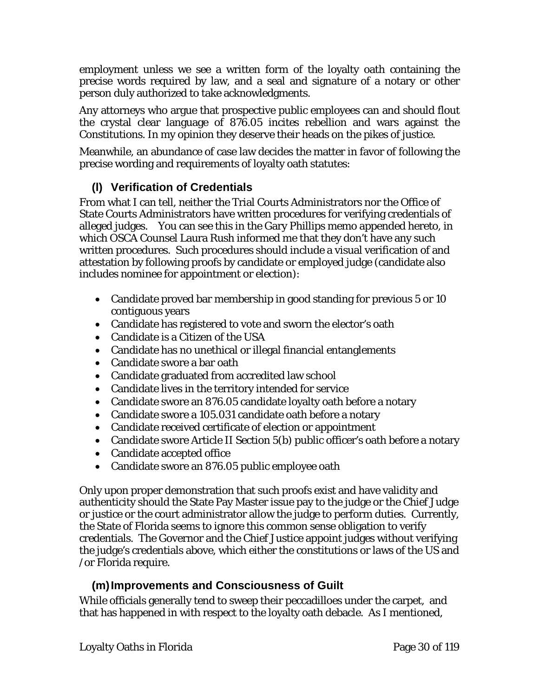employment unless we see a written form of the loyalty oath containing the precise words required by law, and a seal and signature of a notary or other person duly authorized to take acknowledgments.

Any attorneys who argue that prospective public employees can and should flout the crystal clear language of 876.05 incites rebellion and wars against the Constitutions. In my opinion they deserve their heads on the pikes of justice.

Meanwhile, an abundance of case law decides the matter in favor of following the precise wording and requirements of loyalty oath statutes:

# <span id="page-29-0"></span>**(l) Verification of Credentials**

From what I can tell, neither the Trial Courts Administrators nor the Office of State Courts Administrators have written procedures for verifying credentials of alleged judges. You can see this in the Gary Phillips memo appended hereto, in which OSCA Counsel Laura Rush informed me that they don't have any such written procedures. Such procedures should include a visual verification of and attestation by following proofs by candidate or employed judge (candidate also includes nominee for appointment or election):

- Candidate proved bar membership in good standing for previous 5 or 10 contiguous years
- Candidate has registered to vote and sworn the elector's oath
- Candidate is a Citizen of the USA
- Candidate has no unethical or illegal financial entanglements
- Candidate swore a bar oath
- Candidate graduated from accredited law school
- Candidate lives in the territory intended for service
- Candidate swore an 876.05 candidate loyalty oath before a notary
- Candidate swore a 105.031 candidate oath before a notary
- Candidate received certificate of election or appointment
- Candidate swore Article II Section 5(b) public officer's oath before a notary
- Candidate accepted office
- Candidate swore an 876.05 public employee oath

Only upon proper demonstration that such proofs exist and have validity and authenticity should the State Pay Master issue pay to the judge or the Chief Judge or justice or the court administrator allow the judge to perform duties. Currently, the State of Florida seems to ignore this common sense obligation to verify credentials. The Governor and the Chief Justice appoint judges without verifying the judge's credentials above, which either the constitutions or laws of the US and /or Florida require.

# <span id="page-29-1"></span>**(m)Improvements and Consciousness of Guilt**

While officials generally tend to sweep their peccadilloes under the carpet, and that has happened in with respect to the loyalty oath debacle. As I mentioned,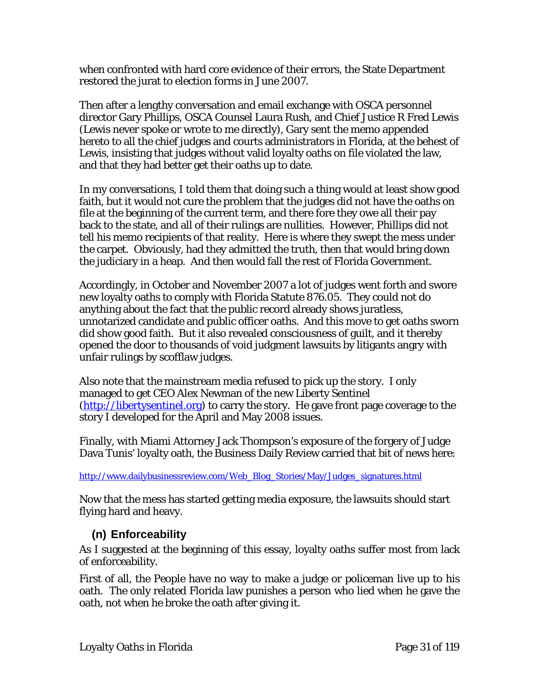when confronted with hard core evidence of their errors, the State Department restored the jurat to election forms in June 2007.

Then after a lengthy conversation and email exchange with OSCA personnel director Gary Phillips, OSCA Counsel Laura Rush, and Chief Justice R Fred Lewis (Lewis never spoke or wrote to me directly), Gary sent the memo appended hereto to all the chief judges and courts administrators in Florida, at the behest of Lewis, insisting that judges without valid loyalty oaths on file violated the law, and that they had better get their oaths up to date.

In my conversations, I told them that doing such a thing would at least show good faith, but it would not cure the problem that the judges did not have the oaths on file at the beginning of the current term, and there fore they owe all their pay back to the state, and all of their rulings are nullities. However, Phillips did not tell his memo recipients of that reality. Here is where they swept the mess under the carpet. Obviously, had they admitted the truth, then that would bring down the judiciary in a heap. And then would fall the rest of Florida Government.

Accordingly, in October and November 2007 a lot of judges went forth and swore new loyalty oaths to comply with Florida Statute 876.05. They could not do anything about the fact that the public record already shows juratless, unnotarized candidate and public officer oaths. And this move to get oaths sworn did show good faith. But it also revealed consciousness of guilt, and it thereby opened the door to thousands of void judgment lawsuits by litigants angry with unfair rulings by scofflaw judges.

Also note that the mainstream media refused to pick up the story. I only managed to get CEO Alex Newman of the new Liberty Sentinel [\(http://libertysentinel.org\)](http://libertysentinel.org/) to carry the story. He gave front page coverage to the story I developed for the April and May 2008 issues.

Finally, with Miami Attorney Jack Thompson's exposure of the forgery of Judge Dava Tunis' loyalty oath, the Business Daily Review carried that bit of news here:

[http://www.dailybusinessreview.com/Web\\_Blog\\_Stories/May/Judges\\_signatures.html](http://www.dailybusinessreview.com/Web_Blog_Stories/May/Judges_signatures.html)

Now that the mess has started getting media exposure, the lawsuits should start flying hard and heavy.

# <span id="page-30-0"></span>**(n) Enforceability**

As I suggested at the beginning of this essay, loyalty oaths suffer most from lack of enforceability.

First of all, the People have no way to make a judge or policeman live up to his oath. The only related Florida law punishes a person who lied when he gave the oath, not when he broke the oath after giving it.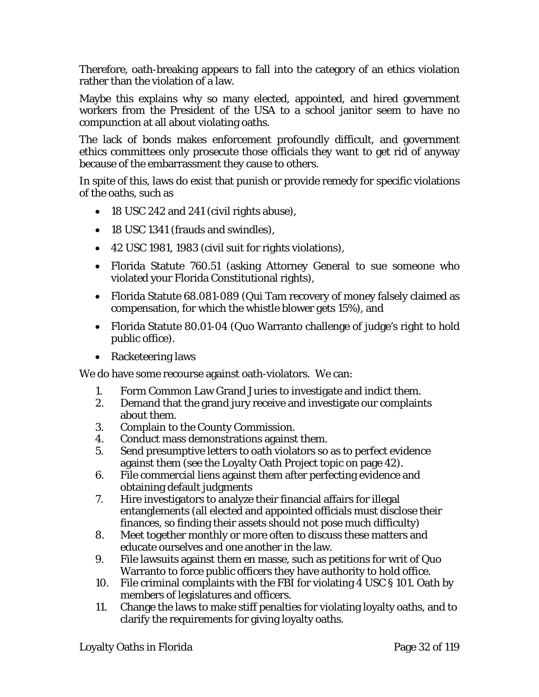Therefore, oath-breaking appears to fall into the category of an ethics violation rather than the violation of a law.

Maybe this explains why so many elected, appointed, and hired government workers from the President of the USA to a school janitor seem to have no compunction at all about violating oaths.

The lack of bonds makes enforcement profoundly difficult, and government ethics committees only prosecute those officials they want to get rid of anyway because of the embarrassment they cause to others.

In spite of this, laws do exist that punish or provide remedy for specific violations of the oaths, such as

- 18 USC 242 and 241 (civil rights abuse),
- 18 USC 1341 (frauds and swindles),
- 42 USC 1981, 1983 (civil suit for rights violations),
- Florida Statute 760.51 (asking Attorney General to sue someone who violated your Florida Constitutional rights),
- Florida Statute 68.081-089 (Qui Tam recovery of money falsely claimed as compensation, for which the whistle blower gets 15%), and
- Florida Statute 80.01-04 (Quo Warranto challenge of judge's right to hold public office).
- Racketeering laws

We do have some recourse against oath-violators. We can:

- 1. Form Common Law Grand Juries to investigate and indict them.
- 2. Demand that the grand jury receive and investigate our complaints about them.
- 3. Complain to the County Commission.
- 4. Conduct mass demonstrations against them.
- 5. Send presumptive letters to oath violators so as to perfect evidence against them (see the [Loyalty Oath Project](#page-41-2) topic on page [42\)](#page-41-2).
- 6. File commercial liens against them after perfecting evidence and obtaining default judgments
- 7. Hire investigators to analyze their financial affairs for illegal entanglements (all elected and appointed officials must disclose their finances, so finding their assets should not pose much difficulty)
- 8. Meet together monthly or more often to discuss these matters and educate ourselves and one another in the law.
- 9. File lawsuits against them en masse, such as petitions for writ of Quo Warranto to force public officers they have authority to hold office.
- 10. File criminal complaints with the FBI for violating 4 USC § [101. Oath by](#page-51-2)  [members of legislatures and officers.](#page-51-2)
- 11. Change the laws to make stiff penalties for violating loyalty oaths, and to clarify the requirements for giving loyalty oaths.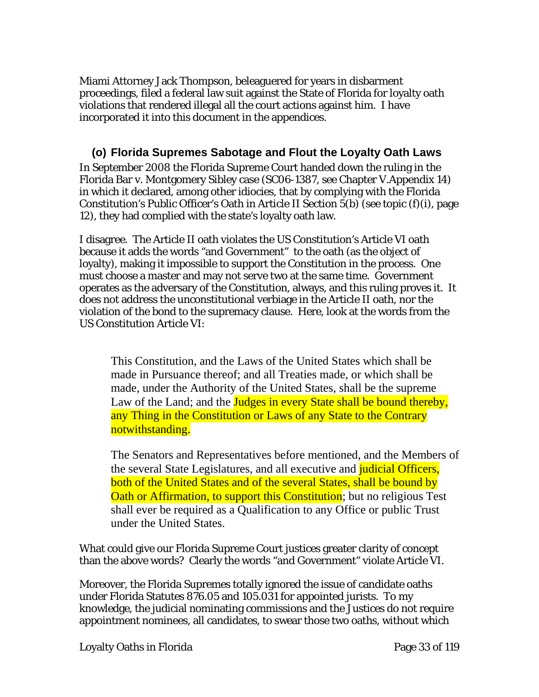Miami Attorney Jack Thompson, beleaguered for years in disbarment proceedings, filed a federal law suit against the State of Florida for loyalty oath violations that rendered illegal all the court actions against him. I have incorporated it into this document in the appendices.

# <span id="page-32-0"></span>**(o) Florida Supremes Sabotage and Flout the Loyalty Oath Laws**

In September 2008 the Florida Supreme Court handed down the ruling in the Florida Bar v. Montgomery Sibley case (SC06-1387, see [Chapter V.Appendix 14\)](#page-114-0) in which it declared, among other idiocies, that by complying with the Florida Constitution's Public Officer's Oath in Article II Section 5(b) (see topic [\(f\)\(i\),](#page-11-2) page [12\)](#page-11-2), they had complied with the state's loyalty oath law.

I disagree. The Article II oath violates the US Constitution's Article VI oath because it adds the words "and Government" to the oath (as the object of loyalty), making it impossible to support the Constitution in the process. One must choose a master and may not serve two at the same time. Government operates as the adversary of the Constitution, always, and this ruling proves it. It does not address the unconstitutional verbiage in the Article II oath, nor the violation of the bond to the supremacy clause. Here, look at the words from the US Constitution Article VI:

This Constitution, and the Laws of the United States which shall be made in Pursuance thereof; and all Treaties made, or which shall be made, under the Authority of the United States, shall be the supreme Law of the Land; and the **Judges in every State shall be bound thereby**, any Thing in the Constitution or Laws of any State to the Contrary notwithstanding.

The Senators and Representatives before mentioned, and the Members of the several State Legislatures, and all executive and *judicial Officers*, both of the United States and of the several States, shall be bound by Oath or Affirmation, to support this Constitution; but no religious Test shall ever be required as a Qualification to any Office or public Trust under the United States.

What could give our Florida Supreme Court justices greater clarity of concept than the above words? Clearly the words "and Government" violate Article VI.

Moreover, the Florida Supremes totally ignored the issue of candidate oaths under Florida Statutes 876.05 and 105.031 for appointed jurists. To my knowledge, the judicial nominating commissions and the Justices do not require appointment nominees, all candidates, to swear those two oaths, without which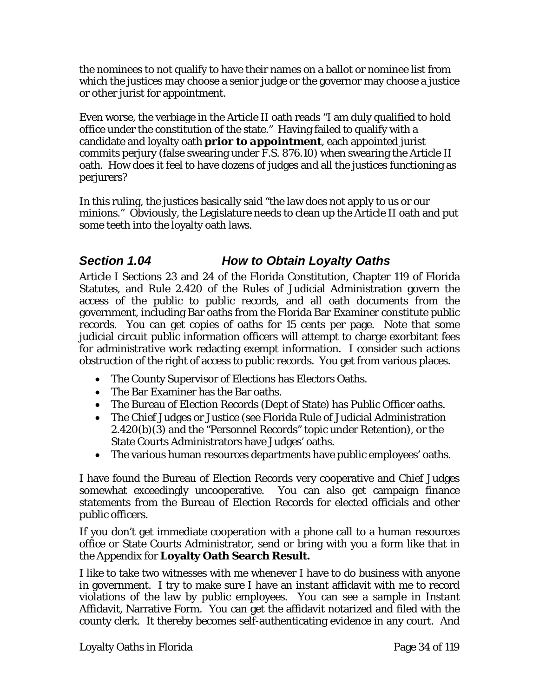the nominees to not qualify to have their names on a ballot or nominee list from which the justices may choose a senior judge or the governor may choose a justice or other jurist for appointment.

Even worse, the verbiage in the Article II oath reads "I am duly qualified to hold office under the constitution of the state." Having failed to qualify with a candidate and loyalty oath *prior to appointment*, each appointed jurist commits perjury (false swearing under F.S. 876.10) when swearing the Article II oath. How does it feel to have dozens of judges and all the justices functioning as perjurers?

In this ruling, the justices basically said "the law does not apply to us or our minions." Obviously, the Legislature needs to clean up the Article II oath and put some teeth into the loyalty oath laws.

# <span id="page-33-0"></span>*Section 1.04 How to Obtain Loyalty Oaths*

Article I Sections 23 and 24 of the Florida Constitution, Chapter 119 of Florida Statutes, and Rule 2.420 of the Rules of Judicial Administration govern the access of the public to public records, and all oath documents from the government, including Bar oaths from the Florida Bar Examiner constitute public records. You can get copies of oaths for 15 cents per page. Note that some judicial circuit public information officers will attempt to charge exorbitant fees for administrative work redacting exempt information. I consider such actions obstruction of the right of access to public records. You get from various places.

- The County Supervisor of Elections has Electors Oaths.
- The Bar Examiner has the Bar oaths.
- The Bureau of Election Records (Dept of State) has Public Officer oaths.
- The Chief Judges or Justice (see Florida Rule of Judicial Administration 2.420(b)(3) and the "Personnel Records" topic under Retention), or the State Courts Administrators have Judges' oaths.
- The various human resources departments have public employees' oaths.

I have found the Bureau of Election Records very cooperative and Chief Judges somewhat exceedingly uncooperative. You can also get campaign finance statements from the Bureau of Election Records for elected officials and other public officers.

If you don't get immediate cooperation with a phone call to a human resources office or State Courts Administrator, send or bring with you a form like that in the Appendix for **[Loyalty Oath Search Result.](#page-97-0)**

I like to take two witnesses with me whenever I have to do business with anyone in government. I try to make sure I have an instant affidavit with me to record violations of the law by public employees. You can see a sample in [Instant](#page-98-0)  [Affidavit, Narrative Form.](#page-98-0) You can get the affidavit notarized and filed with the county clerk. It thereby becomes self-authenticating evidence in any court. And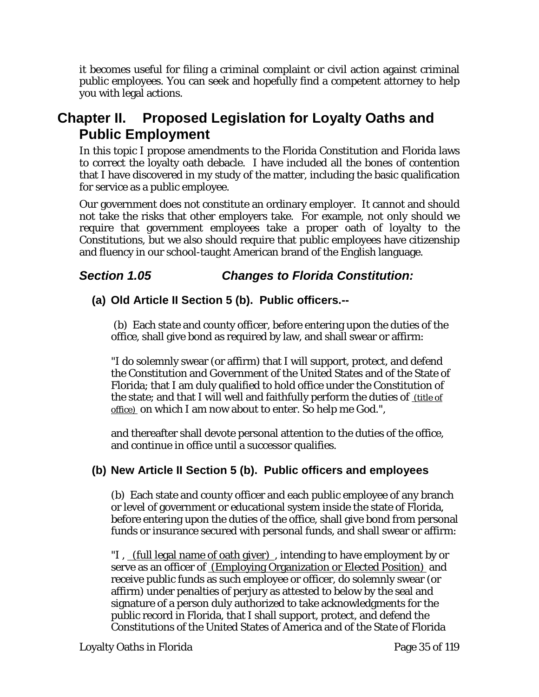it becomes useful for filing a criminal complaint or civil action against criminal public employees. You can seek and hopefully find a competent attorney to help you with legal actions.

# <span id="page-34-0"></span>**Chapter II. Proposed Legislation for Loyalty Oaths and Public Employment**

In this topic I propose amendments to the Florida Constitution and Florida laws to correct the loyalty oath debacle. I have included all the bones of contention that I have discovered in my study of the matter, including the basic qualification for service as a public employee.

Our government does not constitute an ordinary employer. It cannot and should not take the risks that other employers take. For example, not only should we require that government employees take a proper oath of loyalty to the Constitutions, but we also should require that public employees have citizenship and fluency in our school-taught American brand of the English language.

# <span id="page-34-1"></span>*Section 1.05 Changes to Florida Constitution:*

# <span id="page-34-2"></span>**(a) Old Article II Section 5 (b). Public officers.--**

(b) Each state and county officer, before entering upon the duties of the office, shall give bond as required by law, and shall swear or affirm:

"I do solemnly swear (or affirm) that I will support, protect, and defend the Constitution and Government of the United States and of the State of Florida; that I am duly qualified to hold office under the Constitution of the state; and that I will well and faithfully perform the duties of (title of office) on which I am now about to enter. So help me God.",

and thereafter shall devote personal attention to the duties of the office, and continue in office until a successor qualifies.

# <span id="page-34-3"></span>**(b) New Article II Section 5 (b). Public officers and employees**

(b) Each state and county officer and each public employee of any branch or level of government or educational system inside the state of Florida, before entering upon the duties of the office, shall give bond from personal funds or insurance secured with personal funds, and shall swear or affirm:

"I, (full legal name of oath giver), intending to have employment by or serve as an officer of (Employing Organization or Elected Position) and receive public funds as such employee or officer, do solemnly swear (or affirm) under penalties of perjury as attested to below by the seal and signature of a person duly authorized to take acknowledgments for the public record in Florida, that I shall support, protect, and defend the Constitutions of the United States of America and of the State of Florida

Loyalty Oaths in Florida **Page 35 of 119**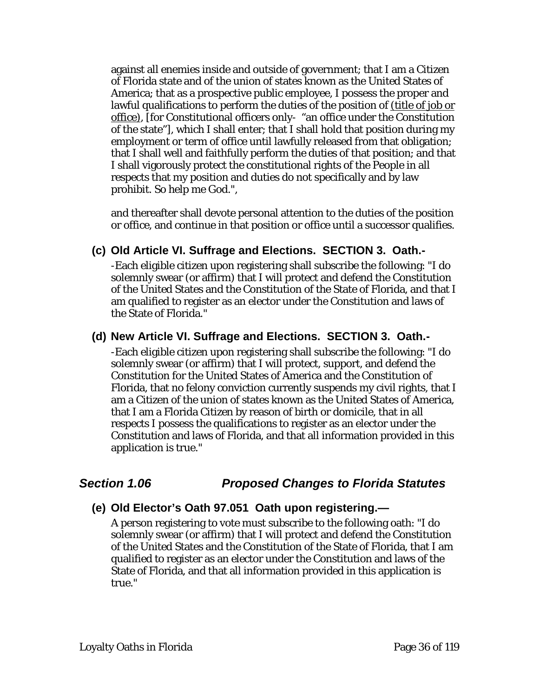against all enemies inside and outside of government; that I am a Citizen of Florida state and of the union of states known as the United States of America; that as a prospective public employee, I possess the proper and lawful qualifications to perform the duties of the position of <u>(title of job or</u> office), [for Constitutional officers only- "an office under the Constitution of the state"], which I shall enter; that I shall hold that position during my employment or term of office until lawfully released from that obligation; that I shall well and faithfully perform the duties of that position; and that I shall vigorously protect the constitutional rights of the People in all respects that my position and duties do not specifically and by law prohibit. So help me God.",

and thereafter shall devote personal attention to the duties of the position or office, and continue in that position or office until a successor qualifies.

# <span id="page-35-0"></span>**(c) Old Article VI. Suffrage and Elections. SECTION 3. Oath.-**

-Each eligible citizen upon registering shall subscribe the following: "I do solemnly swear (or affirm) that I will protect and defend the Constitution of the United States and the Constitution of the State of Florida, and that I am qualified to register as an elector under the Constitution and laws of the State of Florida."

## <span id="page-35-1"></span>**(d) New Article VI. Suffrage and Elections. SECTION 3. Oath.-**

-Each eligible citizen upon registering shall subscribe the following: "I do solemnly swear (or affirm) that I will protect, support, and defend the Constitution for the United States of America and the Constitution of Florida, that no felony conviction currently suspends my civil rights, that I am a Citizen of the union of states known as the United States of America, that I am a Florida Citizen by reason of birth or domicile, that in all respects I possess the qualifications to register as an elector under the Constitution and laws of Florida, and that all information provided in this application is true."

# <span id="page-35-2"></span>*Section 1.06 Proposed Changes to Florida Statutes*

#### <span id="page-35-3"></span>**(e) Old Elector's Oath 97.051 Oath upon registering.—**

A person registering to vote must subscribe to the following oath: "I do solemnly swear (or affirm) that I will protect and defend the Constitution of the United States and the Constitution of the State of Florida, that I am qualified to register as an elector under the Constitution and laws of the State of Florida, and that all information provided in this application is true."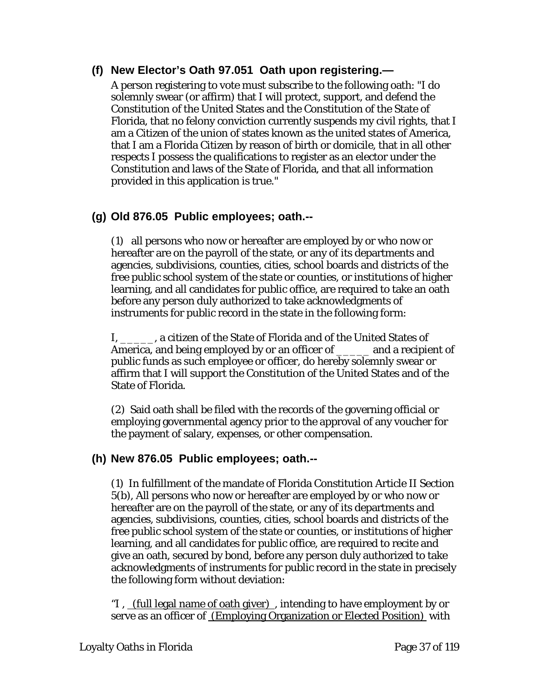#### **(f) New Elector's Oath 97.051 Oath upon registering.—**

A person registering to vote must subscribe to the following oath: "I do solemnly swear (or affirm) that I will protect, support, and defend the Constitution of the United States and the Constitution of the State of Florida, that no felony conviction currently suspends my civil rights, that I am a Citizen of the union of states known as the united states of America, that I am a Florida Citizen by reason of birth or domicile, that in all other respects I possess the qualifications to register as an elector under the Constitution and laws of the State of Florida, and that all information provided in this application is true."

### **(g) Old 876.05 Public employees; oath.--**

(1) all persons who now or hereafter are employed by or who now or hereafter are on the payroll of the state, or any of its departments and agencies, subdivisions, counties, cities, school boards and districts of the free public school system of the state or counties, or institutions of higher learning, and all candidates for public office, are required to take an oath before any person duly authorized to take acknowledgments of instruments for public record in the state in the following form:

I, \_\_\_\_\_, a citizen of the State of Florida and of the United States of America, and being employed by or an officer of and a recipient of public funds as such employee or officer, do hereby solemnly swear or affirm that I will support the Constitution of the United States and of the State of Florida.

(2) Said oath shall be filed with the records of the governing official or employing governmental agency prior to the approval of any voucher for the payment of salary, expenses, or other compensation.

### **(h) New 876.05 Public employees; oath.--**

(1) In fulfillment of the mandate of Florida Constitution Article II Section 5(b), All persons who now or hereafter are employed by or who now or hereafter are on the payroll of the state, or any of its departments and agencies, subdivisions, counties, cities, school boards and districts of the free public school system of the state or counties, or institutions of higher learning, and all candidates for public office, are required to recite and give an oath, secured by bond, before any person duly authorized to take acknowledgments of instruments for public record in the state in precisely the following form without deviation:

"I, (full legal name of oath giver), intending to have employment by or serve as an officer of (Employing Organization or Elected Position) with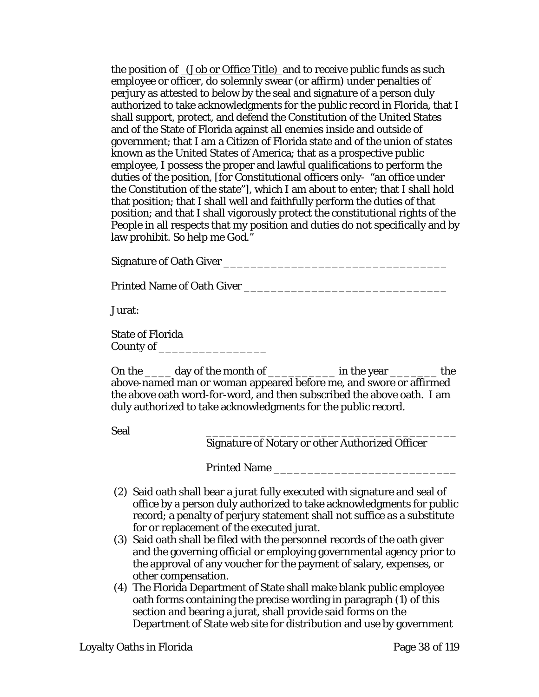the position of <u>(Job or Office Title)</u> and to receive public funds as such employee or officer, do solemnly swear (or affirm) under penalties of perjury as attested to below by the seal and signature of a person duly authorized to take acknowledgments for the public record in Florida, that I shall support, protect, and defend the Constitution of the United States and of the State of Florida against all enemies inside and outside of government; that I am a Citizen of Florida state and of the union of states known as the United States of America; that as a prospective public employee, I possess the proper and lawful qualifications to perform the duties of the position, [for Constitutional officers only- "an office under the Constitution of the state"], which I am about to enter; that I shall hold that position; that I shall well and faithfully perform the duties of that position; and that I shall vigorously protect the constitutional rights of the People in all respects that my position and duties do not specifically and by law prohibit. So help me God."

Signature of Oath Giver \_\_\_\_\_\_\_\_\_\_\_\_\_\_\_\_\_\_\_\_\_\_\_\_\_\_\_\_\_\_\_\_\_

Printed Name of Oath Giver \_\_\_\_\_\_\_\_\_\_\_\_\_\_\_\_\_\_\_\_\_\_\_\_\_\_\_\_\_\_

Jurat:

State of Florida County of \_\_\_\_\_\_\_\_\_\_\_\_\_\_\_\_

On the \_\_\_\_ day of the month of \_\_\_\_\_\_\_\_\_\_ in the year \_\_\_\_\_\_\_ the above-named man or woman appeared before me, and swore or affirmed the above oath word-for-word, and then subscribed the above oath. I am duly authorized to take acknowledgments for the public record.

Seal \_\_\_\_\_\_\_\_\_\_\_\_\_\_\_\_\_\_\_\_\_\_\_\_\_\_\_\_\_\_\_\_\_\_\_\_\_

Signature of Notary or other Authorized Officer

Printed Name

- (2) Said oath shall bear a jurat fully executed with signature and seal of office by a person duly authorized to take acknowledgments for public record; a penalty of perjury statement shall not suffice as a substitute for or replacement of the executed jurat.
- (3) Said oath shall be filed with the personnel records of the oath giver and the governing official or employing governmental agency prior to the approval of any voucher for the payment of salary, expenses, or other compensation.
- (4) The Florida Department of State shall make blank public employee oath forms containing the precise wording in paragraph (1) of this section and bearing a jurat, shall provide said forms on the Department of State web site for distribution and use by government

Loyalty Oaths in Florida Page 38 of 119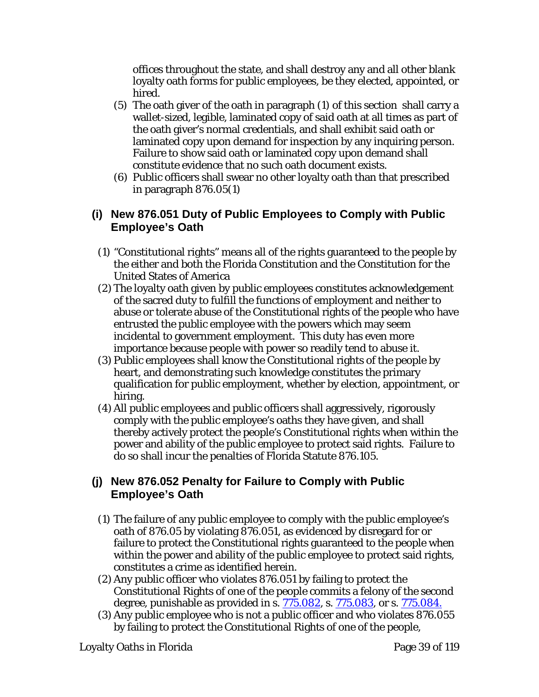offices throughout the state, and shall destroy any and all other blank loyalty oath forms for public employees, be they elected, appointed, or hired.

- (5) The oath giver of the oath in paragraph (1) of this section shall carry a wallet-sized, legible, laminated copy of said oath at all times as part of the oath giver's normal credentials, and shall exhibit said oath or laminated copy upon demand for inspection by any inquiring person. Failure to show said oath or laminated copy upon demand shall constitute evidence that no such oath document exists.
- (6) Public officers shall swear no other loyalty oath than that prescribed in paragraph 876.05(1)

### **(i) New 876.051 Duty of Public Employees to Comply with Public Employee's Oath**

- (1) "Constitutional rights" means all of the rights guaranteed to the people by the either and both the Florida Constitution and the Constitution for the United States of America
- (2) The loyalty oath given by public employees constitutes acknowledgement of the sacred duty to fulfill the functions of employment and neither to abuse or tolerate abuse of the Constitutional rights of the people who have entrusted the public employee with the powers which may seem incidental to government employment. This duty has even more importance because people with power so readily tend to abuse it.
- (3) Public employees shall know the Constitutional rights of the people by heart, and demonstrating such knowledge constitutes the primary qualification for public employment, whether by election, appointment, or hiring.
- (4) All public employees and public officers shall aggressively, rigorously comply with the public employee's oaths they have given, and shall thereby actively protect the people's Constitutional rights when within the power and ability of the public employee to protect said rights. Failure to do so shall incur the penalties of Florida Statute 876.105.

### **(j) New 876.052 Penalty for Failure to Comply with Public Employee's Oath**

- (1) The failure of any public employee to comply with the public employee's oath of 876.05 by violating 876.051, as evidenced by disregard for or failure to protect the Constitutional rights guaranteed to the people when within the power and ability of the public employee to protect said rights, constitutes a crime as identified herein.
- (2) Any public officer who violates 876.051 by failing to protect the Constitutional Rights of one of the people commits a felony of the second degree, punishable as provided in s. [775.082,](http://www.leg.state.fl.us/Statutes/index.cfm?App_mode=Display_Statute&Search_String=&URL=Ch0775/Sec082.HTM) s. [775.083,](http://www.leg.state.fl.us/Statutes/index.cfm?App_mode=Display_Statute&Search_String=&URL=Ch0775/Sec083.HTM) or s. [775.084.](http://www.leg.state.fl.us/Statutes/index.cfm?App_mode=Display_Statute&Search_String=&URL=Ch0775/Sec084.HTM)
- (3) Any public employee who is not a public officer and who violates 876.055 by failing to protect the Constitutional Rights of one of the people,

Loyalty Oaths in Florida **Page 39 of 119**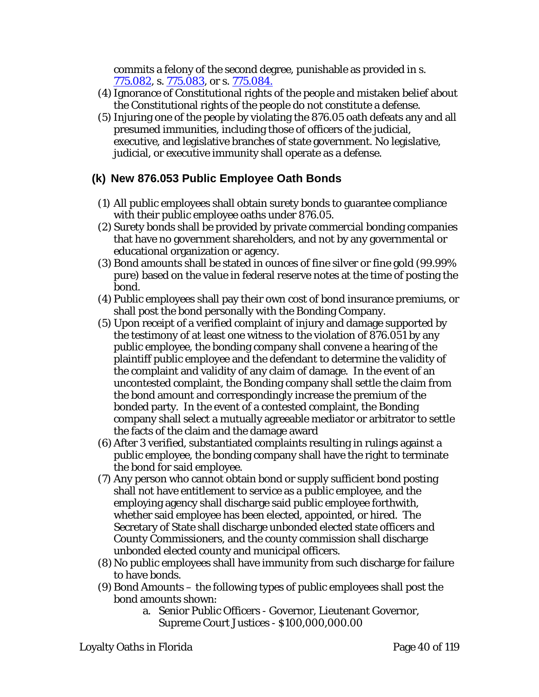commits a felony of the second degree, punishable as provided in s. [775.082,](http://www.leg.state.fl.us/Statutes/index.cfm?App_mode=Display_Statute&Search_String=&URL=Ch0775/Sec082.HTM) s. [775.083,](http://www.leg.state.fl.us/Statutes/index.cfm?App_mode=Display_Statute&Search_String=&URL=Ch0775/Sec083.HTM) or s. [775.084.](http://www.leg.state.fl.us/Statutes/index.cfm?App_mode=Display_Statute&Search_String=&URL=Ch0775/Sec084.HTM)

- (4)Ignorance of Constitutional rights of the people and mistaken belief about the Constitutional rights of the people do not constitute a defense.
- (5) Injuring one of the people by violating the 876.05 oath defeats any and all presumed immunities, including those of officers of the judicial, executive, and legislative branches of state government. No legislative, judicial, or executive immunity shall operate as a defense.

#### **(k) New 876.053 Public Employee Oath Bonds**

- (1) All public employees shall obtain surety bonds to guarantee compliance with their public employee oaths under 876.05.
- (2) Surety bonds shall be provided by private commercial bonding companies that have no government shareholders, and not by any governmental or educational organization or agency.
- (3) Bond amounts shall be stated in ounces of fine silver or fine gold (99.99% pure) based on the value in federal reserve notes at the time of posting the bond.
- (4) Public employees shall pay their own cost of bond insurance premiums, or shall post the bond personally with the Bonding Company.
- (5) Upon receipt of a verified complaint of injury and damage supported by the testimony of at least one witness to the violation of 876.051 by any public employee, the bonding company shall convene a hearing of the plaintiff public employee and the defendant to determine the validity of the complaint and validity of any claim of damage. In the event of an uncontested complaint, the Bonding company shall settle the claim from the bond amount and correspondingly increase the premium of the bonded party. In the event of a contested complaint, the Bonding company shall select a mutually agreeable mediator or arbitrator to settle the facts of the claim and the damage award
- (6) After 3 verified, substantiated complaints resulting in rulings against a public employee, the bonding company shall have the right to terminate the bond for said employee.
- (7) Any person who cannot obtain bond or supply sufficient bond posting shall not have entitlement to service as a public employee, and the employing agency shall discharge said public employee forthwith, whether said employee has been elected, appointed, or hired. The Secretary of State shall discharge unbonded elected state officers and County Commissioners, and the county commission shall discharge unbonded elected county and municipal officers.
- (8)No public employees shall have immunity from such discharge for failure to have bonds.
- (9) Bond Amounts the following types of public employees shall post the bond amounts shown:
	- a. Senior Public Officers Governor, Lieutenant Governor, Supreme Court Justices - \$100,000,000.00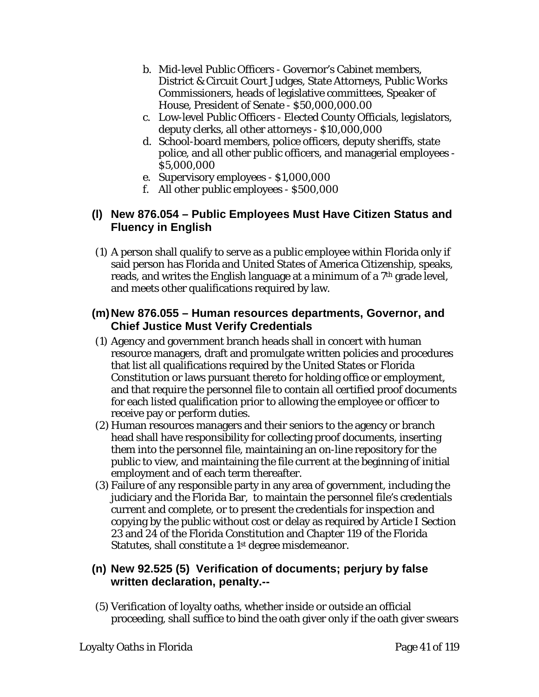- b. Mid-level Public Officers Governor's Cabinet members, District & Circuit Court Judges, State Attorneys, Public Works Commissioners, heads of legislative committees, Speaker of House, President of Senate - \$50,000,000.00
- c. Low-level Public Officers Elected County Officials, legislators, deputy clerks, all other attorneys - \$10,000,000
- d. School-board members, police officers, deputy sheriffs, state police, and all other public officers, and managerial employees - \$5,000,000
- e. Supervisory employees \$1,000,000
- f. All other public employees \$500,000

### **(l) New 876.054 – Public Employees Must Have Citizen Status and Fluency in English**

(1) A person shall qualify to serve as a public employee within Florida only if said person has Florida and United States of America Citizenship, speaks, reads, and writes the English language at a minimum of a 7th grade level, and meets other qualifications required by law.

### **(m)New 876.055 – Human resources departments, Governor, and Chief Justice Must Verify Credentials**

- (1) Agency and government branch heads shall in concert with human resource managers, draft and promulgate written policies and procedures that list all qualifications required by the United States or Florida Constitution or laws pursuant thereto for holding office or employment, and that require the personnel file to contain all certified proof documents for each listed qualification prior to allowing the employee or officer to receive pay or perform duties.
- (2) Human resources managers and their seniors to the agency or branch head shall have responsibility for collecting proof documents, inserting them into the personnel file, maintaining an on-line repository for the public to view, and maintaining the file current at the beginning of initial employment and of each term thereafter.
- (3) Failure of any responsible party in any area of government, including the judiciary and the Florida Bar, to maintain the personnel file's credentials current and complete, or to present the credentials for inspection and copying by the public without cost or delay as required by Article I Section 23 and 24 of the Florida Constitution and Chapter 119 of the Florida Statutes, shall constitute a 1<sup>st</sup> degree misdemeanor.

### **(n) New 92.525 (5) Verification of documents; perjury by false written declaration, penalty.--**

(5) Verification of loyalty oaths, whether inside or outside an official proceeding, shall suffice to bind the oath giver only if the oath giver swears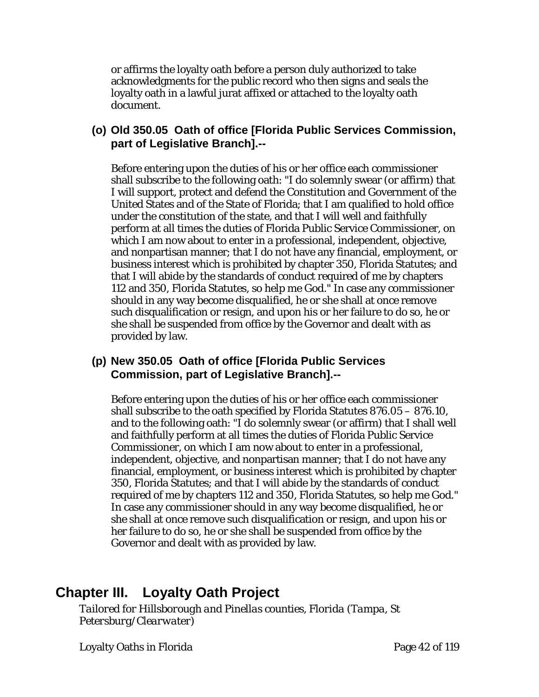or affirms the loyalty oath before a person duly authorized to take acknowledgments for the public record who then signs and seals the loyalty oath in a lawful jurat affixed or attached to the loyalty oath document.

### **(o) Old 350.05 Oath of office [Florida Public Services Commission, part of Legislative Branch].--**

Before entering upon the duties of his or her office each commissioner shall subscribe to the following oath: "I do solemnly swear (or affirm) that I will support, protect and defend the Constitution and Government of the United States and of the State of Florida; that I am qualified to hold office under the constitution of the state, and that I will well and faithfully perform at all times the duties of Florida Public Service Commissioner, on which I am now about to enter in a professional, independent, objective, and nonpartisan manner; that I do not have any financial, employment, or business interest which is prohibited by chapter 350, Florida Statutes; and that I will abide by the standards of conduct required of me by chapters 112 and 350, Florida Statutes, so help me God." In case any commissioner should in any way become disqualified, he or she shall at once remove such disqualification or resign, and upon his or her failure to do so, he or she shall be suspended from office by the Governor and dealt with as provided by law.

#### **(p) New 350.05 Oath of office [Florida Public Services Commission, part of Legislative Branch].--**

Before entering upon the duties of his or her office each commissioner shall subscribe to the oath specified by Florida Statutes 876.05 – 876.10, and to the following oath: "I do solemnly swear (or affirm) that I shall well and faithfully perform at all times the duties of Florida Public Service Commissioner, on which I am now about to enter in a professional, independent, objective, and nonpartisan manner; that I do not have any financial, employment, or business interest which is prohibited by chapter 350, Florida Statutes; and that I will abide by the standards of conduct required of me by chapters 112 and 350, Florida Statutes, so help me God." In case any commissioner should in any way become disqualified, he or she shall at once remove such disqualification or resign, and upon his or her failure to do so, he or she shall be suspended from office by the Governor and dealt with as provided by law.

# **Chapter III. Loyalty Oath Project**

*Tailored for Hillsborough and Pinellas counties, Florida (Tampa, St Petersburg/Clearwater)*

Loyalty Oaths in Florida Page 42 of 119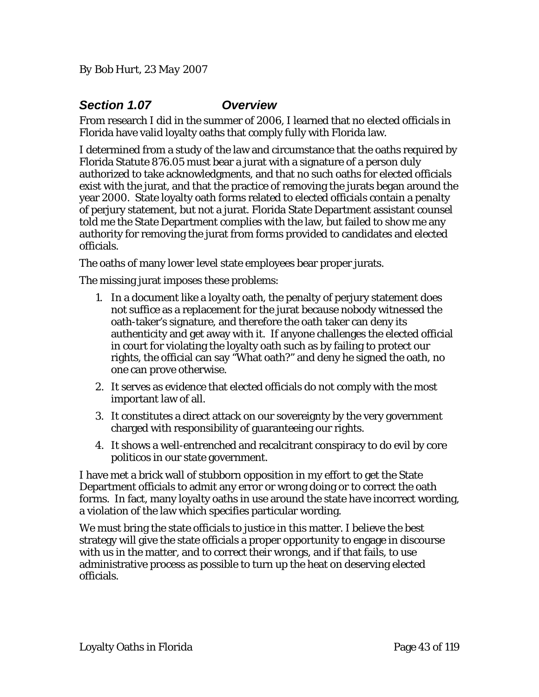*By Bob Hurt, 23 May 2007*

# *Section 1.07 Overview*

From research I did in the summer of 2006, I learned that no elected officials in Florida have valid loyalty oaths that comply fully with Florida law.

I determined from a study of the law and circumstance that the oaths required by Florida Statute 876.05 must bear a jurat with a signature of a person duly authorized to take acknowledgments, and that no such oaths for elected officials exist with the jurat, and that the practice of removing the jurats began around the year 2000. State loyalty oath forms related to elected officials contain a penalty of perjury statement, but not a jurat. Florida State Department assistant counsel told me the State Department complies with the law, but failed to show me any authority for removing the jurat from forms provided to candidates and elected officials.

The oaths of many lower level state employees bear proper jurats.

The missing jurat imposes these problems:

- 1. In a document like a loyalty oath, the penalty of perjury statement does not suffice as a replacement for the jurat because nobody witnessed the oath-taker's signature, and therefore the oath taker can deny its authenticity and get away with it. If anyone challenges the elected official in court for violating the loyalty oath such as by failing to protect our rights, the official can say "What oath?" and deny he signed the oath, no one can prove otherwise.
- 2. It serves as evidence that elected officials do not comply with the most important law of all.
- 3. It constitutes a direct attack on our sovereignty by the very government charged with responsibility of guaranteeing our rights.
- 4. It shows a well-entrenched and recalcitrant conspiracy to do evil by core politicos in our state government.

I have met a brick wall of stubborn opposition in my effort to get the State Department officials to admit any error or wrong doing or to correct the oath forms. In fact, many loyalty oaths in use around the state have incorrect wording, a violation of the law which specifies particular wording.

We must bring the state officials to justice in this matter. I believe the best strategy will give the state officials a proper opportunity to engage in discourse with us in the matter, and to correct their wrongs, and if that fails, to use administrative process as possible to turn up the heat on deserving elected officials.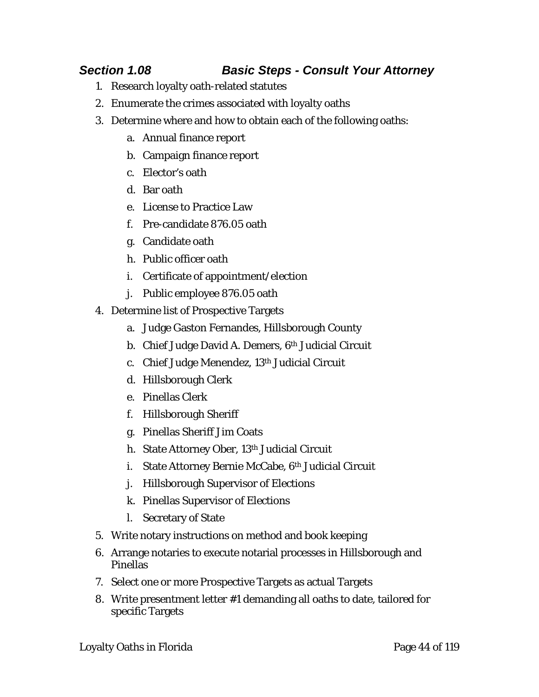# *Section 1.08 Basic Steps - Consult Your Attorney*

- 1. Research loyalty oath-related statutes
- 2. Enumerate the crimes associated with loyalty oaths
- 3. Determine where and how to obtain each of the following oaths:
	- a. Annual finance report
	- b. Campaign finance report
	- c. Elector's oath
	- d. Bar oath
	- e. License to Practice Law
	- f. Pre-candidate 876.05 oath
	- g. Candidate oath
	- h. Public officer oath
	- i. Certificate of appointment/election
	- j. Public employee 876.05 oath
- 4. Determine list of Prospective Targets
	- a. Judge Gaston Fernandes, Hillsborough County
	- b. Chief Judge David A. Demers, 6th Judicial Circuit
	- c. Chief Judge Menendez, 13th Judicial Circuit
	- d. Hillsborough Clerk
	- e. Pinellas Clerk
	- f. Hillsborough Sheriff
	- g. Pinellas Sheriff Jim Coats
	- h. State Attorney Ober, 13th Judicial Circuit
	- i. State Attorney Bernie McCabe, 6<sup>th</sup> Judicial Circuit
	- j. Hillsborough Supervisor of Elections
	- k. Pinellas Supervisor of Elections
	- l. Secretary of State
- 5. Write notary instructions on method and book keeping
- 6. Arrange notaries to execute notarial processes in Hillsborough and Pinellas
- 7. Select one or more Prospective Targets as actual Targets
- 8. Write presentment letter #1 demanding all oaths to date, tailored for specific Targets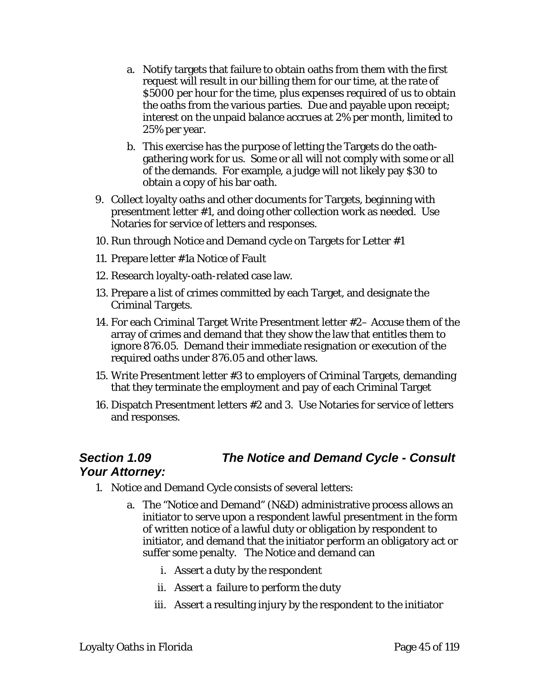- a. Notify targets that failure to obtain oaths from them with the first request will result in our billing them for our time, at the rate of \$5000 per hour for the time, plus expenses required of us to obtain the oaths from the various parties. Due and payable upon receipt; interest on the unpaid balance accrues at 2% per month, limited to 25% per year.
- b. This exercise has the purpose of letting the Targets do the oathgathering work for us. Some or all will not comply with some or all of the demands. For example, a judge will not likely pay \$30 to obtain a copy of his bar oath.
- 9. Collect loyalty oaths and other documents for Targets, beginning with presentment letter #1, and doing other collection work as needed. Use Notaries for service of letters and responses.
- 10. Run through Notice and Demand cycle on Targets for Letter #1
- 11. Prepare letter #1a Notice of Fault
- 12. Research loyalty-oath-related case law.
- 13. Prepare a list of crimes committed by each Target, and designate the Criminal Targets.
- 14. For each Criminal Target Write Presentment letter #2– Accuse them of the array of crimes and demand that they show the law that entitles them to ignore 876.05. Demand their immediate resignation or execution of the required oaths under 876.05 and other laws.
- 15. Write Presentment letter #3 to employers of Criminal Targets, demanding that they terminate the employment and pay of each Criminal Target
- 16. Dispatch Presentment letters #2 and 3. Use Notaries for service of letters and responses.

### *Section 1.09 The Notice and Demand Cycle - Consult Your Attorney:*

- 1. Notice and Demand Cycle consists of several letters:
	- a. The "Notice and Demand" (N&D) administrative process allows an initiator to serve upon a respondent lawful presentment in the form of written notice of a lawful duty or obligation by respondent to initiator, and demand that the initiator perform an obligatory act or suffer some penalty. The Notice and demand can
		- i. Assert a duty by the respondent
		- ii. Assert a failure to perform the duty
		- iii. Assert a resulting injury by the respondent to the initiator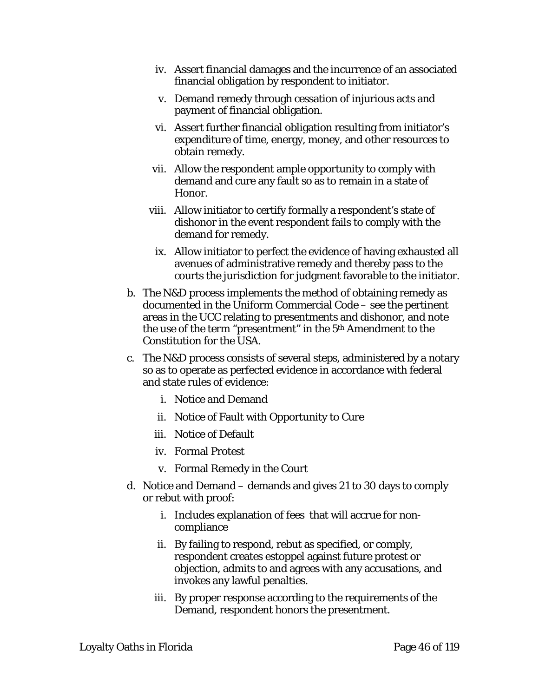- iv. Assert financial damages and the incurrence of an associated financial obligation by respondent to initiator.
- v. Demand remedy through cessation of injurious acts and payment of financial obligation.
- vi. Assert further financial obligation resulting from initiator's expenditure of time, energy, money, and other resources to obtain remedy.
- vii. Allow the respondent ample opportunity to comply with demand and cure any fault so as to remain in a state of Honor.
- viii. Allow initiator to certify formally a respondent's state of dishonor in the event respondent fails to comply with the demand for remedy.
	- ix. Allow initiator to perfect the evidence of having exhausted all avenues of administrative remedy and thereby pass to the courts the jurisdiction for judgment favorable to the initiator.
- b. The N&D process implements the method of obtaining remedy as documented in the Uniform Commercial Code – see the pertinent areas in the UCC relating to presentments and dishonor, and note the use of the term "presentment" in the 5th Amendment to the Constitution for the USA.
- c. The N&D process consists of several steps, administered by a notary so as to operate as perfected evidence in accordance with federal and state rules of evidence:
	- i. Notice and Demand
	- ii. Notice of Fault with Opportunity to Cure
	- iii. Notice of Default
	- iv. Formal Protest
	- v. Formal Remedy in the Court
- d. Notice and Demand demands and gives 21 to 30 days to comply or rebut with proof:
	- i. Includes explanation of fees that will accrue for noncompliance
	- ii. By failing to respond, rebut as specified, or comply, respondent creates estoppel against future protest or objection, admits to and agrees with any accusations, and invokes any lawful penalties.
	- iii. By proper response according to the requirements of the Demand, respondent honors the presentment.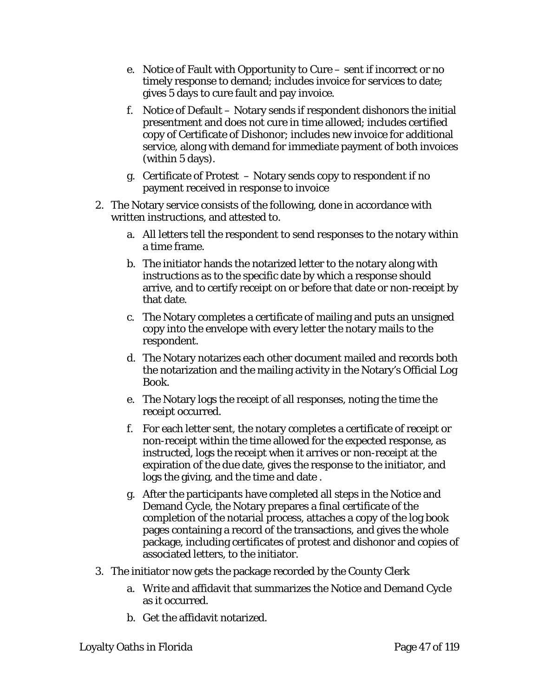- e. Notice of Fault with Opportunity to Cure sent if incorrect or no timely response to demand; includes invoice for services to date; gives 5 days to cure fault and pay invoice.
- f. Notice of Default Notary sends if respondent dishonors the initial presentment and does not cure in time allowed; includes certified copy of Certificate of Dishonor; includes new invoice for additional service, along with demand for immediate payment of both invoices (within 5 days).
- g. Certificate of Protest Notary sends copy to respondent if no payment received in response to invoice
- 2. The Notary service consists of the following, done in accordance with written instructions, and attested to.
	- a. All letters tell the respondent to send responses to the notary within a time frame.
	- b. The initiator hands the notarized letter to the notary along with instructions as to the specific date by which a response should arrive, and to certify receipt on or before that date or non-receipt by that date.
	- c. The Notary completes a certificate of mailing and puts an unsigned copy into the envelope with every letter the notary mails to the respondent.
	- d. The Notary notarizes each other document mailed and records both the notarization and the mailing activity in the Notary's Official Log Book.
	- e. The Notary logs the receipt of all responses, noting the time the receipt occurred.
	- f. For each letter sent, the notary completes a certificate of receipt or non-receipt within the time allowed for the expected response, as instructed, logs the receipt when it arrives or non-receipt at the expiration of the due date, gives the response to the initiator, and logs the giving, and the time and date .
	- g. After the participants have completed all steps in the Notice and Demand Cycle, the Notary prepares a final certificate of the completion of the notarial process, attaches a copy of the log book pages containing a record of the transactions, and gives the whole package, including certificates of protest and dishonor and copies of associated letters, to the initiator.
- 3. The initiator now gets the package recorded by the County Clerk
	- a. Write and affidavit that summarizes the Notice and Demand Cycle as it occurred.
	- b. Get the affidavit notarized.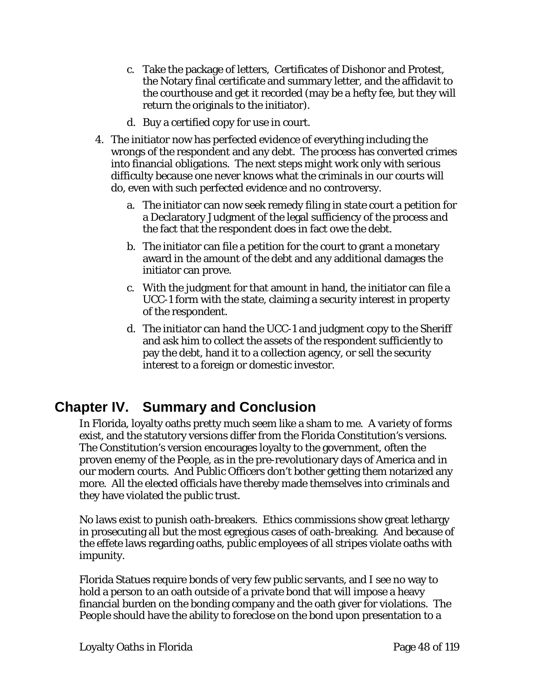- c. Take the package of letters, Certificates of Dishonor and Protest, the Notary final certificate and summary letter, and the affidavit to the courthouse and get it recorded (may be a hefty fee, but they will return the originals to the initiator).
- d. Buy a certified copy for use in court.
- 4. The initiator now has perfected evidence of everything including the wrongs of the respondent and any debt. The process has converted crimes into financial obligations. The next steps might work only with serious difficulty because one never knows what the criminals in our courts will do, even with such perfected evidence and no controversy.
	- a. The initiator can now seek remedy filing in state court a petition for a Declaratory Judgment of the legal sufficiency of the process and the fact that the respondent does in fact owe the debt.
	- b. The initiator can file a petition for the court to grant a monetary award in the amount of the debt and any additional damages the initiator can prove.
	- c. With the judgment for that amount in hand, the initiator can file a UCC-1 form with the state, claiming a security interest in property of the respondent.
	- d. The initiator can hand the UCC-1 and judgment copy to the Sheriff and ask him to collect the assets of the respondent sufficiently to pay the debt, hand it to a collection agency, or sell the security interest to a foreign or domestic investor.

# **Chapter IV. Summary and Conclusion**

In Florida, loyalty oaths pretty much seem like a sham to me. A variety of forms exist, and the statutory versions differ from the Florida Constitution's versions. The Constitution's version encourages loyalty to the government, often the proven enemy of the People, as in the pre-revolutionary days of America and in our modern courts. And Public Officers don't bother getting them notarized any more. All the elected officials have thereby made themselves into criminals and they have violated the public trust.

No laws exist to punish oath-breakers. Ethics commissions show great lethargy in prosecuting all but the most egregious cases of oath-breaking. And because of the effete laws regarding oaths, public employees of all stripes violate oaths with impunity.

Florida Statues require bonds of very few public servants, and I see no way to hold a person to an oath outside of a private bond that will impose a heavy financial burden on the bonding company and the oath giver for violations. The People should have the ability to foreclose on the bond upon presentation to a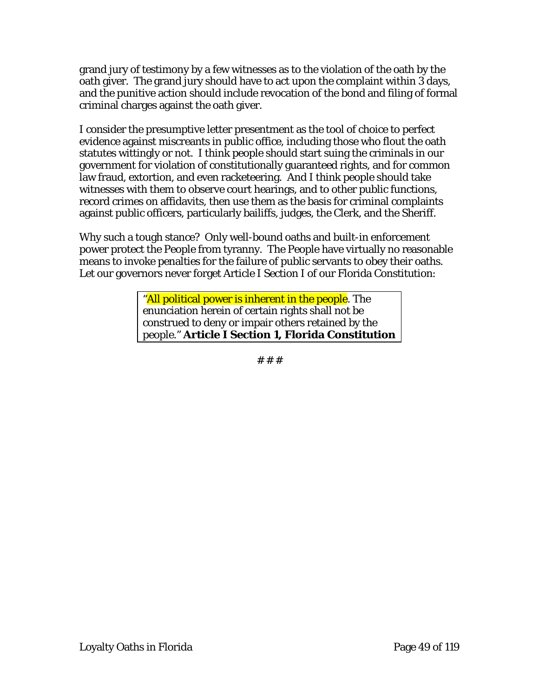grand jury of testimony by a few witnesses as to the violation of the oath by the oath giver. The grand jury should have to act upon the complaint within 3 days, and the punitive action should include revocation of the bond and filing of formal criminal charges against the oath giver.

I consider the presumptive letter presentment as the tool of choice to perfect evidence against miscreants in public office, including those who flout the oath statutes wittingly or not. I think people should start suing the criminals in our government for violation of constitutionally guaranteed rights, and for common law fraud, extortion, and even racketeering. And I think people should take witnesses with them to observe court hearings, and to other public functions, record crimes on affidavits, then use them as the basis for criminal complaints against public officers, particularly bailiffs, judges, the Clerk, and the Sheriff.

Why such a tough stance? Only well-bound oaths and built-in enforcement power protect the People from tyranny. The People have virtually no reasonable means to invoke penalties for the failure of public servants to obey their oaths. Let our governors never forget Article I Section I of our Florida Constitution:

> "All political power is inherent in the people. The enunciation herein of certain rights shall not be construed to deny or impair others retained by the people." **Article I Section 1, Florida Constitution**

> > # # #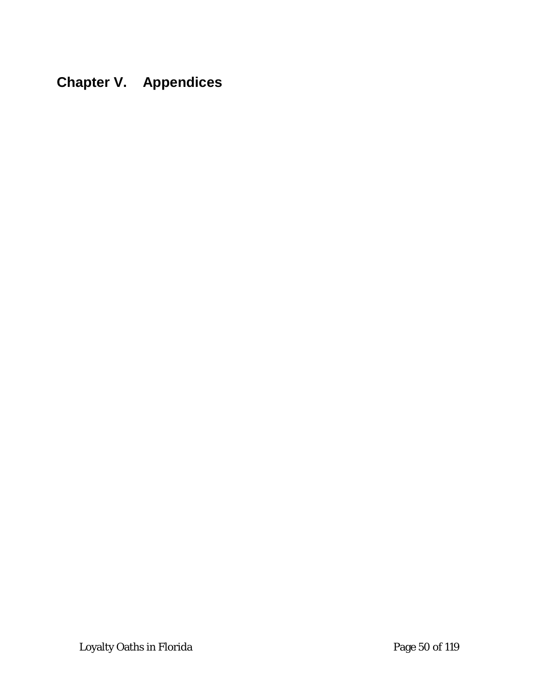**Chapter V. Appendices**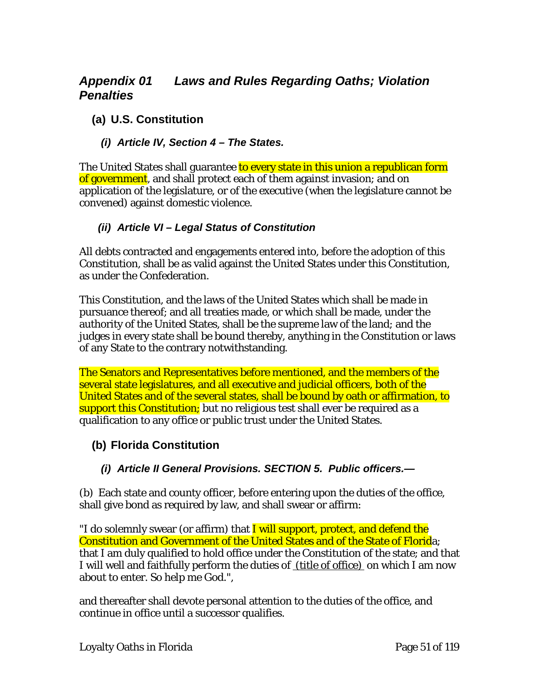# *Appendix 01 Laws and Rules Regarding Oaths; Violation Penalties*

### **(a) U.S. Constitution**

#### *(i) Article IV, Section 4 – The States.*

The United States shall guarantee to every state in this union a republican form of government, and shall protect each of them against invasion; and on application of the legislature, or of the executive (when the legislature cannot be convened) against domestic violence.

#### *(ii) Article VI – Legal Status of Constitution*

All debts contracted and engagements entered into, before the adoption of this Constitution, shall be as valid against the United States under this Constitution, as under the Confederation.

This Constitution, and the laws of the United States which shall be made in pursuance thereof; and all treaties made, or which shall be made, under the authority of the United States, shall be the supreme law of the land; and the judges in every state shall be bound thereby, anything in the Constitution or laws of any State to the contrary notwithstanding.

The Senators and Representatives before mentioned, and the members of the several state legislatures, and all executive and judicial officers, both of the United States and of the several states, shall be bound by oath or affirmation, to support this Constitution; but no religious test shall ever be required as a qualification to any office or public trust under the United States.

### **(b) Florida Constitution**

#### *(i) Article II General Provisions. SECTION 5. Public officers.—*

(b) Each state and county officer, before entering upon the duties of the office, shall give bond as required by law, and shall swear or affirm:

"I do solemnly swear (or affirm) that **I will support, protect, and defend the** Constitution and Government of the United States and of the State of Florida; that I am duly qualified to hold office under the Constitution of the state; and that I will well and faithfully perform the duties of <u>(title of office)</u> on which I am now about to enter. So help me God.",

and thereafter shall devote personal attention to the duties of the office, and continue in office until a successor qualifies.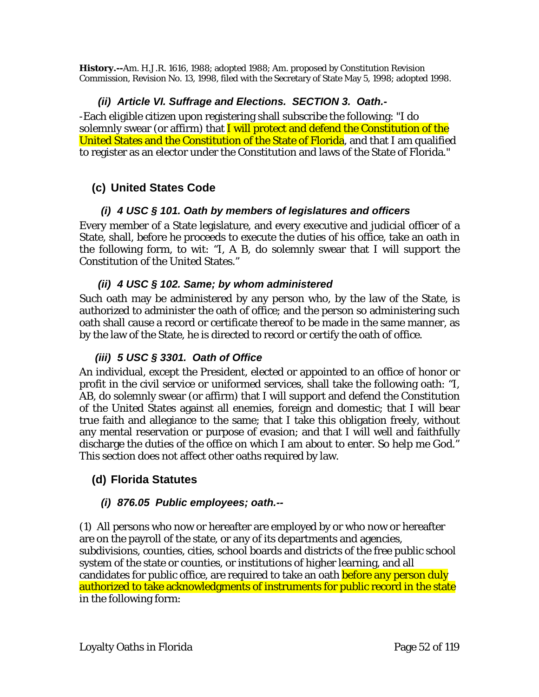**History.--**Am. H.J.R. 1616, 1988; adopted 1988; Am. proposed by Constitution Revision Commission, Revision No. 13, 1998, filed with the Secretary of State May 5, 1998; adopted 1998.

#### *(ii) Article VI. Suffrage and Elections. SECTION 3. Oath.-*

-Each eligible citizen upon registering shall subscribe the following: "I do solemnly swear (or affirm) that I will protect and defend the Constitution of the United States and the Constitution of the State of Florida, and that I am qualified to register as an elector under the Constitution and laws of the State of Florida."

## **(c) United States Code**

#### *(i) 4 USC § 101. Oath by members of legislatures and officers*

Every member of a State legislature, and every executive and judicial officer of a State, shall, before he proceeds to execute the duties of his office, take an oath in the following form, to wit: "I, A B, do solemnly swear that I will support the Constitution of the United States."

#### *(ii) 4 USC § 102. Same; by whom administered*

Such oath may be administered by any person who, by the law of the State, is authorized to administer the oath of office; and the person so administering such oath shall cause a record or certificate thereof to be made in the same manner, as by the law of the State, he is directed to record or certify the oath of office.

### *(iii) 5 USC § 3301. Oath of Office*

An individual, except the President, elected or appointed to an office of honor or profit in the civil service or uniformed services, shall take the following oath: "I, AB, do solemnly swear (or affirm) that I will support and defend the Constitution of the United States against all enemies, foreign and domestic; that I will bear true faith and allegiance to the same; that I take this obligation freely, without any mental reservation or purpose of evasion; and that I will well and faithfully discharge the duties of the office on which I am about to enter. So help me God." This section does not affect other oaths required by law.

### **(d) Florida Statutes**

### *(i) 876.05 Public employees; oath.--*

(1) All persons who now or hereafter are employed by or who now or hereafter are on the payroll of the state, or any of its departments and agencies, subdivisions, counties, cities, school boards and districts of the free public school system of the state or counties, or institutions of higher learning, and all candidates for public office, are required to take an oath **before any person duly** authorized to take acknowledgments of instruments for public record in the state in the following form: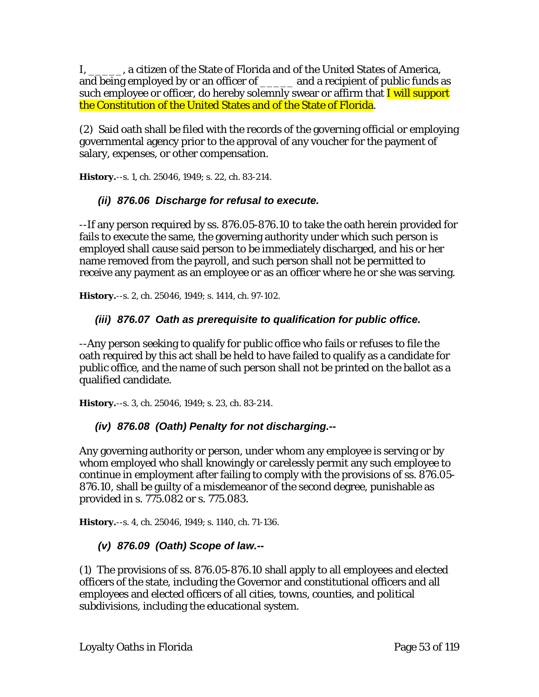I, \_\_\_\_\_, a citizen of the State of Florida and of the United States of America, and being employed by or an officer of \_\_\_\_\_\_ and a recipient of public funds as such employee or officer, do hereby solemnly swear or affirm that **I will support** the Constitution of the United States and of the State of Florida.

(2) Said oath shall be filed with the records of the governing official or employing governmental agency prior to the approval of any voucher for the payment of salary, expenses, or other compensation.

**History.**--s. 1, ch. 25046, 1949; s. 22, ch. 83-214.

### *(ii) 876.06 Discharge for refusal to execute.*

--If any person required by ss. 876.05-876.10 to take the oath herein provided for fails to execute the same, the governing authority under which such person is employed shall cause said person to be immediately discharged, and his or her name removed from the payroll, and such person shall not be permitted to receive any payment as an employee or as an officer where he or she was serving.

**History.**--s. 2, ch. 25046, 1949; s. 1414, ch. 97-102.

#### *(iii) 876.07 Oath as prerequisite to qualification for public office.*

--Any person seeking to qualify for public office who fails or refuses to file the oath required by this act shall be held to have failed to qualify as a candidate for public office, and the name of such person shall not be printed on the ballot as a qualified candidate.

**History.**--s. 3, ch. 25046, 1949; s. 23, ch. 83-214.

### *(iv) 876.08 (Oath) Penalty for not discharging.--*

Any governing authority or person, under whom any employee is serving or by whom employed who shall knowingly or carelessly permit any such employee to continue in employment after failing to comply with the provisions of ss. 876.05- 876.10, shall be guilty of a misdemeanor of the second degree, punishable as provided in s. 775.082 or s. 775.083.

**History.**--s. 4, ch. 25046, 1949; s. 1140, ch. 71-136.

### *(v) 876.09 (Oath) Scope of law.--*

(1) The provisions of ss. 876.05-876.10 shall apply to all employees and elected officers of the state, including the Governor and constitutional officers and all employees and elected officers of all cities, towns, counties, and political subdivisions, including the educational system.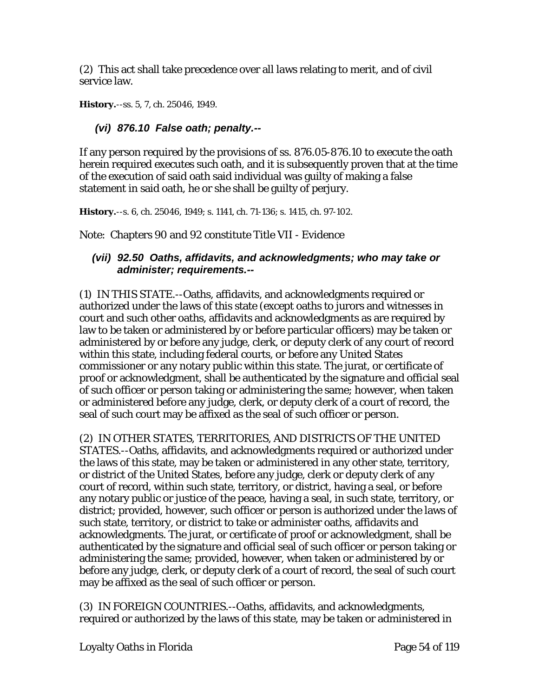(2) This act shall take precedence over all laws relating to merit, and of civil service law.

**History.**--ss. 5, 7, ch. 25046, 1949.

#### *(vi) 876.10 False oath; penalty.--*

If any person required by the provisions of ss. 876.05-876.10 to execute the oath herein required executes such oath, and it is subsequently proven that at the time of the execution of said oath said individual was guilty of making a false statement in said oath, he or she shall be guilty of perjury.

**History.**--s. 6, ch. 25046, 1949; s. 1141, ch. 71-136; s. 1415, ch. 97-102.

Note: Chapters 90 and 92 constitute Title VII - Evidence

#### *(vii) 92.50 Oaths, affidavits, and acknowledgments; who may take or administer; requirements.--*

(1) IN THIS STATE.--Oaths, affidavits, and acknowledgments required or authorized under the laws of this state (except oaths to jurors and witnesses in court and such other oaths, affidavits and acknowledgments as are required by law to be taken or administered by or before particular officers) may be taken or administered by or before any judge, clerk, or deputy clerk of any court of record within this state, including federal courts, or before any United States commissioner or any notary public within this state. The jurat, or certificate of proof or acknowledgment, shall be authenticated by the signature and official seal of such officer or person taking or administering the same; however, when taken or administered before any judge, clerk, or deputy clerk of a court of record, the seal of such court may be affixed as the seal of such officer or person.

(2) IN OTHER STATES, TERRITORIES, AND DISTRICTS OF THE UNITED STATES.--Oaths, affidavits, and acknowledgments required or authorized under the laws of this state, may be taken or administered in any other state, territory, or district of the United States, before any judge, clerk or deputy clerk of any court of record, within such state, territory, or district, having a seal, or before any notary public or justice of the peace, having a seal, in such state, territory, or district; provided, however, such officer or person is authorized under the laws of such state, territory, or district to take or administer oaths, affidavits and acknowledgments. The jurat, or certificate of proof or acknowledgment, shall be authenticated by the signature and official seal of such officer or person taking or administering the same; provided, however, when taken or administered by or before any judge, clerk, or deputy clerk of a court of record, the seal of such court may be affixed as the seal of such officer or person.

(3) IN FOREIGN COUNTRIES.--Oaths, affidavits, and acknowledgments, required or authorized by the laws of this state, may be taken or administered in

Loyalty Oaths in Florida **Page 54 of 119**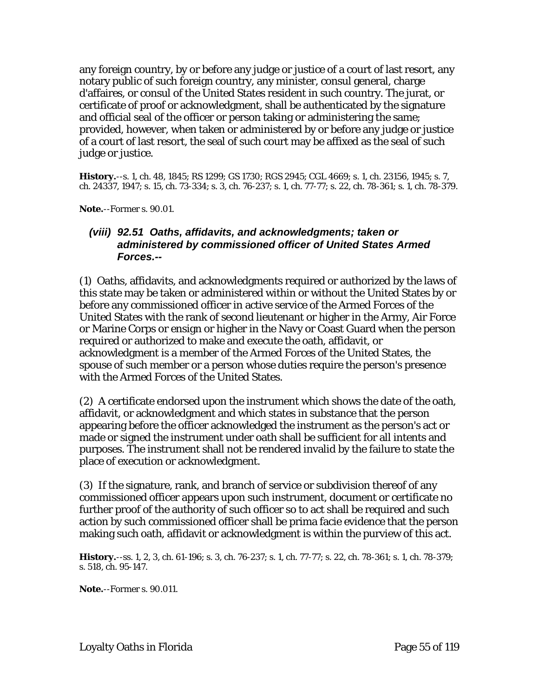any foreign country, by or before any judge or justice of a court of last resort, any notary public of such foreign country, any minister, consul general, charge d'affaires, or consul of the United States resident in such country. The jurat, or certificate of proof or acknowledgment, shall be authenticated by the signature and official seal of the officer or person taking or administering the same; provided, however, when taken or administered by or before any judge or justice of a court of last resort, the seal of such court may be affixed as the seal of such judge or justice.

**History.**--s. 1, ch. 48, 1845; RS 1299; GS 1730; RGS 2945; CGL 4669; s. 1, ch. 23156, 1945; s. 7, ch. 24337, 1947; s. 15, ch. 73-334; s. 3, ch. 76-237; s. 1, ch. 77-77; s. 22, ch. 78-361; s. 1, ch. 78-379.

**Note.**--Former s. 90.01.

#### *(viii) 92.51 Oaths, affidavits, and acknowledgments; taken or administered by commissioned officer of United States Armed Forces.--*

(1) Oaths, affidavits, and acknowledgments required or authorized by the laws of this state may be taken or administered within or without the United States by or before any commissioned officer in active service of the Armed Forces of the United States with the rank of second lieutenant or higher in the Army, Air Force or Marine Corps or ensign or higher in the Navy or Coast Guard when the person required or authorized to make and execute the oath, affidavit, or acknowledgment is a member of the Armed Forces of the United States, the spouse of such member or a person whose duties require the person's presence with the Armed Forces of the United States.

(2) A certificate endorsed upon the instrument which shows the date of the oath, affidavit, or acknowledgment and which states in substance that the person appearing before the officer acknowledged the instrument as the person's act or made or signed the instrument under oath shall be sufficient for all intents and purposes. The instrument shall not be rendered invalid by the failure to state the place of execution or acknowledgment.

(3) If the signature, rank, and branch of service or subdivision thereof of any commissioned officer appears upon such instrument, document or certificate no further proof of the authority of such officer so to act shall be required and such action by such commissioned officer shall be prima facie evidence that the person making such oath, affidavit or acknowledgment is within the purview of this act.

**History.**--ss. 1, 2, 3, ch. 61-196; s. 3, ch. 76-237; s. 1, ch. 77-77; s. 22, ch. 78-361; s. 1, ch. 78-379; s. 518, ch. 95-147.

**Note.**--Former s. 90.011.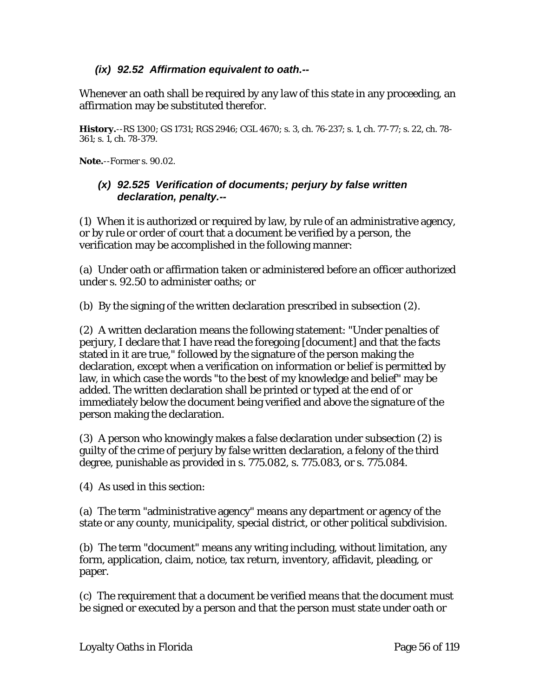#### *(ix) 92.52 Affirmation equivalent to oath.--*

Whenever an oath shall be required by any law of this state in any proceeding, an affirmation may be substituted therefor.

**History.**--RS 1300; GS 1731; RGS 2946; CGL 4670; s. 3, ch. 76-237; s. 1, ch. 77-77; s. 22, ch. 78- 361; s. 1, ch. 78-379.

**Note.**--Former s. 90.02.

#### *(x) 92.525 Verification of documents; perjury by false written declaration, penalty.--*

(1) When it is authorized or required by law, by rule of an administrative agency, or by rule or order of court that a document be verified by a person, the verification may be accomplished in the following manner:

(a) Under oath or affirmation taken or administered before an officer authorized under s. 92.50 to administer oaths; or

(b) By the signing of the written declaration prescribed in subsection (2).

(2) A written declaration means the following statement: "Under penalties of perjury, I declare that I have read the foregoing [document] and that the facts stated in it are true," followed by the signature of the person making the declaration, except when a verification on information or belief is permitted by law, in which case the words "to the best of my knowledge and belief" may be added. The written declaration shall be printed or typed at the end of or immediately below the document being verified and above the signature of the person making the declaration.

(3) A person who knowingly makes a false declaration under subsection (2) is guilty of the crime of perjury by false written declaration, a felony of the third degree, punishable as provided in s. 775.082, s. 775.083, or s. 775.084.

(4) As used in this section:

(a) The term "administrative agency" means any department or agency of the state or any county, municipality, special district, or other political subdivision.

(b) The term "document" means any writing including, without limitation, any form, application, claim, notice, tax return, inventory, affidavit, pleading, or paper.

(c) The requirement that a document be verified means that the document must be signed or executed by a person and that the person must state under oath or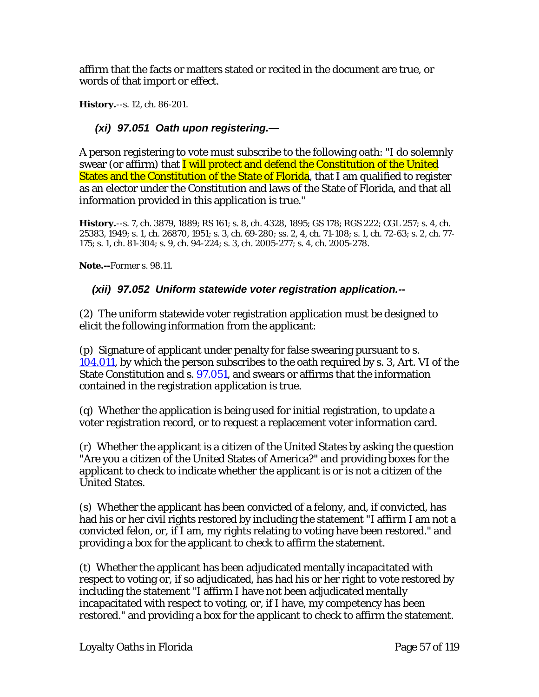affirm that the facts or matters stated or recited in the document are true, or words of that import or effect.

**History.**--s. 12, ch. 86-201.

#### *(xi) 97.051 Oath upon registering.—*

A person registering to vote must subscribe to the following oath: "I do solemnly swear (or affirm) that **I will protect and defend the Constitution of the United** States and the Constitution of the State of Florida, that I am qualified to register as an elector under the Constitution and laws of the State of Florida, and that all information provided in this application is true."

**History.**--s. 7, ch. 3879, 1889; RS 161; s. 8, ch. 4328, 1895; GS 178; RGS 222; CGL 257; s. 4, ch. 25383, 1949; s. 1, ch. 26870, 1951; s. 3, ch. 69-280; ss. 2, 4, ch. 71-108; s. 1, ch. 72-63; s. 2, ch. 77- 175; s. 1, ch. 81-304; s. 9, ch. 94-224; s. 3, ch. 2005-277; s. 4, ch. 2005-278.

**Note.--**Former s. 98.11.

#### *(xii) 97.052 Uniform statewide voter registration application.--*

(2) The uniform statewide voter registration application must be designed to elicit the following information from the applicant:

(p) Signature of applicant under penalty for false swearing pursuant to s. [104.011,](http://www.leg.state.fl.us/statutes/index.cfm?App_mode=Display_Statute&Search_String=swear&URL=Ch0104/Sec011.HTM) by which the person subscribes to the oath required by s. 3, Art. VI of the State Constitution and s. [97.051,](http://www.leg.state.fl.us/statutes/index.cfm?App_mode=Display_Statute&Search_String=swear&URL=Ch0097/Sec051.HTM) and swears or affirms that the information contained in the registration application is true.

(q) Whether the application is being used for initial registration, to update a voter registration record, or to request a replacement voter information card.

(r) Whether the applicant is a citizen of the United States by asking the question "Are you a citizen of the United States of America?" and providing boxes for the applicant to check to indicate whether the applicant is or is not a citizen of the United States.

(s) Whether the applicant has been convicted of a felony, and, if convicted, has had his or her civil rights restored by including the statement "I affirm I am not a convicted felon, or, if I am, my rights relating to voting have been restored." and providing a box for the applicant to check to affirm the statement.

(t) Whether the applicant has been adjudicated mentally incapacitated with respect to voting or, if so adjudicated, has had his or her right to vote restored by including the statement "I affirm I have not been adjudicated mentally incapacitated with respect to voting, or, if I have, my competency has been restored." and providing a box for the applicant to check to affirm the statement.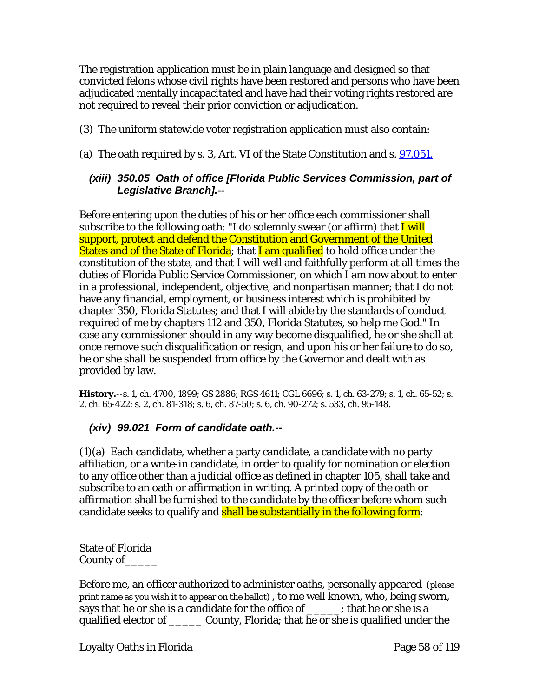The registration application must be in plain language and designed so that convicted felons whose civil rights have been restored and persons who have been adjudicated mentally incapacitated and have had their voting rights restored are not required to reveal their prior conviction or adjudication.

- (3) The uniform statewide voter registration application must also contain:
- (a) The oath required by s. 3, Art. VI of the State Constitution and s.  $97.051$ .

#### *(xiii) 350.05 Oath of office [Florida Public Services Commission, part of Legislative Branch].--*

Before entering upon the duties of his or her office each commissioner shall subscribe to the following oath: "I do solemnly swear (or affirm) that **I will** support, protect and defend the Constitution and Government of the United States and of the State of Florida; that I am qualified to hold office under the constitution of the state, and that I will well and faithfully perform at all times the duties of Florida Public Service Commissioner, on which I am now about to enter in a professional, independent, objective, and nonpartisan manner; that I do not have any financial, employment, or business interest which is prohibited by chapter 350, Florida Statutes; and that I will abide by the standards of conduct required of me by chapters 112 and 350, Florida Statutes, so help me God." In case any commissioner should in any way become disqualified, he or she shall at once remove such disqualification or resign, and upon his or her failure to do so, he or she shall be suspended from office by the Governor and dealt with as provided by law.

**History.**--s. 1, ch. 4700, 1899; GS 2886; RGS 4611; CGL 6696; s. 1, ch. 63-279; s. 1, ch. 65-52; s. 2, ch. 65-422; s. 2, ch. 81-318; s. 6, ch. 87-50; s. 6, ch. 90-272; s. 533, ch. 95-148.

#### *(xiv) 99.021 Form of candidate oath.--*

 $(1)(a)$  Each candidate, whether a party candidate, a candidate with no party affiliation, or a write-in candidate, in order to qualify for nomination or election to any office other than a judicial office as defined in chapter 105, shall take and subscribe to an oath or affirmation in writing. A printed copy of the oath or affirmation shall be furnished to the candidate by the officer before whom such candidate seeks to qualify and shall be substantially in the following form:

State of Florida County of

Before me, an officer authorized to administer oaths, personally appeared (please print name as you wish it to appear on the ballot) , to me well known, who, being sworn, says that he or she is a candidate for the office of \_\_\_\_\_; that he or she is a qualified elector of \_\_\_\_\_ County, Florida; that he or she is qualified under the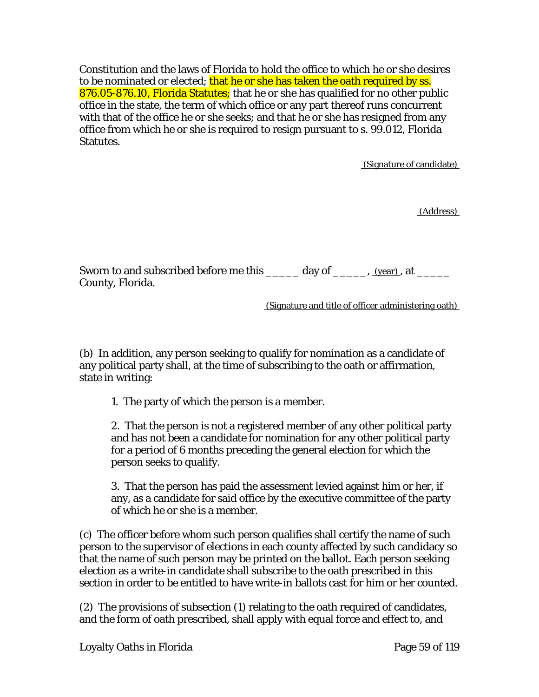Constitution and the laws of Florida to hold the office to which he or she desires to be nominated or elected; that he or she has taken the oath required by ss. 876.05-876.10, Florida Statutes; that he or she has qualified for no other public office in the state, the term of which office or any part thereof runs concurrent with that of the office he or she seeks; and that he or she has resigned from any office from which he or she is required to resign pursuant to s. 99.012, Florida Statutes.

(Signature of candidate)

(Address)

Sworn to and subscribed before me this \_\_\_\_\_\_ day of \_\_\_\_\_\_, <u>(year)</u>, at \_\_\_\_\_\_ County, Florida.

(Signature and title of officer administering oath)

(b) In addition, any person seeking to qualify for nomination as a candidate of any political party shall, at the time of subscribing to the oath or affirmation, state in writing:

1. The party of which the person is a member.

2. That the person is not a registered member of any other political party and has not been a candidate for nomination for any other political party for a period of 6 months preceding the general election for which the person seeks to qualify.

3. That the person has paid the assessment levied against him or her, if any, as a candidate for said office by the executive committee of the party of which he or she is a member.

(c) The officer before whom such person qualifies shall certify the name of such person to the supervisor of elections in each county affected by such candidacy so that the name of such person may be printed on the ballot. Each person seeking election as a write-in candidate shall subscribe to the oath prescribed in this section in order to be entitled to have write-in ballots cast for him or her counted.

(2) The provisions of subsection (1) relating to the oath required of candidates, and the form of oath prescribed, shall apply with equal force and effect to, and

Loyalty Oaths in Florida **Page 59 of 119**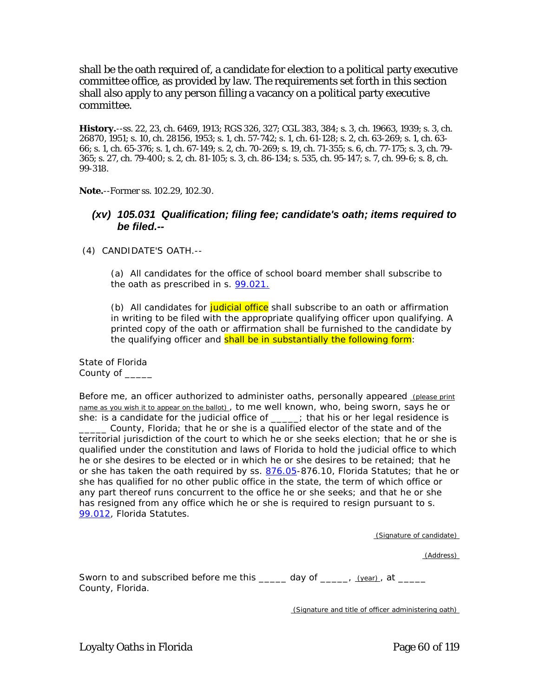shall be the oath required of, a candidate for election to a political party executive committee office, as provided by law. The requirements set forth in this section shall also apply to any person filling a vacancy on a political party executive committee.

**History.**--ss. 22, 23, ch. 6469, 1913; RGS 326, 327; CGL 383, 384; s. 3, ch. 19663, 1939; s. 3, ch. 26870, 1951; s. 10, ch. 28156, 1953; s. 1, ch. 57-742; s. 1, ch. 61-128; s. 2, ch. 63-269; s. 1, ch. 63- 66; s. 1, ch. 65-376; s. 1, ch. 67-149; s. 2, ch. 70-269; s. 19, ch. 71-355; s. 6, ch. 77-175; s. 3, ch. 79- 365; s. 27, ch. 79-400; s. 2, ch. 81-105; s. 3, ch. 86-134; s. 535, ch. 95-147; s. 7, ch. 99-6; s. 8, ch. 99-318.

**Note.**--Former ss. 102.29, 102.30.

#### *(xv) 105.031 Qualification; filing fee; candidate's oath; items required to be filed.--*

(4) CANDIDATE'S OATH.--

(a) All candidates for the office of school board member shall subscribe to the oath as prescribed in s. [99.021.](http://www.leg.state.fl.us/statutes/index.cfm?App_mode=Display_Statute&Search_String=judge%20and%20oath&URL=Ch0099/Sec021.HTM)

(b) All candidates for judicial office shall subscribe to an oath or affirmation in writing to be filed with the appropriate qualifying officer upon qualifying. A printed copy of the oath or affirmation shall be furnished to the candidate by the qualifying officer and shall be in substantially the following form:

State of Florida County of \_\_\_\_\_

Before me, an officer authorized to administer oaths, personally appeared (please print name as you wish it to appear on the ballot), to me well known, who, being sworn, says he or she: is a candidate for the judicial office of  $\qquad$ ; that his or her legal residence is County, Florida; that he or she is a qualified elector of the state and of the territorial jurisdiction of the court to which he or she seeks election; that he or she is qualified under the constitution and laws of Florida to hold the judicial office to which he or she desires to be elected or in which he or she desires to be retained; that he or she has taken the oath required by ss. [876.05-](http://www.leg.state.fl.us/statutes/index.cfm?App_mode=Display_Statute&Search_String=judge%20and%20oath&URL=Ch0876/Sec05.HTM)876.10, Florida Statutes; that he or she has qualified for no other public office in the state, the term of which office or any part thereof runs concurrent to the office he or she seeks; and that he or she has resigned from any office which he or she is required to resign pursuant to s. [99.012,](http://www.leg.state.fl.us/statutes/index.cfm?App_mode=Display_Statute&Search_String=judge%20and%20oath&URL=Ch0099/Sec012.HTM) Florida Statutes.

(Signature of candidate)

(Address)

Sworn to and subscribed before me this  $\frac{1}{\sqrt{2}}$  day of  $\frac{1}{\sqrt{2}}$ ,  $\frac{(\text{year})}{(\text{year})}$ , at  $\frac{1}{\sqrt{2}}$ County, Florida.

(Signature and title of officer administering oath)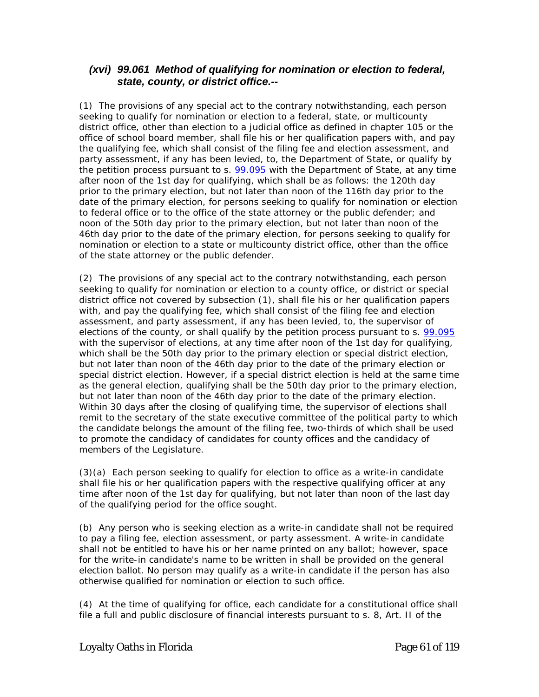#### *(xvi) 99.061 Method of qualifying for nomination or election to federal, state, county, or district office.--*

(1) The provisions of any special act to the contrary notwithstanding, each person seeking to qualify for nomination or election to a federal, state, or multicounty district office, other than election to a judicial office as defined in chapter 105 or the office of school board member, shall file his or her qualification papers with, and pay the qualifying fee, which shall consist of the filing fee and election assessment, and party assessment, if any has been levied, to, the Department of State, or qualify by the petition process pursuant to s. [99.095](http://www.leg.state.fl.us/statutes/index.cfm?App_mode=Display_Statute&Search_String=876.05&URL=Ch0099/Sec095.HTM) with the Department of State, at any time after noon of the 1st day for qualifying, which shall be as follows: the 120th day prior to the primary election, but not later than noon of the 116th day prior to the date of the primary election, for persons seeking to qualify for nomination or election to federal office or to the office of the state attorney or the public defender; and noon of the 50th day prior to the primary election, but not later than noon of the 46th day prior to the date of the primary election, for persons seeking to qualify for nomination or election to a state or multicounty district office, other than the office of the state attorney or the public defender.

(2) The provisions of any special act to the contrary notwithstanding, each person seeking to qualify for nomination or election to a county office, or district or special district office not covered by subsection (1), shall file his or her qualification papers with, and pay the qualifying fee, which shall consist of the filing fee and election assessment, and party assessment, if any has been levied, to, the supervisor of elections of the county, or shall qualify by the petition process pursuant to s. [99.095](http://www.leg.state.fl.us/statutes/index.cfm?App_mode=Display_Statute&Search_String=876.05&URL=Ch0099/Sec095.HTM) with the supervisor of elections, at any time after noon of the 1st day for qualifying, which shall be the 50th day prior to the primary election or special district election, but not later than noon of the 46th day prior to the date of the primary election or special district election. However, if a special district election is held at the same time as the general election, qualifying shall be the 50th day prior to the primary election, but not later than noon of the 46th day prior to the date of the primary election. Within 30 days after the closing of qualifying time, the supervisor of elections shall remit to the secretary of the state executive committee of the political party to which the candidate belongs the amount of the filing fee, two-thirds of which shall be used to promote the candidacy of candidates for county offices and the candidacy of members of the Legislature.

(3)(a) Each person seeking to qualify for election to office as a write-in candidate shall file his or her qualification papers with the respective qualifying officer at any time after noon of the 1st day for qualifying, but not later than noon of the last day of the qualifying period for the office sought.

(b) Any person who is seeking election as a write-in candidate shall not be required to pay a filing fee, election assessment, or party assessment. A write-in candidate shall not be entitled to have his or her name printed on any ballot; however, space for the write-in candidate's name to be written in shall be provided on the general election ballot. No person may qualify as a write-in candidate if the person has also otherwise qualified for nomination or election to such office.

(4) At the time of qualifying for office, each candidate for a constitutional office shall file a full and public disclosure of financial interests pursuant to s. 8, Art. II of the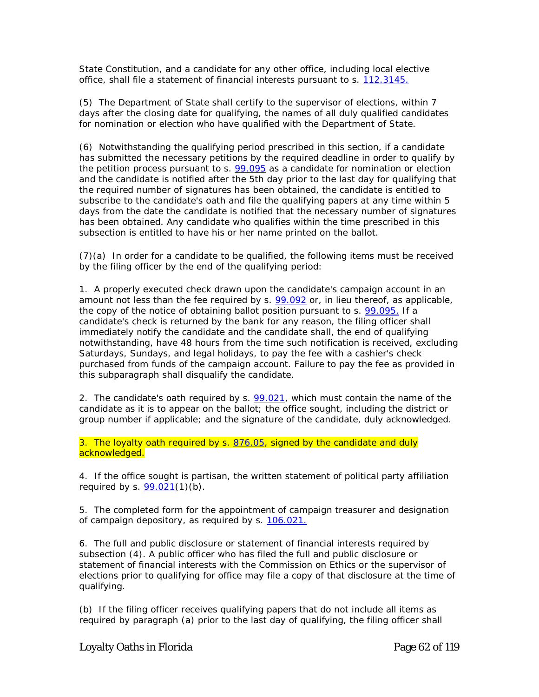State Constitution, and a candidate for any other office, including local elective office, shall file a statement of financial interests pursuant to s. [112.3145.](http://www.leg.state.fl.us/statutes/index.cfm?App_mode=Display_Statute&Search_String=876.05&URL=Ch0112/Sec3145.HTM)

(5) The Department of State shall certify to the supervisor of elections, within 7 days after the closing date for qualifying, the names of all duly qualified candidates for nomination or election who have qualified with the Department of State.

(6) Notwithstanding the qualifying period prescribed in this section, if a candidate has submitted the necessary petitions by the required deadline in order to qualify by the petition process pursuant to s. [99.095](http://www.leg.state.fl.us/statutes/index.cfm?App_mode=Display_Statute&Search_String=876.05&URL=Ch0099/Sec095.HTM) as a candidate for nomination or election and the candidate is notified after the 5th day prior to the last day for qualifying that the required number of signatures has been obtained, the candidate is entitled to subscribe to the candidate's oath and file the qualifying papers at any time within 5 days from the date the candidate is notified that the necessary number of signatures has been obtained. Any candidate who qualifies within the time prescribed in this subsection is entitled to have his or her name printed on the ballot.

(7)(a) In order for a candidate to be qualified, the following items must be received by the filing officer by the end of the qualifying period:

1. A properly executed check drawn upon the candidate's campaign account in an amount not less than the fee required by s. **99.092** or, in lieu thereof, as applicable, the copy of the notice of obtaining ballot position pursuant to s. [99.095.](http://www.leg.state.fl.us/statutes/index.cfm?App_mode=Display_Statute&Search_String=876.05&URL=Ch0099/Sec095.HTM) If a candidate's check is returned by the bank for any reason, the filing officer shall immediately notify the candidate and the candidate shall, the end of qualifying notwithstanding, have 48 hours from the time such notification is received, excluding Saturdays, Sundays, and legal holidays, to pay the fee with a cashier's check purchased from funds of the campaign account. Failure to pay the fee as provided in this subparagraph shall disqualify the candidate.

2. The candidate's oath required by s. [99.021,](http://www.leg.state.fl.us/statutes/index.cfm?App_mode=Display_Statute&Search_String=876.05&URL=Ch0099/Sec021.HTM) which must contain the name of the candidate as it is to appear on the ballot; the office sought, including the district or group number if applicable; and the signature of the candidate, duly acknowledged.

3. The loyalty oath required by s. [876.05,](http://www.leg.state.fl.us/statutes/index.cfm?App_mode=Display_Statute&Search_String=876.05&URL=Ch0876/Sec05.HTM) signed by the candidate and duly acknowledged.

4. If the office sought is partisan, the written statement of political party affiliation required by s.  $99.021(1)(b)$ .

5. The completed form for the appointment of campaign treasurer and designation of campaign depository, as required by s. [106.021.](http://www.leg.state.fl.us/statutes/index.cfm?App_mode=Display_Statute&Search_String=876.05&URL=Ch0106/Sec021.HTM)

6. The full and public disclosure or statement of financial interests required by subsection (4). A public officer who has filed the full and public disclosure or statement of financial interests with the Commission on Ethics or the supervisor of elections prior to qualifying for office may file a copy of that disclosure at the time of qualifying.

(b) If the filing officer receives qualifying papers that do not include all items as required by paragraph (a) prior to the last day of qualifying, the filing officer shall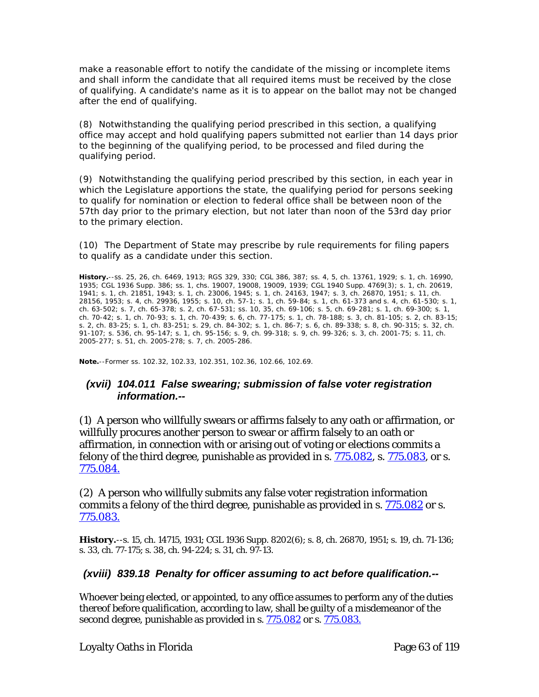make a reasonable effort to notify the candidate of the missing or incomplete items and shall inform the candidate that all required items must be received by the close of qualifying. A candidate's name as it is to appear on the ballot may not be changed after the end of qualifying.

(8) Notwithstanding the qualifying period prescribed in this section, a qualifying office may accept and hold qualifying papers submitted not earlier than 14 days prior to the beginning of the qualifying period, to be processed and filed during the qualifying period.

(9) Notwithstanding the qualifying period prescribed by this section, in each year in which the Legislature apportions the state, the qualifying period for persons seeking to qualify for nomination or election to federal office shall be between noon of the 57th day prior to the primary election, but not later than noon of the 53rd day prior to the primary election.

(10) The Department of State may prescribe by rule requirements for filing papers to qualify as a candidate under this section.

**History.**--ss. 25, 26, ch. 6469, 1913; RGS 329, 330; CGL 386, 387; ss. 4, 5, ch. 13761, 1929; s. 1, ch. 16990, 1935; CGL 1936 Supp. 386; ss. 1, chs. 19007, 19008, 19009, 1939; CGL 1940 Supp. 4769(3); s. 1, ch. 20619, 1941; s. 1, ch. 21851, 1943; s. 1, ch. 23006, 1945; s. 1, ch. 24163, 1947; s. 3, ch. 26870, 1951; s. 11, ch. 28156, 1953; s. 4, ch. 29936, 1955; s. 10, ch. 57-1; s. 1, ch. 59-84; s. 1, ch. 61-373 and s. 4, ch. 61-530; s. 1, ch. 63-502; s. 7, ch. 65-378; s. 2, ch. 67-531; ss. 10, 35, ch. 69-106; s. 5, ch. 69-281; s. 1, ch. 69-300; s. 1, ch. 70-42; s. 1, ch. 70-93; s. 1, ch. 70-439; s. 6, ch. 77-175; s. 1, ch. 78-188; s. 3, ch. 81-105; s. 2, ch. 83-15; s. 2, ch. 83-25; s. 1, ch. 83-251; s. 29, ch. 84-302; s. 1, ch. 86-7; s. 6, ch. 89-338; s. 8, ch. 90-315; s. 32, ch. 91-107; s. 536, ch. 95-147; s. 1, ch. 95-156; s. 9, ch. 99-318; s. 9, ch. 99-326; s. 3, ch. 2001-75; s. 11, ch. 2005-277; s. 51, ch. 2005-278; s. 7, ch. 2005-286.

**Note.**--Former ss. 102.32, 102.33, 102.351, 102.36, 102.66, 102.69.

#### *(xvii) 104.011 False swearing; submission of false voter registration information.--*

(1) A person who willfully swears or affirms falsely to any oath or affirmation, or willfully procures another person to swear or affirm falsely to an oath or affirmation, in connection with or arising out of voting or elections commits a felony of the third degree, punishable as provided in s. [775.082,](http://www.leg.state.fl.us/statutes/index.cfm?App_mode=Display_Statute&Search_String=swear&URL=Ch0775/Sec082.HTM) s. [775.083,](http://www.leg.state.fl.us/statutes/index.cfm?App_mode=Display_Statute&Search_String=swear&URL=Ch0775/Sec083.HTM) or s. [775.084.](http://www.leg.state.fl.us/statutes/index.cfm?App_mode=Display_Statute&Search_String=swear&URL=Ch0775/Sec084.HTM)

(2) A person who willfully submits any false voter registration information commits a felony of the third degree, punishable as provided in s.  $775.082$  or s. [775.083.](http://www.leg.state.fl.us/statutes/index.cfm?App_mode=Display_Statute&Search_String=swear&URL=Ch0775/Sec083.HTM)

**History.**--s. 15, ch. 14715, 1931; CGL 1936 Supp. 8202(6); s. 8, ch. 26870, 1951; s. 19, ch. 71-136; s. 33, ch. 77-175; s. 38, ch. 94-224; s. 31, ch. 97-13.

#### *(xviii) 839.18 Penalty for officer assuming to act before qualification.--*

Whoever being elected, or appointed, to any office assumes to perform any of the duties thereof before qualification, according to law, shall be guilty of a misdemeanor of the second degree, punishable as provided in s. **775.082** or s. **775.083**.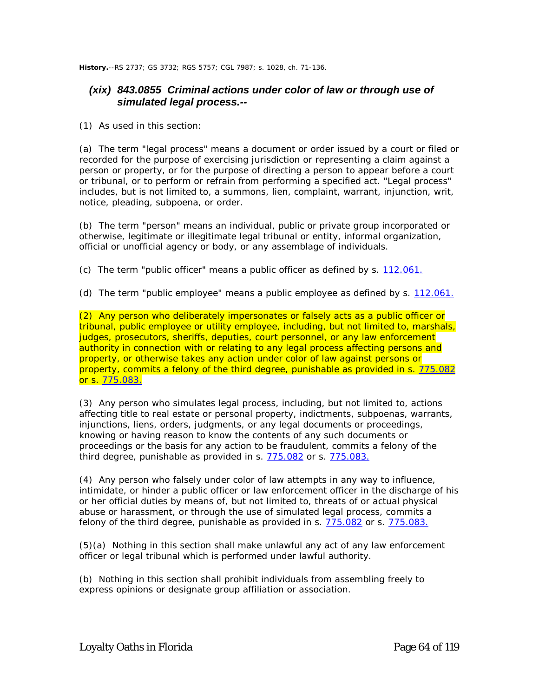**History.**--RS 2737; GS 3732; RGS 5757; CGL 7987; s. 1028, ch. 71-136.

#### *(xix) 843.0855 Criminal actions under color of law or through use of simulated legal process.--*

(1) As used in this section:

(a) The term "legal process" means a document or order issued by a court or filed or recorded for the purpose of exercising jurisdiction or representing a claim against a person or property, or for the purpose of directing a person to appear before a court or tribunal, or to perform or refrain from performing a specified act. "Legal process" includes, but is not limited to, a summons, lien, complaint, warrant, injunction, writ, notice, pleading, subpoena, or order.

(b) The term "person" means an individual, public or private group incorporated or otherwise, legitimate or illegitimate legal tribunal or entity, informal organization, official or unofficial agency or body, or any assemblage of individuals.

(c) The term "public officer" means a public officer as defined by s. [112.061.](http://www.leg.state.fl.us/Statutes/index.cfm?App_mode=Display_Statute&Search_String=&URL=Ch0112/Sec061.HTM)

(d) The term "public employee" means a public employee as defined by s. [112.061.](http://www.leg.state.fl.us/Statutes/index.cfm?App_mode=Display_Statute&Search_String=&URL=Ch0112/Sec061.HTM)

(2) Any person who deliberately impersonates or falsely acts as a public officer or tribunal, public employee or utility employee, including, but not limited to, marshals, judges, prosecutors, sheriffs, deputies, court personnel, or any law enforcement authority in connection with or relating to any legal process affecting persons and property, or otherwise takes any action under color of law against persons or property, commits a felony of the third degree, punishable as provided in s. [775.082](http://www.leg.state.fl.us/Statutes/index.cfm?App_mode=Display_Statute&Search_String=&URL=Ch0775/Sec082.HTM) or s [775.083.](http://www.leg.state.fl.us/Statutes/index.cfm?App_mode=Display_Statute&Search_String=&URL=Ch0775/Sec083.HTM)

(3) Any person who simulates legal process, including, but not limited to, actions affecting title to real estate or personal property, indictments, subpoenas, warrants, injunctions, liens, orders, judgments, or any legal documents or proceedings, knowing or having reason to know the contents of any such documents or proceedings or the basis for any action to be fraudulent, commits a felony of the third degree, punishable as provided in s. [775.082](http://www.leg.state.fl.us/Statutes/index.cfm?App_mode=Display_Statute&Search_String=&URL=Ch0775/Sec082.HTM) or s. [775.083.](http://www.leg.state.fl.us/Statutes/index.cfm?App_mode=Display_Statute&Search_String=&URL=Ch0775/Sec083.HTM)

(4) Any person who falsely under color of law attempts in any way to influence, intimidate, or hinder a public officer or law enforcement officer in the discharge of his or her official duties by means of, but not limited to, threats of or actual physical abuse or harassment, or through the use of simulated legal process, commits a felony of the third degree, punishable as provided in s. [775.082](http://www.leg.state.fl.us/Statutes/index.cfm?App_mode=Display_Statute&Search_String=&URL=Ch0775/Sec082.HTM) or s. [775.083.](http://www.leg.state.fl.us/Statutes/index.cfm?App_mode=Display_Statute&Search_String=&URL=Ch0775/Sec083.HTM)

(5)(a) Nothing in this section shall make unlawful any act of any law enforcement officer or legal tribunal which is performed under lawful authority.

(b) Nothing in this section shall prohibit individuals from assembling freely to express opinions or designate group affiliation or association.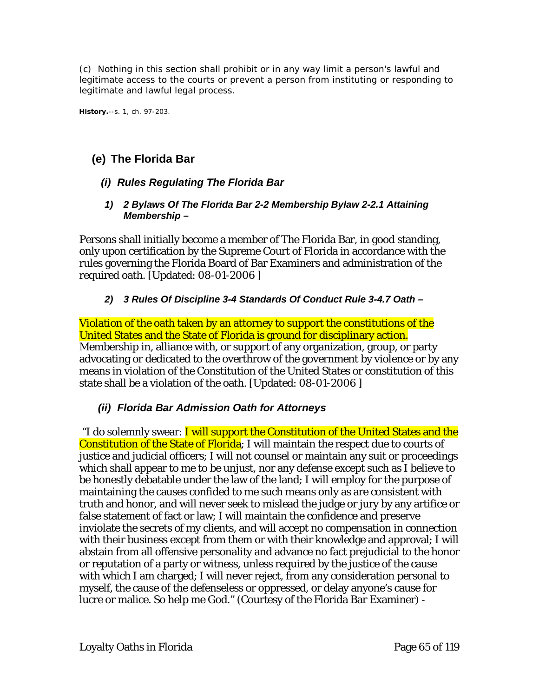(c) Nothing in this section shall prohibit or in any way limit a person's lawful and legitimate access to the courts or prevent a person from instituting or responding to legitimate and lawful legal process.

**History.**--s. 1, ch. 97-203.

## **(e) The Florida Bar**

#### *(i) Rules Regulating The Florida Bar*

*1) 2 Bylaws Of The Florida Bar 2-2 Membership Bylaw 2-2.1 Attaining Membership –*

Persons shall initially become a member of The Florida Bar, in good standing, only upon certification by the Supreme Court of Florida in accordance with the rules governing the Florida Board of Bar Examiners and administration of the required oath. [Updated: 08-01-2006 ]

#### *2) 3 Rules Of Discipline 3-4 Standards Of Conduct Rule 3-4.7 Oath –*

Violation of the oath taken by an attorney to support the constitutions of the United States and the State of Florida is ground for disciplinary action. Membership in, alliance with, or support of any organization, group, or party advocating or dedicated to the overthrow of the government by violence or by any means in violation of the Constitution of the United States or constitution of this state shall be a violation of the oath. [Updated: 08-01-2006 ]

#### *(ii) [Florida Bar Admission Oath for Attorneys](http://www.floridabar.org/DIVCOM/JN/JNJournal01.nsf/76d28aa8f2ee03e185256aa9005d8d9a/4f51651d215a82c085256adb005d611f?OpenDocument&Highlight=0,preface*)*

"I do solemnly swear: **I will support the Constitution of the United States and the** Constitution of the State of Florida; I will maintain the respect due to courts of justice and judicial officers; I will not counsel or maintain any suit or proceedings which shall appear to me to be unjust, nor any defense except such as I believe to be honestly debatable under the law of the land; I will employ for the purpose of maintaining the causes confided to me such means only as are consistent with truth and honor, and will never seek to mislead the judge or jury by any artifice or false statement of fact or law; I will maintain the confidence and preserve inviolate the secrets of my clients, and will accept no compensation in connection with their business except from them or with their knowledge and approval; I will abstain from all offensive personality and advance no fact prejudicial to the honor or reputation of a party or witness, unless required by the justice of the cause with which I am charged; I will never reject, from any consideration personal to myself, the cause of the defenseless or oppressed, or delay anyone's cause for lucre or malice. So help me God." (Courtesy of the Florida Bar Examiner) -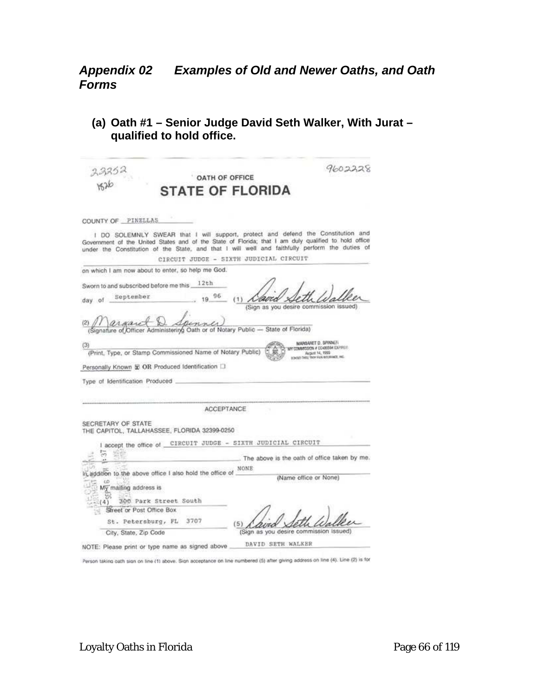# *Appendix 02 Examples of Old and Newer Oaths, and Oath Forms*

**(a) Oath #1 – Senior Judge David Seth Walker, With Jurat – qualified to hold office.**

|                                  | 9602228                                                                                                                                                                                                                                                                                                                              |
|----------------------------------|--------------------------------------------------------------------------------------------------------------------------------------------------------------------------------------------------------------------------------------------------------------------------------------------------------------------------------------|
|                                  | OATH OF OFFICE                                                                                                                                                                                                                                                                                                                       |
|                                  | <b>STATE OF FLORIDA</b>                                                                                                                                                                                                                                                                                                              |
| COUNTY OF PINELLAS               |                                                                                                                                                                                                                                                                                                                                      |
|                                  | I DO SOLEMNLY SWEAR that I will support, protect and defend the Constitution and<br>Government of the United States and of the State of Florida; that I am duly qualified to hold office<br>under the Constitution of the State, and that I will well and faithfully perform the duties of<br>CIRCUIT JUDGE - SIXTH JUDICIAL CIRCUIT |
|                                  | on which I am now about to enter, so help me God.                                                                                                                                                                                                                                                                                    |
|                                  | Sworn to and subscribed before me this 12th                                                                                                                                                                                                                                                                                          |
| September<br>day of              | 19 96<br>(1)<br>(Sign as you desire commission issued)                                                                                                                                                                                                                                                                               |
|                                  | Signature of Officer Administering Oath or of Notary Public - State of Florida)                                                                                                                                                                                                                                                      |
|                                  | MARQANET D. SPINNER                                                                                                                                                                                                                                                                                                                  |
| (3)                              | <b>MISSION # CCABIOGH EXPIRES</b><br>(Print, Type, or Stamp Commissioned Name of Notary Public)<br>August 14, 1993                                                                                                                                                                                                                   |
|                                  |                                                                                                                                                                                                                                                                                                                                      |
|                                  | OR THIS THEY ARE BOSSING INC.                                                                                                                                                                                                                                                                                                        |
|                                  | Personally Known & OR Produced Identification [3]                                                                                                                                                                                                                                                                                    |
|                                  |                                                                                                                                                                                                                                                                                                                                      |
|                                  |                                                                                                                                                                                                                                                                                                                                      |
| Type of Identification Produced  | <b>ACCEPTANCE</b>                                                                                                                                                                                                                                                                                                                    |
|                                  | THE CAPITOL, TALLAHASSEE, FLORIDA 32399-0250                                                                                                                                                                                                                                                                                         |
|                                  | accept the office of CIRCUIT JUDGE - SIXTH JUDICIAL CIRCUIT                                                                                                                                                                                                                                                                          |
|                                  |                                                                                                                                                                                                                                                                                                                                      |
|                                  |                                                                                                                                                                                                                                                                                                                                      |
|                                  | NONE<br>ddition to the above office I also hold the office of<br>(Name office or None)                                                                                                                                                                                                                                               |
| My mailing address is            |                                                                                                                                                                                                                                                                                                                                      |
|                                  |                                                                                                                                                                                                                                                                                                                                      |
| (4)<br>Street or Post Office Box | 300 Park Street South                                                                                                                                                                                                                                                                                                                |
| SECRETARY OF STATE               | The above is the oath of office taken by me.<br>St. Petersburg, FL 3707<br>ſ5                                                                                                                                                                                                                                                        |
| City, State, Zip Code            | (Sign as you desire commission issued)                                                                                                                                                                                                                                                                                               |

Person taking oath sign on line (1) above. Sign acceptance on line numbered (5) after giving address on line (4). Line (2) is for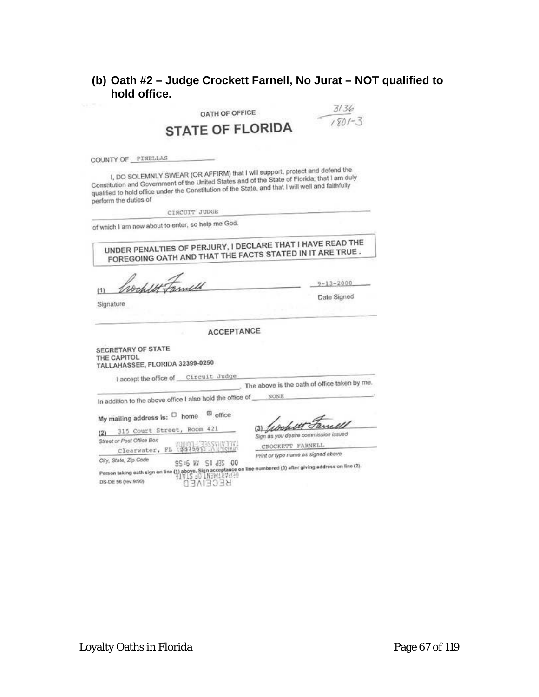### **(b) Oath #2 – Judge Crockett Farnell, No Jurat – NOT qualified to hold office.**

| OATH OF OFFICE                                                                                                                                                                                                                                                                                             |                                                        | 3136                                           |
|------------------------------------------------------------------------------------------------------------------------------------------------------------------------------------------------------------------------------------------------------------------------------------------------------------|--------------------------------------------------------|------------------------------------------------|
| <b>STATE OF FLORIDA</b>                                                                                                                                                                                                                                                                                    |                                                        | $1801 - 3$                                     |
| COUNTY OF PINELLAS                                                                                                                                                                                                                                                                                         |                                                        |                                                |
| I, DO SOLEMNLY SWEAR (OR AFFIRM) that I will support, protect and defend the<br>Constitution and Government of the United States and of the State of Florida; that I am duly<br>qualified to hold office under the Constitution of the State, and that I will well and faithfully<br>perform the duties of |                                                        |                                                |
| CIRCUIT JUDGE                                                                                                                                                                                                                                                                                              |                                                        |                                                |
| of which I am now about to enter, so help me God.                                                                                                                                                                                                                                                          |                                                        |                                                |
| UNDER PENALTIES OF PERJURY, I DECLARE THAT I HAVE READ THE<br>FOREGOING OATH AND THAT THE FACTS STATED IN IT ARE TRUE.                                                                                                                                                                                     |                                                        |                                                |
|                                                                                                                                                                                                                                                                                                            |                                                        | $9 - 13 - 2000$                                |
| Signature                                                                                                                                                                                                                                                                                                  |                                                        | Date Signed                                    |
| <b>ACCEPTANCE</b>                                                                                                                                                                                                                                                                                          |                                                        |                                                |
| SECRETARY OF STATE<br>THE CAPITOL<br>TALLAHASSEE, FLORIDA 32399-0250                                                                                                                                                                                                                                       |                                                        |                                                |
| I accept the office of Circuit Judge                                                                                                                                                                                                                                                                       |                                                        | . The above is the oath of office taken by me. |
| In addition to the above office I also hold the office of _____ NONE                                                                                                                                                                                                                                       |                                                        |                                                |
| My mailing address is: $\square$ home $\oslash$ office<br>315 Court Street, Room 421<br>(2)<br>Street or Post Office Box                                                                                                                                                                                   | Sign as you desire commission issued                   |                                                |
| Clearwater, FL 33756                                                                                                                                                                                                                                                                                       | CROCKETT FARNELL<br>Print or type name as signed above |                                                |
| City, State, Zip Code<br>SS:6 WY SI 83S 00<br>Person taking eath sign on line (1) above. Sign acceptance on line numbered (3) after giving address on fine (2).<br>DS-DE 56 (rev 9/99)<br>DS-DE 56 (rev.9/99)<br>BECEIAFD                                                                                  |                                                        |                                                |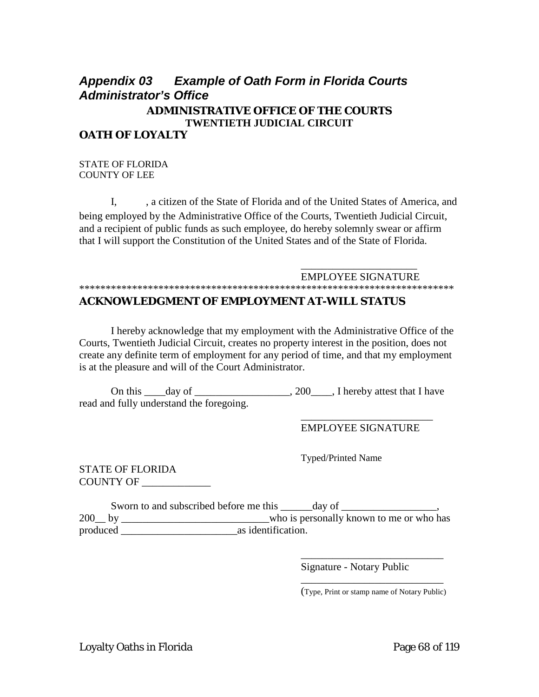### *Appendix 03 Example of Oath Form in Florida Courts Administrator's Office* **ADMINISTRATIVE OFFICE OF THE COURTS TWENTIETH JUDICIAL CIRCUIT OATH OF LOYALTY**

#### STATE OF FLORIDA COUNTY OF LEE

I, , a citizen of the State of Florida and of the United States of America, and being employed by the Administrative Office of the Courts, Twentieth Judicial Circuit, and a recipient of public funds as such employee, do hereby solemnly swear or affirm that I will support the Constitution of the United States and of the State of Florida.

#### EMPLOYEE SIGNATURE \*\*\*\*\*\*\*\*\*\*\*\*\*\*\*\*\*\*\*\*\*\*\*\*\*\*\*\*\*\*\*\*\*\*\*\*\*\*\*\*\*\*\*\*\*\*\*\*\*\*\*\*\*\*\*\*\*\*\*\*\*\*\*\*\*\*\*\*\*\*\* **ACKNOWLEDGMENT OF EMPLOYMENT AT-WILL STATUS**

I hereby acknowledge that my employment with the Administrative Office of the Courts, Twentieth Judicial Circuit, creates no property interest in the position, does not create any definite term of employment for any period of time, and that my employment is at the pleasure and will of the Court Administrator.

On this \_\_\_\_day of \_\_\_\_\_\_\_\_\_\_\_\_\_\_\_\_, 200\_\_\_\_, I hereby attest that I have read and fully understand the foregoing.

> \_\_\_\_\_\_\_\_\_\_\_\_\_\_\_\_\_\_\_\_\_\_\_\_\_ EMPLOYEE SIGNATURE

\_\_\_\_\_\_\_\_\_\_\_\_\_\_\_\_\_\_\_\_\_\_

Typed/Printed Name

STATE OF FLORIDA COUNTY OF \_\_\_\_\_\_\_\_\_\_\_\_\_

Sworn to and subscribed before me this \_\_\_\_\_\_day of \_\_\_\_\_\_\_\_\_\_\_\_\_\_\_, 200\_ by \_\_\_\_\_\_\_\_\_\_\_\_\_\_\_\_\_\_\_\_\_\_\_\_\_who is personally known to me or who has produced \_\_\_\_\_\_\_\_\_\_\_\_\_\_\_\_\_\_\_\_\_\_as identification.

Signature - Notary Public

\_\_\_\_\_\_\_\_\_\_\_\_\_\_\_\_\_\_\_\_\_\_\_\_\_\_\_ (Type, Print or stamp name of Notary Public)

\_\_\_\_\_\_\_\_\_\_\_\_\_\_\_\_\_\_\_\_\_\_\_\_\_\_\_

Loyalty Oaths in Florida **Page 68 of 119**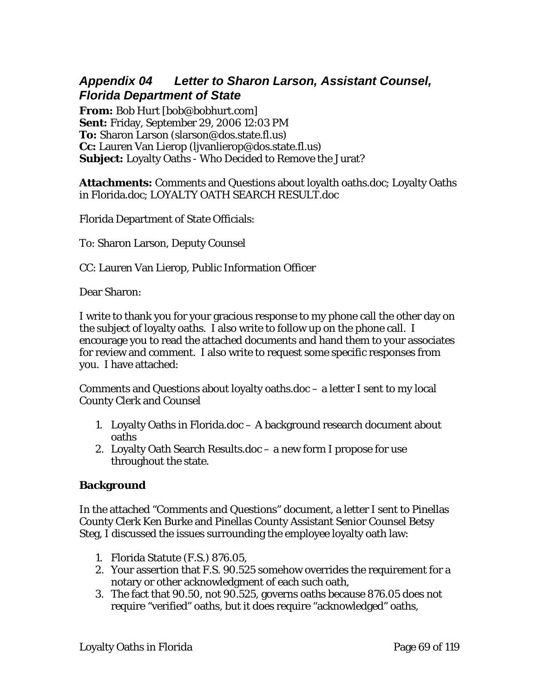# *Appendix 04 Letter to Sharon Larson, Assistant Counsel, Florida Department of State*

**From:** Bob Hurt [bob@bobhurt.com] **Sent:** Friday, September 29, 2006 12:03 PM **To:** Sharon Larson (slarson@dos.state.fl.us) **Cc:** Lauren Van Lierop (ljvanlierop@dos.state.fl.us) **Subject:** Loyalty Oaths - Who Decided to Remove the Jurat?

**Attachments:** Comments and Questions about loyalth oaths.doc; Loyalty Oaths in Florida.doc; LOYALTY OATH SEARCH RESULT.doc

Florida Department of State Officials:

To: Sharon Larson, Deputy Counsel

CC: Lauren Van Lierop, Public Information Officer

Dear Sharon:

I write to thank you for your gracious response to my phone call the other day on the subject of loyalty oaths. I also write to follow up on the phone call. I encourage you to read the attached documents and hand them to your associates for review and comment. I also write to request some specific responses from you. I have attached:

Comments and Questions about loyalty oaths.doc – a letter I sent to my local County Clerk and Counsel

- 1. Loyalty Oaths in Florida.doc A background research document about oaths
- 2. Loyalty Oath Search Results.doc a new form I propose for use throughout the state.

#### **Background**

In the attached "Comments and Questions" document, a letter I sent to Pinellas County Clerk Ken Burke and Pinellas County Assistant Senior Counsel Betsy Steg, I discussed the issues surrounding the employee loyalty oath law:

- 1. Florida Statute (F.S.) 876.05,
- 2. Your assertion that F.S. 90.525 somehow overrides the requirement for a notary or other acknowledgment of each such oath,
- 3. The fact that 90.50, not 90.525, governs oaths because 876.05 does not require "verified" oaths, but it does require "acknowledged" oaths,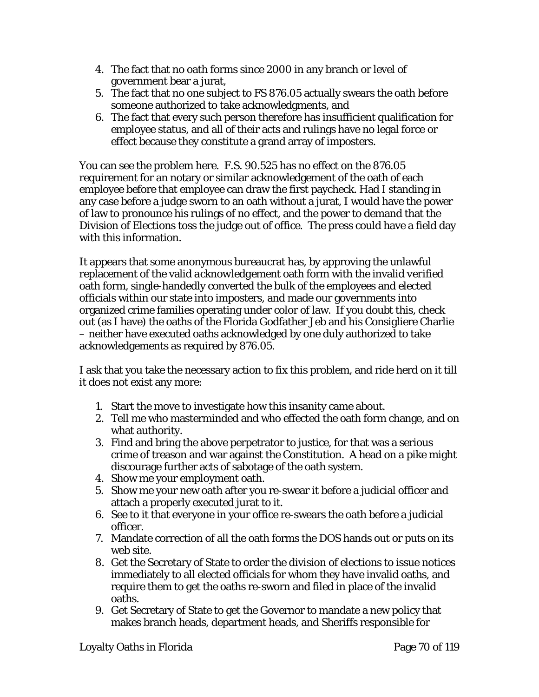- 4. The fact that no oath forms since 2000 in any branch or level of government bear a jurat,
- 5. The fact that no one subject to FS 876.05 actually swears the oath before someone authorized to take acknowledgments, and
- 6. The fact that every such person therefore has insufficient qualification for employee status, and all of their acts and rulings have no legal force or effect because they constitute a grand array of imposters.

You can see the problem here. F.S. 90.525 has no effect on the 876.05 requirement for an notary or similar acknowledgement of the oath of each employee before that employee can draw the first paycheck. Had I standing in any case before a judge sworn to an oath without a jurat, I would have the power of law to pronounce his rulings of no effect, and the power to demand that the Division of Elections toss the judge out of office. The press could have a field day with this information.

It appears that some anonymous bureaucrat has, by approving the unlawful replacement of the valid *acknowledgement* oath form with the invalid *verified* oath form, single-handedly converted the bulk of the employees and elected officials within our state into imposters, and made our governments into organized crime families operating under color of law. If you doubt this, check out (as I have) the oaths of the Florida Godfather Jeb and his Consigliere Charlie – neither have executed oaths acknowledged by one duly authorized to take acknowledgements as required by 876.05.

I ask that you take the necessary action to fix this problem, and ride herd on it till it does not exist any more:

- 1. Start the move to investigate how this insanity came about.
- 2. Tell me who masterminded and who effected the oath form change, and on what authority.
- 3. Find and bring the above perpetrator to justice, for that was a serious crime of treason and war against the Constitution. A head on a pike might discourage further acts of sabotage of the oath system.
- 4. Show me your employment oath.
- 5. Show me your new oath after you re-swear it before a judicial officer and attach a properly executed jurat to it.
- 6. See to it that everyone in your office re-swears the oath before a judicial officer.
- 7. Mandate correction of all the oath forms the DOS hands out or puts on its web site.
- 8. Get the Secretary of State to order the division of elections to issue notices immediately to all elected officials for whom they have invalid oaths, and require them to get the oaths re-sworn and filed in place of the invalid oaths.
- 9. Get Secretary of State to get the Governor to mandate a new policy that makes branch heads, department heads, and Sheriffs responsible for

Loyalty Oaths in Florida Page 70 of 119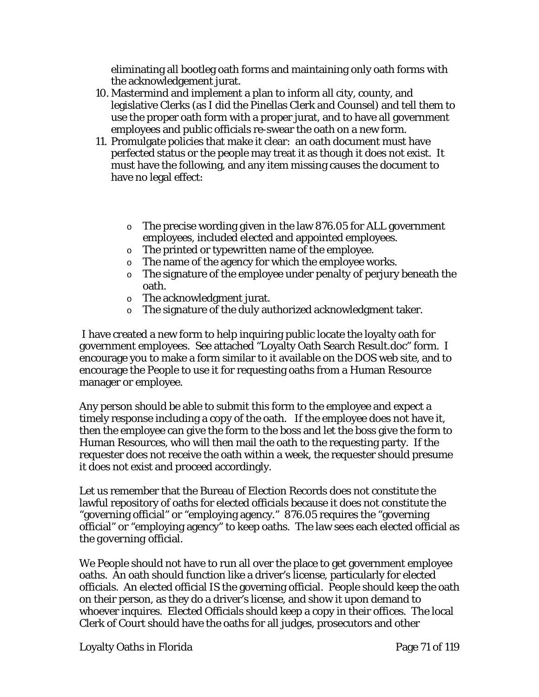eliminating all bootleg oath forms and maintaining only oath forms with the acknowledgement jurat.

- 10. Mastermind and implement a plan to inform all city, county, and legislative Clerks (as I did the Pinellas Clerk and Counsel) and tell them to use the proper oath form with a proper jurat, and to have all government employees and public officials re-swear the oath on a new form.
- 11. Promulgate policies that make it clear: an oath document must have perfected status or the people may treat it as though it does not exist. It must have the following, and any item missing causes the document to have no legal effect:
	- o The precise wording given in the law 876.05 for ALL government employees, included elected and appointed employees.
	- o The printed or typewritten name of the employee.
	- o The name of the agency for which the employee works.
	- $\circ$  The signature of the employee under penalty of perjury beneath the oath.
	- $\circ$  The acknowledgment jurat.<br> $\circ$  The signature of the duly au
	- The signature of the duly authorized acknowledgment taker.

I have created a new form to help inquiring public locate the loyalty oath for government employees. See attached "Loyalty Oath Search Result.doc" form. I encourage you to make a form similar to it available on the DOS web site, and to encourage the People to use it for requesting oaths from a Human Resource manager or employee.

Any person should be able to submit this form to the employee and expect a timely response including a copy of the oath. If the employee does not have it, then the employee can give the form to the boss and let the boss give the form to Human Resources, who will then mail the oath to the requesting party. If the requester does not receive the oath within a week, the requester should presume it does not exist and proceed accordingly.

Let us remember that the Bureau of Election Records does not constitute the lawful repository of oaths for elected officials because it does not constitute the "governing official" or "employing agency." 876.05 requires the "governing official" or "employing agency" to keep oaths. The law sees each *elected* official as the *governing* official.

We People should not have to run all over the place to get government employee oaths. An oath should function like a driver's license, particularly for elected officials. An elected official IS the governing official. People should keep the oath on their person, as they do a driver's license, and show it upon demand to whoever inquires. Elected Officials should keep a copy in their offices. The local Clerk of Court should have the oaths for all judges, prosecutors and other

Loyalty Oaths in Florida **Page 71** of 119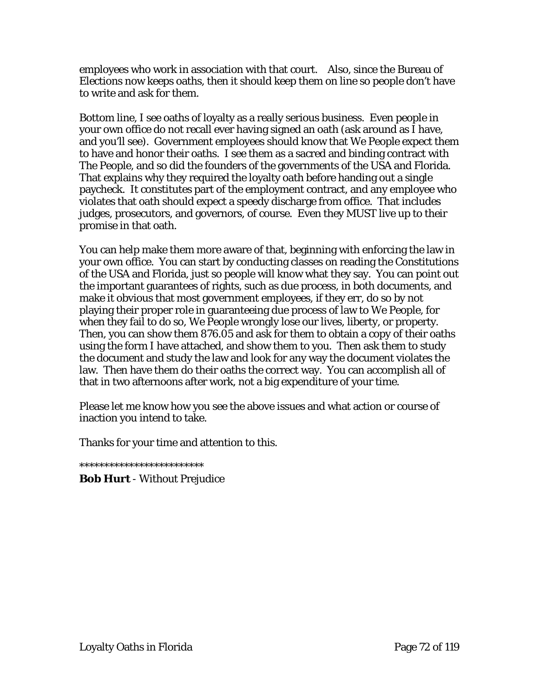employees who work in association with that court. Also, since the Bureau of Elections now keeps oaths, then it should keep them on line so people don't have to write and ask for them.

Bottom line, I see oaths of loyalty as a really serious business. Even people in your own office do not recall ever having signed an oath (ask around as I have. and you'll see). Government employees should know that We People expect them to have and honor their oaths. I see them as a sacred and binding contract with The People, and so did the founders of the governments of the USA and Florida. That explains why they required the loyalty oath before handing out a single paycheck. It constitutes part of the employment contract, and any employee who violates that oath should expect a speedy discharge from office. That includes judges, prosecutors, and governors, of course. Even they MUST live up to their promise in that oath.

You can help make them more aware of that, beginning with enforcing the law in your own office. You can start by conducting classes on reading the Constitutions of the USA and Florida, just so people will know what they say. You can point out the important guarantees of rights, such as due process, in both documents, and make it obvious that most government employees, if they err, do so by not playing their proper role in guaranteeing due process of law to We People, for when they fail to do so, We People wrongly lose our lives, liberty, or property. Then, you can show them 876.05 and ask for them to obtain a copy of their oaths using the form I have attached, and show them to you. Then ask them to study the document and study the law and look for any way the document violates the law. Then have them do their oaths the correct way. You can accomplish all of that in two afternoons after work, not a big expenditure of your time.

Please let me know how you see the above issues and what action or course of inaction you intend to take.

Thanks for your time and attention to this.

\*\*\*\*\*\*\*\*\*\*\*\*\*\*\*\*\*\*\*\*\*\*\*\*\*

**Bob Hurt** - Without Prejudice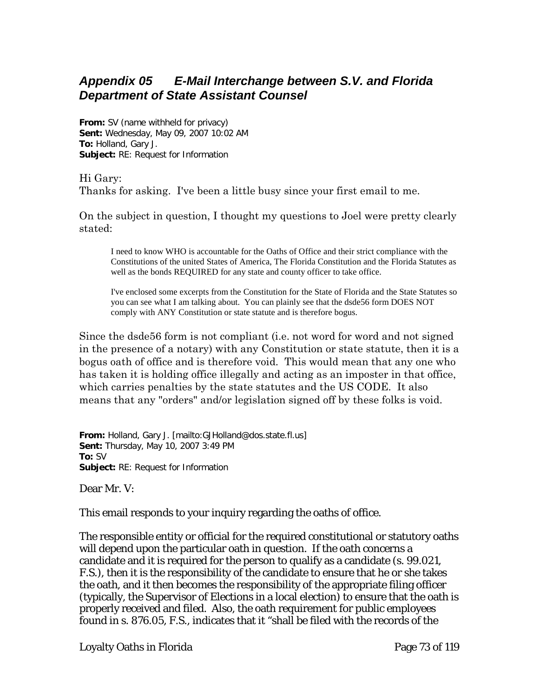# *Appendix 05 E-Mail Interchange between S.V. and Florida Department of State Assistant Counsel*

**From:** SV (name withheld for privacy) **Sent:** Wednesday, May 09, 2007 10:02 AM **To:** Holland, Gary J. **Subject:** RE: Request for Information

Hi Gary:

Thanks for asking. I've been a little busy since your first email to me.

On the subject in question, I thought my questions to Joel were pretty clearly stated:

I need to know WHO is accountable for the Oaths of Office and their strict compliance with the Constitutions of the united States of America, The Florida Constitution and the Florida Statutes as well as the bonds REQUIRED for any state and county officer to take office.

I've enclosed some excerpts from the Constitution for the State of Florida and the State Statutes so you can see what I am talking about. You can plainly see that the dsde56 form DOES NOT comply with ANY Constitution or state statute and is therefore bogus.

Since the dsde56 form is not compliant (i.e. not word for word and not signed in the presence of a notary) with any Constitution or state statute, then it is a bogus oath of office and is therefore void. This would mean that any one who has taken it is holding office illegally and acting as an imposter in that office, which carries penalties by the state statutes and the US CODE. It also means that any "orders" and/or legislation signed off by these folks is void.

**From:** Holland, Gary J. [mailto:GJHolland@dos.state.fl.us] **Sent:** Thursday, May 10, 2007 3:49 PM **To:** SV **Subject:** RE: Request for Information

Dear Mr. V:

This email responds to your inquiry regarding the oaths of office.

The responsible entity or official for the required constitutional or statutory oaths will depend upon the particular oath in question. If the oath concerns a candidate and it is required for the person to qualify as a candidate (s. 99.021, F.S.), then it is the responsibility of the candidate to ensure that he or she takes the oath, and it then becomes the responsibility of the appropriate filing officer (typically, the Supervisor of Elections in a local election) to ensure that the oath is properly received and filed. Also, the oath requirement for public employees found in s. 876.05, F.S., indicates that it "shall be filed with the records of the

Loyalty Oaths in Florida **Page 73 of 119**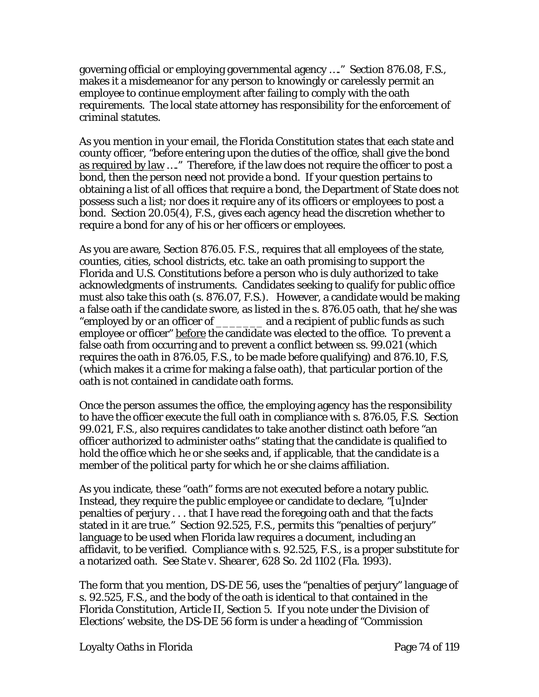governing official or employing governmental agency …." Section 876.08, F.S., makes it a misdemeanor for any person to knowingly or carelessly permit an employee to continue employment after failing to comply with the oath requirements. The local state attorney has responsibility for the enforcement of criminal statutes.

As you mention in your email, the Florida Constitution states that each state and county officer, "before entering upon the duties of the office, shall give the bond as required by law …." Therefore, if the law does not require the officer to post a bond, then the person need not provide a bond. If your question pertains to obtaining a list of all offices that require a bond, the Department of State does not possess such a list; nor does it require any of its officers or employees to post a bond. Section 20.05(4), F.S., gives each agency head the discretion whether to require a bond for any of his or her officers or employees.

As you are aware, Section 876.05. F.S., requires that all employees of the state, counties, cities, school districts, *etc*. take an oath promising to support the Florida and U.S. Constitutions before a person who is duly authorized to take acknowledgments of instruments. Candidates seeking to qualify for public office must also take this oath (s. 876.07, F.S.). However, a candidate would be making a false oath if the candidate swore, as listed in the s. 876.05 oath, that he/she was "employed by or an officer of \_\_\_\_\_\_\_ and a recipient of public funds as such employee or officer" before the candidate was elected to the office. To prevent a false oath from occurring and to prevent a conflict between ss. 99.021 (which requires the oath in 876.05, F.S., to be made before qualifying) and 876.10, F.S, (which makes it a crime for making a false oath), that particular portion of the oath is not contained in candidate oath forms.

Once the person assumes the office, the employing agency has the responsibility to have the officer execute the full oath in compliance with s. 876.05, F.S. Section 99.021, F.S., also requires candidates to take another distinct oath before "an officer authorized to administer oaths" stating that the candidate is qualified to hold the office which he or she seeks and, if applicable, that the candidate is a member of the political party for which he or she claims affiliation.

As you indicate, these "oath" forms are not executed before a notary public. Instead, they require the public employee or candidate to declare, "[u]nder penalties of perjury . . . that I have read the foregoing oath and that the facts stated in it are true." Section 92.525, F.S., permits this "penalties of perjury" language to be used when Florida law requires a document, including an affidavit, to be verified. Compliance with s. 92.525, F.S., is a proper substitute for a notarized oath. *See State v. Shearer*, 628 So. 2d 1102 (Fla. 1993).

The form that you mention, DS-DE 56, uses the "penalties of perjury" language of s. 92.525, F.S., and the body of the oath is identical to that contained in the Florida Constitution, Article II, Section 5. If you note under the Division of Elections' website, the DS-DE 56 form is under a heading of "Commission

Loyalty Oaths in Florida **Page 74 of 119**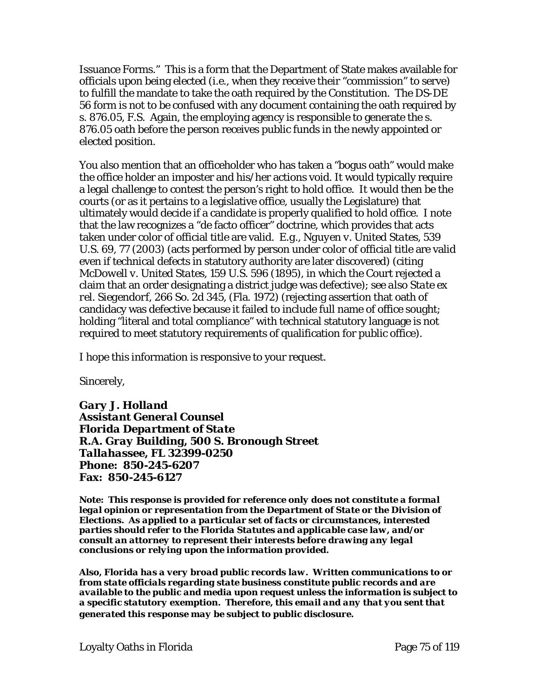Issuance Forms." This is a form that the Department of State makes available for officials upon being elected (*i.e*., when they receive their "commission" to serve) to fulfill the mandate to take the oath required by the Constitution. The DS-DE 56 form is not to be confused with any document containing the oath required by s. 876.05, F.S. Again, the employing agency is responsible to generate the s. 876.05 oath before the person receives public funds in the newly appointed or elected position.

You also mention that an officeholder who has taken a "bogus oath" would make the office holder an imposter and his/her actions void. It would typically require a legal challenge to contest the person's right to hold office. It would then be the courts (or as it pertains to a legislative office, usually the Legislature) that ultimately would decide if a candidate is properly qualified to hold office. I note that the law recognizes a "de facto officer" doctrine, which provides that acts taken under color of official title are valid. *E.g., Nguyen v. United States*, 539 U.S. 69, 77 (2003) (acts performed by person under color of official title are valid even if technical defects in statutory authority are later discovered) (citing *McDowell v. United States*, 159 U.S. 596 (1895), in which the Court rejected a claim that an order designating a district judge was defective); s*ee also State ex rel. Siegendorf*, 266 So. 2d 345, (Fla. 1972) (rejecting assertion that oath of candidacy was defective because it failed to include full name of office sought; holding "literal and total compliance" with technical statutory language is not required to meet statutory requirements of qualification for public office).

I hope this information is responsive to your request.

Sincerely,

*Gary J. Holland Assistant General Counsel Florida Department of State R.A. Gray Building, 500 S. Bronough Street Tallahassee, FL 32399-0250* **Phone: 850-245-6207 Fax: 850-245-6127**

*Note: This response is provided for reference only does not constitute a formal legal opinion or representation from the Department of State or the Division of Elections. As applied to a particular set of facts or circumstances, interested parties should refer to the Florida Statutes and applicable case law, and/or consult an attorney to represent their interests before drawing any legal conclusions or relying upon the information provided.* 

*Also, Florida has a very broad public records law. Written communications to or from state officials regarding state business constitute public records and are available to the public and media upon request unless the information is subject to a specific statutory exemption. Therefore, this email and any that you sent that generated this response may be subject to public disclosure.*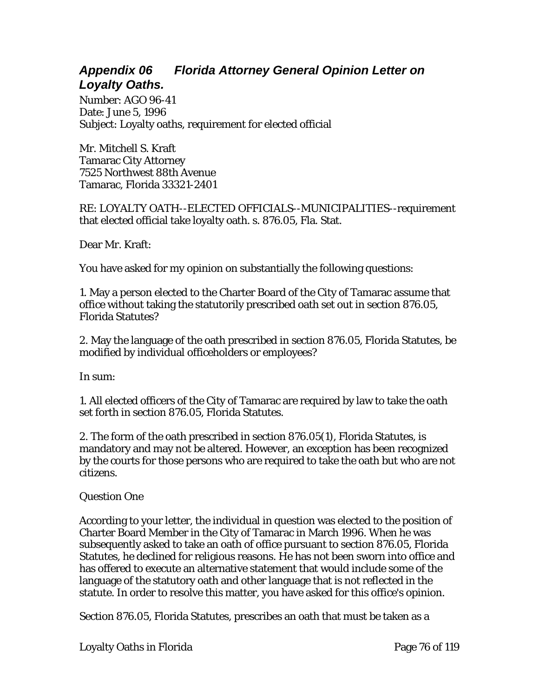# *Appendix 06 Florida Attorney General Opinion Letter on Loyalty Oaths.*

Number: AGO 96-41 Date: June 5, 1996 Subject: Loyalty oaths, requirement for elected official

Mr. Mitchell S. Kraft Tamarac City Attorney 7525 Northwest 88th Avenue Tamarac, Florida 33321-2401

RE: LOYALTY OATH--ELECTED OFFICIALS--MUNICIPALITIES--requirement that elected official take loyalty oath. s. 876.05, Fla. Stat.

Dear Mr. Kraft:

You have asked for my opinion on substantially the following questions:

1. May a person elected to the Charter Board of the City of Tamarac assume that office without taking the statutorily prescribed oath set out in section 876.05, Florida Statutes?

2. May the language of the oath prescribed in section 876.05, Florida Statutes, be modified by individual officeholders or employees?

In sum:

1. All elected officers of the City of Tamarac are required by law to take the oath set forth in section 876.05, Florida Statutes.

2. The form of the oath prescribed in section 876.05(1), Florida Statutes, is mandatory and may not be altered. However, an exception has been recognized by the courts for those persons who are required to take the oath but who are not citizens.

Question One

According to your letter, the individual in question was elected to the position of Charter Board Member in the City of Tamarac in March 1996. When he was subsequently asked to take an oath of office pursuant to section 876.05, Florida Statutes, he declined for religious reasons. He has not been sworn into office and has offered to execute an alternative statement that would include some of the language of the statutory oath and other language that is not reflected in the statute. In order to resolve this matter, you have asked for this office's opinion.

Section 876.05, Florida Statutes, prescribes an oath that must be taken as a

Loyalty Oaths in Florida **Page 76 of 119**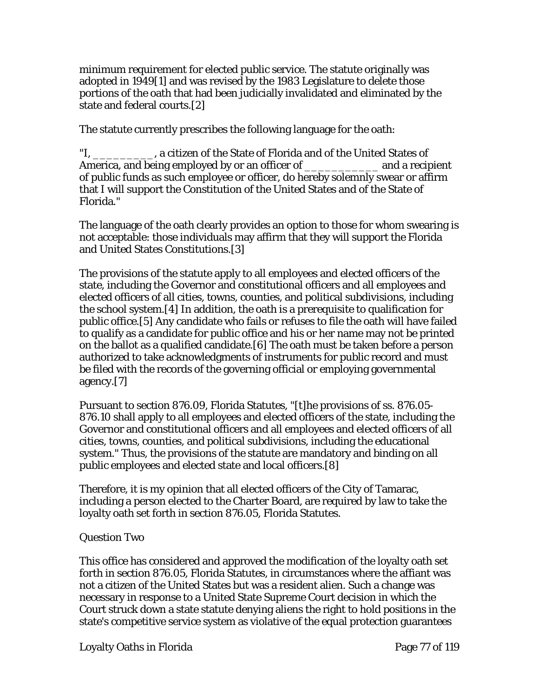minimum requirement for elected public service. The statute originally was adopted in 1949[1] and was revised by the 1983 Legislature to delete those portions of the oath that had been judicially invalidated and eliminated by the state and federal courts.[2]

The statute currently prescribes the following language for the oath:

"I, \_\_\_\_\_\_\_\_\_, a citizen of the State of Florida and of the United States of America, and being employed by or an officer of and a recipient of public funds as such employee or officer, do hereby solemnly swear or affirm that I will support the Constitution of the United States and of the State of Florida."

The language of the oath clearly provides an option to those for whom swearing is not acceptable: those individuals may affirm that they will support the Florida and United States Constitutions.[3]

The provisions of the statute apply to all employees and elected officers of the state, including the Governor and constitutional officers and all employees and elected officers of all cities, towns, counties, and political subdivisions, including the school system.[4] In addition, the oath is a prerequisite to qualification for public office.[5] Any candidate who fails or refuses to file the oath will have failed to qualify as a candidate for public office and his or her name may not be printed on the ballot as a qualified candidate.[6] The oath must be taken before a person authorized to take acknowledgments of instruments for public record and must be filed with the records of the governing official or employing governmental agency.[7]

Pursuant to section 876.09, Florida Statutes, "[t]he provisions of ss. 876.05- 876.10 shall apply to all employees and elected officers of the state, including the Governor and constitutional officers and all employees and elected officers of all cities, towns, counties, and political subdivisions, including the educational system." Thus, the provisions of the statute are mandatory and binding on all public employees and elected state and local officers.[8]

Therefore, it is my opinion that all elected officers of the City of Tamarac, including a person elected to the Charter Board, are required by law to take the loyalty oath set forth in section 876.05, Florida Statutes.

#### Question Two

This office has considered and approved the modification of the loyalty oath set forth in section 876.05, Florida Statutes, in circumstances where the affiant was not a citizen of the United States but was a resident alien. Such a change was necessary in response to a United State Supreme Court decision in which the Court struck down a state statute denying aliens the right to hold positions in the state's competitive service system as violative of the equal protection guarantees

Loyalty Oaths in Florida **Page 77** of 119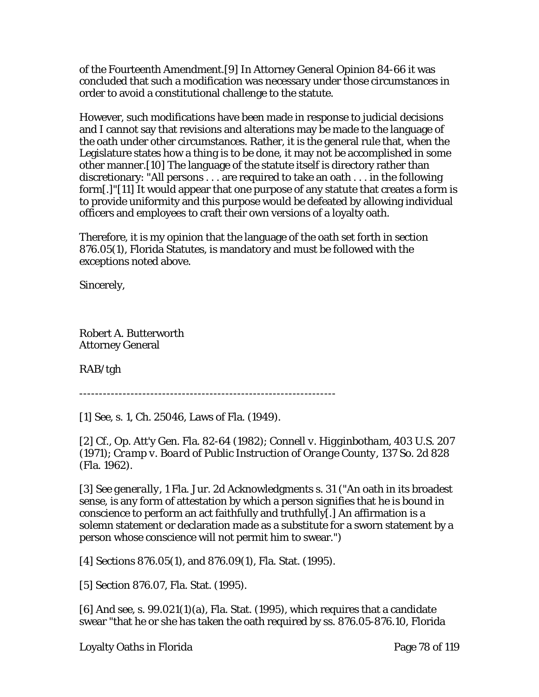of the Fourteenth Amendment.[9] In Attorney General Opinion 84-66 it was concluded that such a modification was necessary under those circumstances in order to avoid a constitutional challenge to the statute.

However, such modifications have been made in response to judicial decisions and I cannot say that revisions and alterations may be made to the language of the oath under other circumstances. Rather, it is the general rule that, when the Legislature states how a thing is to be done, it may not be accomplished in some other manner.[10] The language of the statute itself is directory rather than discretionary: "All persons . . . are required to take an oath . . . in the following form[.]"[11] It would appear that one purpose of any statute that creates a form is to provide uniformity and this purpose would be defeated by allowing individual officers and employees to craft their own versions of a loyalty oath.

Therefore, it is my opinion that the language of the oath set forth in section 876.05(1), Florida Statutes, is mandatory and must be followed with the exceptions noted above.

Sincerely,

Robert A. Butterworth Attorney General

RAB/tgh

-----------------------------------------------------------------

[1] *See*, s. 1, Ch. 25046, Laws of Fla. (1949).

[2] *Cf.*, Op. Att'y Gen. Fla. 82-64 (1982); *Connell v. Higginbotham*, 403 U.S. 207 (1971); *Cramp v. Board of Public Instruction of Orange County*, 137 So. 2d 828 (Fla. 1962).

[3] *See generally*, 1 Fla. Jur. 2d Acknowledgments s. 31 ("An oath in its broadest sense, is any form of attestation by which a person signifies that he is bound in conscience to perform an act faithfully and truthfully[.] An affirmation is a solemn statement or declaration made as a substitute for a sworn statement by a person whose conscience will not permit him to swear.")

[4] Sections 876.05(1), and 876.09(1), Fla. Stat. (1995).

[5] Section 876.07, Fla. Stat. (1995).

[6] *And see*, s. 99.021(1)(a), Fla. Stat. (1995), which requires that a candidate swear "that he or she has taken the oath required by ss. 876.05-876.10, Florida

Loyalty Oaths in Florida **Page 78 of 119**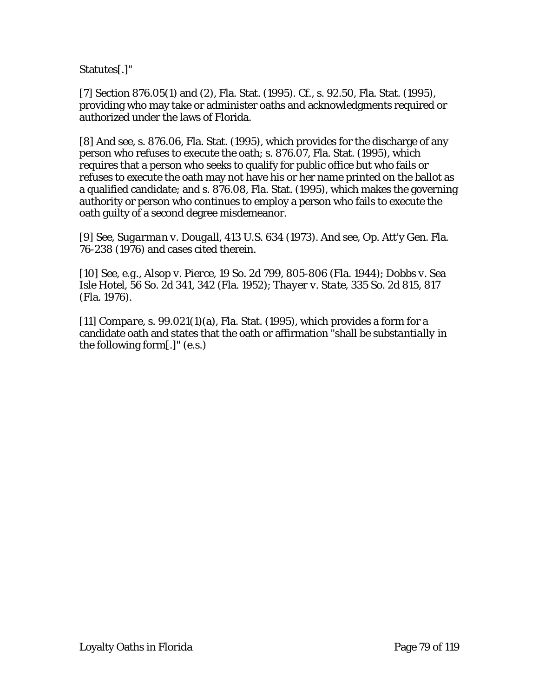Statutes[.]"

[7] Section 876.05(1) and (2), Fla. Stat. (1995). *Cf.*, s. 92.50, Fla. Stat. (1995), providing who may take or administer oaths and acknowledgments required or authorized under the laws of Florida.

[8] *And see*, s. 876.06, Fla. Stat. (1995), which provides for the discharge of any person who refuses to execute the oath; s. 876.07, Fla. Stat. (1995), which requires that a person who seeks to qualify for public office but who fails or refuses to execute the oath may not have his or her name printed on the ballot as a qualified candidate; and s. 876.08, Fla. Stat. (1995), which makes the governing authority or person who continues to employ a person who fails to execute the oath guilty of a second degree misdemeanor.

[9] *See, Sugarman v. Dougall*, 413 U.S. 634 (1973). And see, Op. Att'y Gen. Fla. 76-238 (1976) and cases cited therein.

[10] *See, e.g., Alsop v. Pierce*, 19 So. 2d 799, 805-806 (Fla. 1944); *Dobbs v. Sea Isle Hotel*, 56 So. 2d 341, 342 (Fla. 1952); *Thayer v. State*, 335 So. 2d 815, 817 (Fla. 1976).

[11] *Compare*, s. 99.021(1)(a), Fla. Stat. (1995), which provides a form for a candidate oath and states that the oath or affirmation "shall be *substantially* in the following form[.]" (e.s.)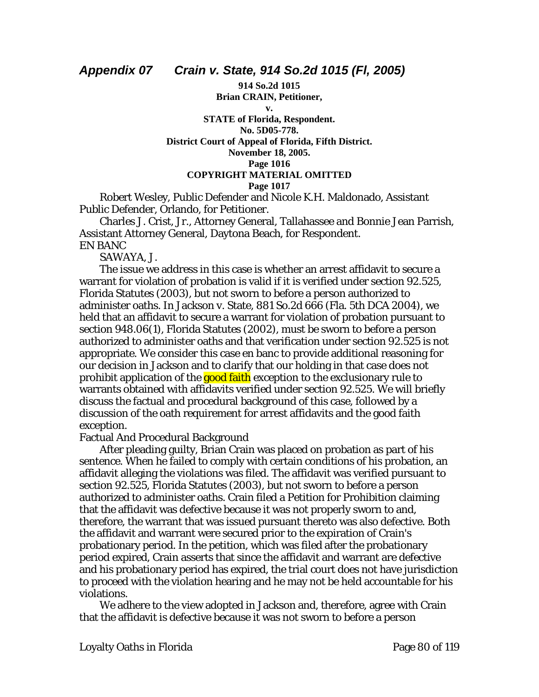#### *Appendix 07 Crain v. State, 914 So.2d 1015 (Fl, 2005)*

**914 So.2d 1015 Brian CRAIN, Petitioner, v. STATE of Florida, Respondent. No. 5D05-778. District Court of Appeal of Florida, Fifth District. November 18, 2005. Page 1016 COPYRIGHT MATERIAL OMITTED**

**Page 1017**

 Robert Wesley, Public Defender and Nicole K.H. Maldonado, Assistant Public Defender, Orlando, for Petitioner.

 Charles J. Crist, Jr., Attorney General, Tallahassee and Bonnie Jean Parrish, Assistant Attorney General, Daytona Beach, for Respondent. EN BANC

SAWAYA, J.

 The issue we address in this case is whether an arrest affidavit to secure a warrant for violation of probation is valid if it is verified under section 92.525, Florida Statutes (2003), but not sworn to before a person authorized to administer oaths. In Jackson v. State, 881 So.2d 666 (Fla. 5th DCA 2004), we held that an affidavit to secure a warrant for violation of probation pursuant to section 948.06(1), Florida Statutes (2002), must be sworn to before a person authorized to administer oaths and that verification under section 92.525 is not appropriate. We consider this case en banc to provide additional reasoning for our decision in Jackson and to clarify that our holding in that case does not prohibit application of the **good faith** exception to the exclusionary rule to warrants obtained with affidavits verified under section 92.525. We will briefly discuss the factual and procedural background of this case, followed by a discussion of the oath requirement for arrest affidavits and the good faith exception.

Factual And Procedural Background

 After pleading guilty, Brian Crain was placed on probation as part of his sentence. When he failed to comply with certain conditions of his probation, an affidavit alleging the violations was filed. The affidavit was verified pursuant to section 92.525, Florida Statutes (2003), but not sworn to before a person authorized to administer oaths. Crain filed a Petition for Prohibition claiming that the affidavit was defective because it was not properly sworn to and, therefore, the warrant that was issued pursuant thereto was also defective. Both the affidavit and warrant were secured prior to the expiration of Crain's probationary period. In the petition, which was filed after the probationary period expired, Crain asserts that since the affidavit and warrant are defective and his probationary period has expired, the trial court does not have jurisdiction to proceed with the violation hearing and he may not be held accountable for his violations.

 We adhere to the view adopted in Jackson and, therefore, agree with Crain that the affidavit is defective because it was not sworn to before a person

Loyalty Oaths in Florida **Page 80 of 119**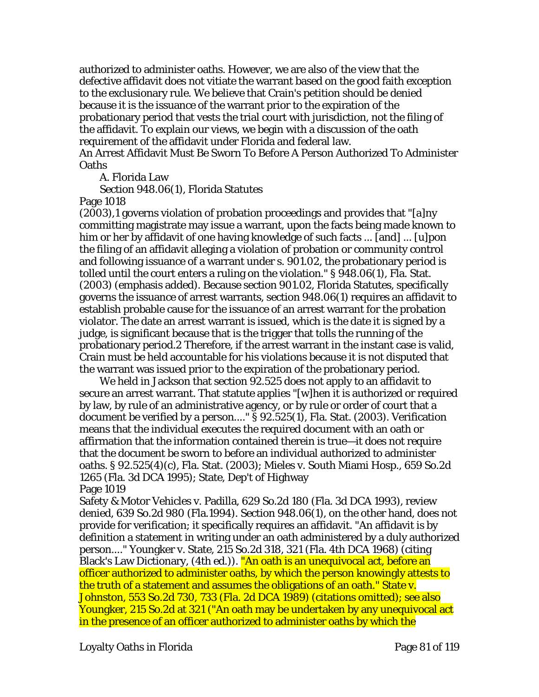authorized to administer oaths. However, we are also of the view that the defective affidavit does not vitiate the warrant based on the good faith exception to the exclusionary rule. We believe that Crain's petition should be denied because it is the issuance of the warrant prior to the expiration of the probationary period that vests the trial court with jurisdiction, not the filing of the affidavit. To explain our views, we begin with a discussion of the oath requirement of the affidavit under Florida and federal law. An Arrest Affidavit Must Be Sworn To Before A Person Authorized To Administer

**O**aths

A. Florida Law

Section 948.06(1), Florida Statutes

Page 1018

 $(2003)$ , 1 governs violation of probation proceedings and provides that "[a]ny committing magistrate may issue a warrant, upon the facts being made known to him or her by affidavit of one having knowledge of such facts ... [and] ... [u]pon the filing of an affidavit alleging a violation of probation or community control and following issuance of a warrant under s. 901.02, the probationary period is tolled until the court enters a ruling on the violation." § 948.06(1), Fla. Stat. (2003) (emphasis added). Because section 901.02, Florida Statutes, specifically governs the issuance of arrest warrants, section 948.06(1) requires an affidavit to establish probable cause for the issuance of an arrest warrant for the probation violator. The date an arrest warrant is issued, which is the date it is signed by a judge, is significant because that is the trigger that tolls the running of the probationary period.2 Therefore, if the arrest warrant in the instant case is valid, Crain must be held accountable for his violations because it is not disputed that the warrant was issued prior to the expiration of the probationary period.

 We held in Jackson that section 92.525 does not apply to an affidavit to secure an arrest warrant. That statute applies "[w]hen it is authorized or required by law, by rule of an administrative agency, or by rule or order of court that a document be verified by a person...." § 92.525(1), Fla. Stat. (2003). Verification means that the individual executes the required document with an oath or affirmation that the information contained therein is true—it does not require that the document be sworn to before an individual authorized to administer oaths. § 92.525(4)(c), Fla. Stat. (2003); Mieles v. South Miami Hosp., 659 So.2d 1265 (Fla. 3d DCA 1995); State, Dep't of Highway Page 1019

Safety & Motor Vehicles v. Padilla, 629 So.2d 180 (Fla. 3d DCA 1993), review denied, 639 So.2d 980 (Fla.1994). Section 948.06(1), on the other hand, does not provide for verification; it specifically requires an affidavit. "An affidavit is by definition a statement in writing under an oath administered by a duly authorized person...." Youngker v. State, 215 So.2d 318, 321 (Fla. 4th DCA 1968) (citing Black's Law Dictionary, (4th ed.)). "An oath is an unequivocal act, before an officer authorized to administer oaths, by which the person knowingly attests to the truth of a statement and assumes the obligations of an oath." State v. Johnston, 553 So.2d 730, 733 (Fla. 2d DCA 1989) (citations omitted); see also Youngker, 215 So.2d at 321 ("An oath may be undertaken by any unequivocal act in the presence of an officer authorized to administer oaths by which the

Loyalty Oaths in Florida **Page 81 of 119**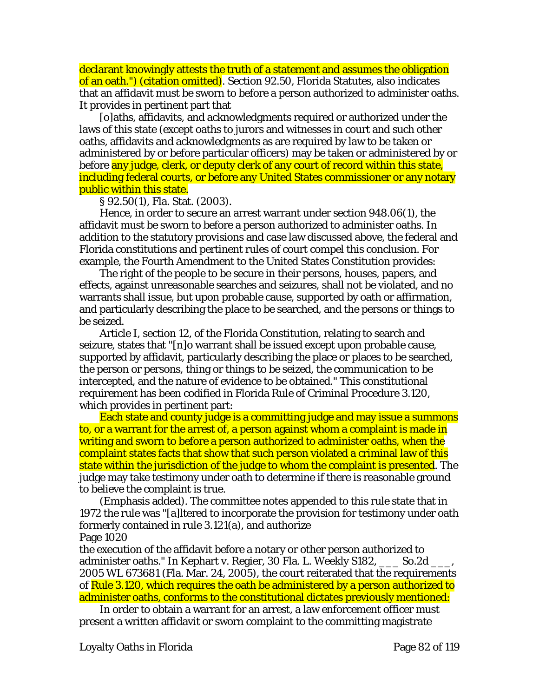declarant knowingly attests the truth of a statement and assumes the obligation of an oath.") (citation omitted). Section 92.50, Florida Statutes, also indicates that an affidavit must be sworn to before a person authorized to administer oaths. It provides in pertinent part that

 [o]aths, affidavits, and acknowledgments required or authorized under the laws of this state (except oaths to jurors and witnesses in court and such other oaths, affidavits and acknowledgments as are required by law to be taken or administered by or before particular officers) may be taken or administered by or before any judge, clerk, or deputy clerk of any court of record within this state, including federal courts, or before any United States commissioner or any notary public within this state.

§ 92.50(1), Fla. Stat. (2003).

 Hence, in order to secure an arrest warrant under section 948.06(1), the affidavit must be sworn to before a person authorized to administer oaths. In addition to the statutory provisions and case law discussed above, the federal and Florida constitutions and pertinent rules of court compel this conclusion. For example, the Fourth Amendment to the United States Constitution provides:

 The right of the people to be secure in their persons, houses, papers, and effects, against unreasonable searches and seizures, shall not be violated, and no warrants shall issue, but upon probable cause, supported by oath or affirmation, and particularly describing the place to be searched, and the persons or things to be seized.

 Article I, section 12, of the Florida Constitution, relating to search and seizure, states that "[n]o warrant shall be issued except upon probable cause, supported by affidavit, particularly describing the place or places to be searched, the person or persons, thing or things to be seized, the communication to be intercepted, and the nature of evidence to be obtained." This constitutional requirement has been codified in Florida Rule of Criminal Procedure 3.120, which provides in pertinent part:

 Each state and county judge is a committing judge and may issue a summons to, or a warrant for the arrest of, a person against whom a complaint is made in writing and sworn to before a person authorized to administer oaths, when the complaint states facts that show that such person violated a criminal law of this state within the jurisdiction of the judge to whom the complaint is presented. The judge may take testimony under oath to determine if there is reasonable ground to believe the complaint is true.

 (Emphasis added). The committee notes appended to this rule state that in 1972 the rule was "[a]ltered to incorporate the provision for testimony under oath formerly contained in rule 3.121(a), and authorize

Page 1020

the execution of the affidavit before a notary or other person authorized to administer oaths." In Kephart v. Regier, 30 Fla. L. Weekly S182, \_\_\_\_ So.2d \_ 2005 WL 673681 (Fla. Mar. 24, 2005), the court reiterated that the requirements of Rule 3.120, which requires the oath be administered by a person authorized to administer oaths, conforms to the constitutional dictates previously mentioned:

 In order to obtain a warrant for an arrest, a law enforcement officer must present a written affidavit or sworn complaint to the committing magistrate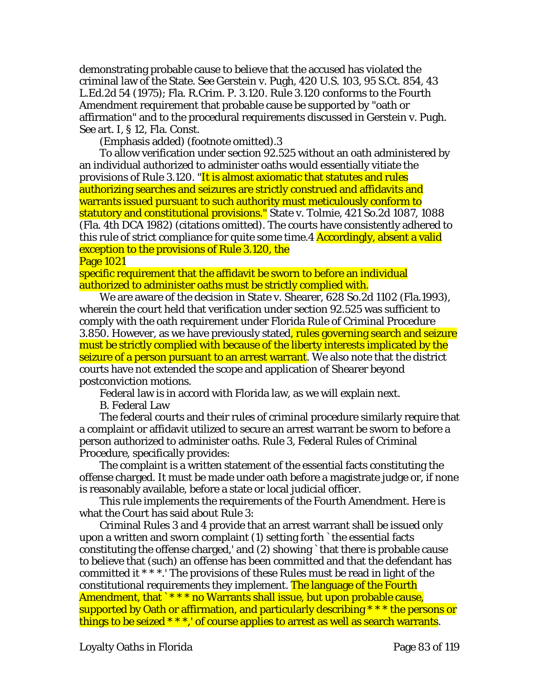demonstrating probable cause to believe that the accused has violated the criminal law of the State. See Gerstein v. Pugh, 420 U.S. 103, 95 S.Ct. 854, 43 L.Ed.2d 54 (1975); Fla. R.Crim. P. 3.120. Rule 3.120 conforms to the Fourth Amendment requirement that probable cause be supported by "oath or affirmation" and to the procedural requirements discussed in Gerstein v. Pugh. See art. I, § 12, Fla. Const.

(Emphasis added) (footnote omitted).3

 To allow verification under section 92.525 without an oath administered by an individual authorized to administer oaths would essentially vitiate the provisions of Rule 3.120. "It is almost axiomatic that statutes and rules authorizing searches and seizures are strictly construed and affidavits and warrants issued pursuant to such authority must meticulously conform to statutory and constitutional provisions." State v. Tolmie, 421 So.2d 1087, 1088 (Fla. 4th DCA 1982) (citations omitted). The courts have consistently adhered to this rule of strict compliance for quite some time. 4 **Accordingly, absent a valid** exception to the provisions of Rule 3.120, the Page 1021

specific requirement that the affidavit be sworn to before an individual authorized to administer oaths must be strictly complied with.

 We are aware of the decision in State v. Shearer, 628 So.2d 1102 (Fla.1993), wherein the court held that verification under section 92.525 was sufficient to comply with the oath requirement under Florida Rule of Criminal Procedure 3.850. However, as we have previously stated, rules governing search and seizure must be strictly complied with because of the liberty interests implicated by the seizure of a person pursuant to an arrest warrant. We also note that the district courts have not extended the scope and application of Shearer beyond postconviction motions.

Federal law is in accord with Florida law, as we will explain next.

B. Federal Law

 The federal courts and their rules of criminal procedure similarly require that a complaint or affidavit utilized to secure an arrest warrant be sworn to before a person authorized to administer oaths. Rule 3, Federal Rules of Criminal Procedure, specifically provides:

 The complaint is a written statement of the essential facts constituting the offense charged. It must be made under oath before a magistrate judge or, if none is reasonably available, before a state or local judicial officer.

 This rule implements the requirements of the Fourth Amendment. Here is what the Court has said about Rule 3:

 Criminal Rules 3 and 4 provide that an arrest warrant shall be issued only upon a written and sworn complaint (1) setting forth `the essential facts constituting the offense charged,' and (2) showing `that there is probable cause to believe that (such) an offense has been committed and that the defendant has committed it \* \* \*.' The provisions of these Rules must be read in light of the constitutional requirements they implement. The language of the Fourth Amendment, that `\* \* \* no Warrants shall issue, but upon probable cause, supported by Oath or affirmation, and particularly describing \* \* \* the persons or things to be seized \* \* \*,' of course applies to arrest as well as search warrants.

Loyalty Oaths in Florida **Page 83 of 119**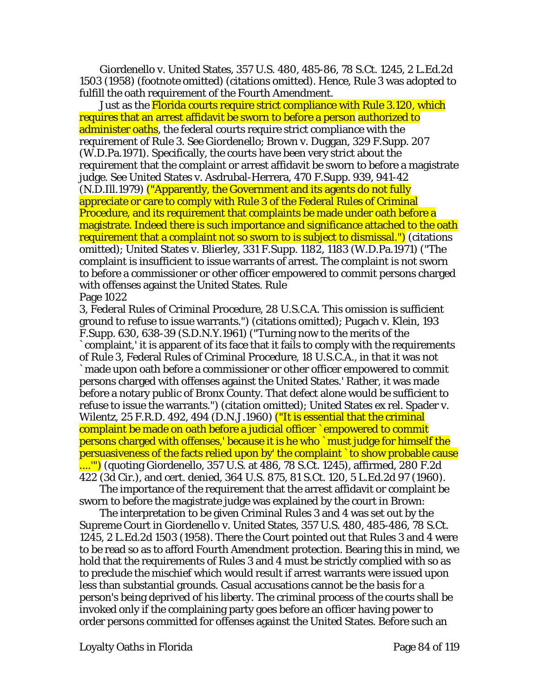Giordenello v. United States, 357 U.S. 480, 485-86, 78 S.Ct. 1245, 2 L.Ed.2d 1503 (1958) (footnote omitted) (citations omitted). Hence, Rule 3 was adopted to fulfill the oath requirement of the Fourth Amendment.

Just as the **Florida courts require strict compliance with Rule 3.120, which** requires that an arrest affidavit be sworn to before a person authorized to administer oaths, the federal courts require strict compliance with the requirement of Rule 3. See Giordenello; Brown v. Duggan, 329 F.Supp. 207 (W.D.Pa.1971). Specifically, the courts have been very strict about the requirement that the complaint or arrest affidavit be sworn to before a magistrate judge. See United States v. Asdrubal-Herrera, 470 F.Supp. 939, 941-42 (N.D.Ill.1979) ("Apparently, the Government and its agents do not fully appreciate or care to comply with Rule 3 of the Federal Rules of Criminal Procedure, and its requirement that complaints be made under oath before a magistrate. Indeed there is such importance and significance attached to the oath requirement that a complaint not so sworn to is subject to dismissal.") (citations omitted); United States v. Blierley, 331 F.Supp. 1182, 1183 (W.D.Pa.1971) ("The complaint is insufficient to issue warrants of arrest. The complaint is not sworn to before a commissioner or other officer empowered to commit persons charged with offenses against the United States. Rule Page 1022

3, Federal Rules of Criminal Procedure, 28 U.S.C.A. This omission is sufficient ground to refuse to issue warrants.") (citations omitted); Pugach v. Klein, 193 F.Supp. 630, 638-39 (S.D.N.Y.1961) ("Turning now to the merits of the `complaint,' it is apparent of its face that it fails to comply with the requirements of Rule 3, Federal Rules of Criminal Procedure, 18 U.S.C.A., in that it was not `made upon oath before a commissioner or other officer empowered to commit persons charged with offenses against the United States.' Rather, it was made before a notary public of Bronx County. That defect alone would be sufficient to refuse to issue the warrants.") (citation omitted); United States ex rel. Spader v. Wilentz, 25 F.R.D. 492, 494 (D.N.J.1960) ("It is essential that the criminal complaint be made on oath before a judicial officer `empowered to commit persons charged with offenses,' because it is he who `must judge for himself the persuasiveness of the facts relied upon by' the complaint `to show probable cause ....<sup>'"</sup>) (quoting Giordenello, 357 U.S. at 486, 78 S.Ct. 1245), affirmed, 280 F.2d 422 (3d Cir.), and cert. denied, 364 U.S. 875, 81 S.Ct. 120, 5 L.Ed.2d 97 (1960).

 The importance of the requirement that the arrest affidavit or complaint be sworn to before the magistrate judge was explained by the court in Brown:

 The interpretation to be given Criminal Rules 3 and 4 was set out by the Supreme Court in Giordenello v. United States, 357 U.S. 480, 485-486, 78 S.Ct. 1245, 2 L.Ed.2d 1503 (1958). There the Court pointed out that Rules 3 and 4 were to be read so as to afford Fourth Amendment protection. Bearing this in mind, we hold that the requirements of Rules 3 and 4 must be strictly complied with so as to preclude the mischief which would result if arrest warrants were issued upon less than substantial grounds. Casual accusations cannot be the basis for a person's being deprived of his liberty. The criminal process of the courts shall be invoked only if the complaining party goes before an officer having power to order persons committed for offenses against the United States. Before such an

Loyalty Oaths in Florida **Page 84 of 119**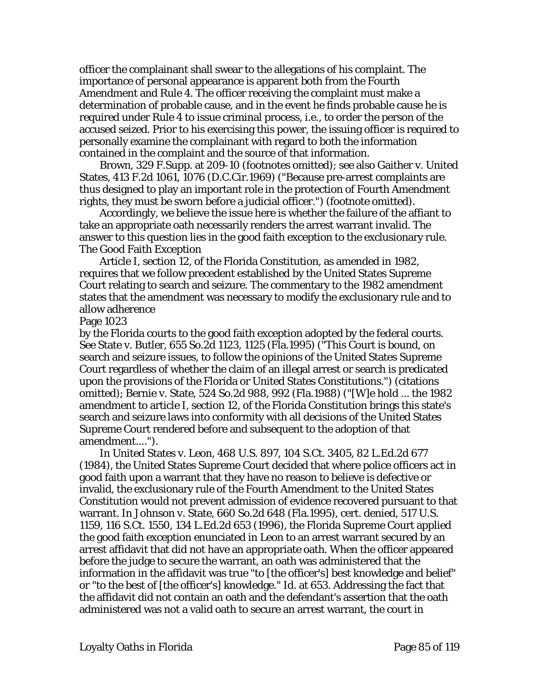officer the complainant shall swear to the allegations of his complaint. The importance of personal appearance is apparent both from the Fourth Amendment and Rule 4. The officer receiving the complaint must make a determination of probable cause, and in the event he finds probable cause he is required under Rule 4 to issue criminal process, i.e., to order the person of the accused seized. Prior to his exercising this power, the issuing officer is required to personally examine the complainant with regard to both the information contained in the complaint and the source of that information.

 Brown, 329 F.Supp. at 209-10 (footnotes omitted); see also Gaither v. United States, 413 F.2d 1061, 1076 (D.C.Cir.1969) ("Because pre-arrest complaints are thus designed to play an important role in the protection of Fourth Amendment rights, they must be sworn before a judicial officer.") (footnote omitted).

 Accordingly, we believe the issue here is whether the failure of the affiant to take an appropriate oath necessarily renders the arrest warrant invalid. The answer to this question lies in the good faith exception to the exclusionary rule. The Good Faith Exception

 Article I, section 12, of the Florida Constitution, as amended in 1982, requires that we follow precedent established by the United States Supreme Court relating to search and seizure. The commentary to the 1982 amendment states that the amendment was necessary to modify the exclusionary rule and to allow adherence

Page 1023

by the Florida courts to the good faith exception adopted by the federal courts. See State v. Butler, 655 So.2d 1123, 1125 (Fla.1995) ("This Court is bound, on search and seizure issues, to follow the opinions of the United States Supreme Court regardless of whether the claim of an illegal arrest or search is predicated upon the provisions of the Florida or United States Constitutions.") (citations omitted); Bernie v. State, 524 So.2d 988, 992 (Fla.1988) ("[W]e hold ... the 1982 amendment to article I, section 12, of the Florida Constitution brings this state's search and seizure laws into conformity with all decisions of the United States Supreme Court rendered before and subsequent to the adoption of that amendment....").

 In United States v. Leon, 468 U.S. 897, 104 S.Ct. 3405, 82 L.Ed.2d 677 (1984), the United States Supreme Court decided that where police officers act in good faith upon a warrant that they have no reason to believe is defective or invalid, the exclusionary rule of the Fourth Amendment to the United States Constitution would not prevent admission of evidence recovered pursuant to that warrant. In Johnson v. State, 660 So.2d 648 (Fla.1995), cert. denied, 517 U.S. 1159, 116 S.Ct. 1550, 134 L.Ed.2d 653 (1996), the Florida Supreme Court applied the good faith exception enunciated in Leon to an arrest warrant secured by an arrest affidavit that did not have an appropriate oath. When the officer appeared before the judge to secure the warrant, an oath was administered that the information in the affidavit was true "to [the officer's] best knowledge and belief" or "to the best of [the officer's] knowledge." Id. at 653. Addressing the fact that the affidavit did not contain an oath and the defendant's assertion that the oath administered was not a valid oath to secure an arrest warrant, the court in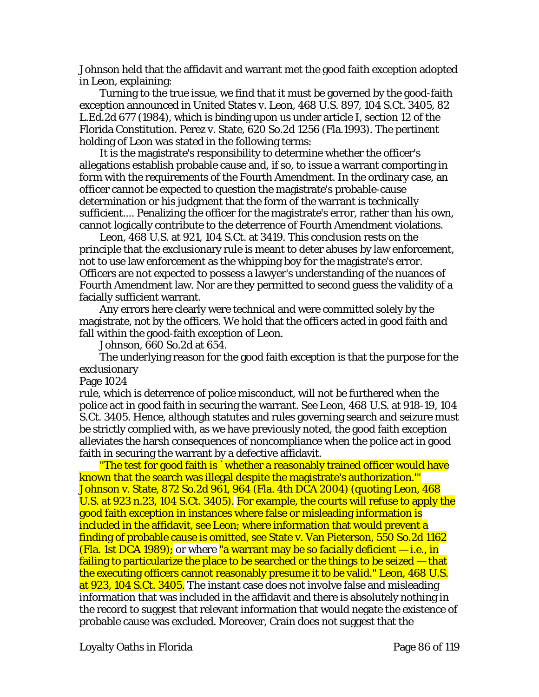Johnson held that the affidavit and warrant met the good faith exception adopted in Leon, explaining:

 Turning to the true issue, we find that it must be governed by the good-faith exception announced in United States v. Leon, 468 U.S. 897, 104 S.Ct. 3405, 82 L.Ed.2d 677 (1984), which is binding upon us under article I, section 12 of the Florida Constitution. Perez v. State, 620 So.2d 1256 (Fla.1993). The pertinent holding of Leon was stated in the following terms:

 It is the magistrate's responsibility to determine whether the officer's allegations establish probable cause and, if so, to issue a warrant comporting in form with the requirements of the Fourth Amendment. In the ordinary case, an officer cannot be expected to question the magistrate's probable-cause determination or his judgment that the form of the warrant is technically sufficient.... Penalizing the officer for the magistrate's error, rather than his own, cannot logically contribute to the deterrence of Fourth Amendment violations.

 Leon, 468 U.S. at 921, 104 S.Ct. at 3419. This conclusion rests on the principle that the exclusionary rule is meant to deter abuses by law enforcement, not to use law enforcement as the whipping boy for the magistrate's error. Officers are not expected to possess a lawyer's understanding of the nuances of Fourth Amendment law. Nor are they permitted to second guess the validity of a facially sufficient warrant.

 Any errors here clearly were technical and were committed solely by the magistrate, not by the officers. We hold that the officers acted in good faith and fall within the good-faith exception of Leon.

Johnson, 660 So.2d at 654.

 The underlying reason for the good faith exception is that the purpose for the exclusionary

Page 1024

rule, which is deterrence of police misconduct, will not be furthered when the police act in good faith in securing the warrant. See Leon, 468 U.S. at 918-19, 104 S.Ct. 3405. Hence, although statutes and rules governing search and seizure must be strictly complied with, as we have previously noted, the good faith exception alleviates the harsh consequences of noncompliance when the police act in good faith in securing the warrant by a defective affidavit.

 "The test for good faith is `whether a reasonably trained officer would have known that the search was illegal despite the magistrate's authorization.'" Johnson v. State, 872 So.2d 961, 964 (Fla. 4th DCA 2004) (quoting Leon, 468 U.S. at 923 n.23, 104 S.Ct. 3405). For example, the courts will refuse to apply the good faith exception in instances where false or misleading information is included in the affidavit, see Leon; where information that would prevent a finding of probable cause is omitted, see State v. Van Pieterson, 550 So.2d 1162 **(Fla. 1st DCA 1989);** or where "a warrant may be so facially deficient  $-$  i.e., in failing to particularize the place to be searched or the things to be seized — that the executing officers cannot reasonably presume it to be valid." Leon, 468 U.S. at 923, 104 S.Ct. 3405. The instant case does not involve false and misleading information that was included in the affidavit and there is absolutely nothing in the record to suggest that relevant information that would negate the existence of probable cause was excluded. Moreover, Crain does not suggest that the

Loyalty Oaths in Florida Page 86 of 119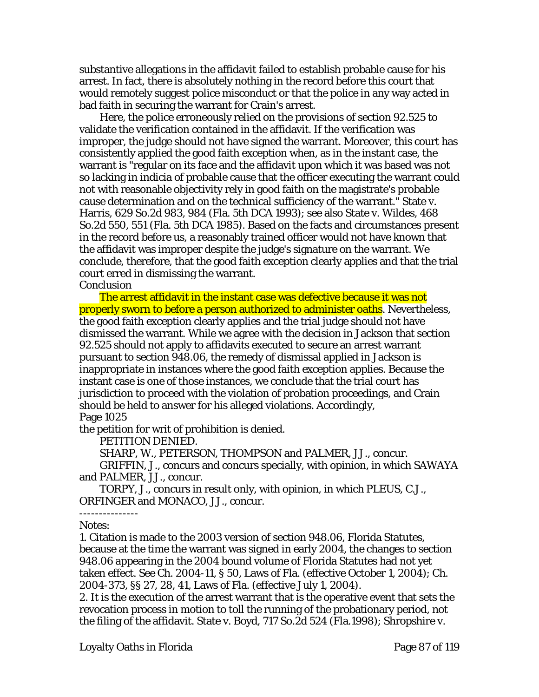substantive allegations in the affidavit failed to establish probable cause for his arrest. In fact, there is absolutely nothing in the record before this court that would remotely suggest police misconduct or that the police in any way acted in bad faith in securing the warrant for Crain's arrest.

 Here, the police erroneously relied on the provisions of section 92.525 to validate the verification contained in the affidavit. If the verification was improper, the judge should not have signed the warrant. Moreover, this court has consistently applied the good faith exception when, as in the instant case, the warrant is "regular on its face and the affidavit upon which it was based was not so lacking in indicia of probable cause that the officer executing the warrant could not with reasonable objectivity rely in good faith on the magistrate's probable cause determination and on the technical sufficiency of the warrant." State v. Harris, 629 So.2d 983, 984 (Fla. 5th DCA 1993); see also State v. Wildes, 468 So.2d 550, 551 (Fla. 5th DCA 1985). Based on the facts and circumstances present in the record before us, a reasonably trained officer would not have known that the affidavit was improper despite the judge's signature on the warrant. We conclude, therefore, that the good faith exception clearly applies and that the trial court erred in dismissing the warrant. **Conclusion** 

 The arrest affidavit in the instant case was defective because it was not properly sworn to before a person authorized to administer oaths. Nevertheless, the good faith exception clearly applies and the trial judge should not have dismissed the warrant. While we agree with the decision in Jackson that section 92.525 should not apply to affidavits executed to secure an arrest warrant pursuant to section 948.06, the remedy of dismissal applied in Jackson is inappropriate in instances where the good faith exception applies. Because the instant case is one of those instances, we conclude that the trial court has jurisdiction to proceed with the violation of probation proceedings, and Crain should be held to answer for his alleged violations. Accordingly, Page 1025

the petition for writ of prohibition is denied.

PETITION DENIED.

SHARP, W., PETERSON, THOMPSON and PALMER, JJ., concur.

 GRIFFIN, J., concurs and concurs specially, with opinion, in which SAWAYA and PALMER, JJ., concur.

 TORPY, J., concurs in result only, with opinion, in which PLEUS, C.J., ORFINGER and MONACO, JJ., concur.

#### --------------- Notes:

1. Citation is made to the 2003 version of section 948.06, Florida Statutes, because at the time the warrant was signed in early 2004, the changes to section 948.06 appearing in the 2004 bound volume of Florida Statutes had not yet taken effect. See Ch. 2004-11, § 50, Laws of Fla. (effective October 1, 2004); Ch. 2004-373, §§ 27, 28, 41, Laws of Fla. (effective July 1, 2004).

2. It is the execution of the arrest warrant that is the operative event that sets the revocation process in motion to toll the running of the probationary period, not the filing of the affidavit. State v. Boyd, 717 So.2d 524 (Fla.1998); Shropshire v.

Loyalty Oaths in Florida **Page 87** of 119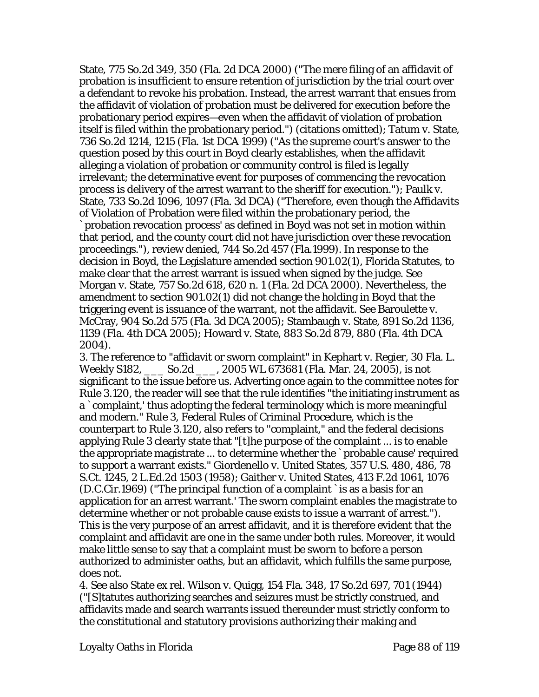State, 775 So.2d 349, 350 (Fla. 2d DCA 2000) ("The mere filing of an affidavit of probation is insufficient to ensure retention of jurisdiction by the trial court over a defendant to revoke his probation. Instead, the arrest warrant that ensues from the affidavit of violation of probation must be delivered for execution before the probationary period expires—even when the affidavit of violation of probation itself is filed within the probationary period.") (citations omitted); Tatum v. State, 736 So.2d 1214, 1215 (Fla. 1st DCA 1999) ("As the supreme court's answer to the question posed by this court in Boyd clearly establishes, when the affidavit alleging a violation of probation or community control is filed is legally irrelevant; the determinative event for purposes of commencing the revocation process is delivery of the arrest warrant to the sheriff for execution."); Paulk v. State, 733 So.2d 1096, 1097 (Fla. 3d DCA) ("Therefore, even though the Affidavits of Violation of Probation were filed within the probationary period, the `probation revocation process' as defined in Boyd was not set in motion within that period, and the county court did not have jurisdiction over these revocation proceedings."), review denied, 744 So.2d 457 (Fla.1999). In response to the decision in Boyd, the Legislature amended section 901.02(1), Florida Statutes, to make clear that the arrest warrant is issued when signed by the judge. See Morgan v. State, 757 So.2d 618, 620 n. 1 (Fla. 2d DCA 2000). Nevertheless, the amendment to section 901.02(1) did not change the holding in Boyd that the triggering event is issuance of the warrant, not the affidavit. See Baroulette v. McCray, 904 So.2d 575 (Fla. 3d DCA 2005); Stambaugh v. State, 891 So.2d 1136, 1139 (Fla. 4th DCA 2005); Howard v. State, 883 So.2d 879, 880 (Fla. 4th DCA 2004).

3. The reference to "affidavit or sworn complaint" in Kephart v. Regier, 30 Fla. L. Weekly S182, \_\_\_ So.2d \_\_\_, 2005 WL 673681 (Fla. Mar. 24, 2005), is not significant to the issue before us. Adverting once again to the committee notes for Rule 3.120, the reader will see that the rule identifies "the initiating instrument as a `complaint,' thus adopting the federal terminology which is more meaningful and modern." Rule 3, Federal Rules of Criminal Procedure, which is the counterpart to Rule 3.120, also refers to "complaint," and the federal decisions applying Rule 3 clearly state that "[t]he purpose of the complaint ... is to enable the appropriate magistrate ... to determine whether the `probable cause' required to support a warrant exists." Giordenello v. United States, 357 U.S. 480, 486, 78 S.Ct. 1245, 2 L.Ed.2d 1503 (1958); Gaither v. United States, 413 F.2d 1061, 1076 (D.C.Cir.1969) ("The principal function of a complaint `is as a basis for an application for an arrest warrant.' The sworn complaint enables the magistrate to determine whether or not probable cause exists to issue a warrant of arrest."). This is the very purpose of an arrest affidavit, and it is therefore evident that the complaint and affidavit are one in the same under both rules. Moreover, it would make little sense to say that a complaint must be sworn to before a person authorized to administer oaths, but an affidavit, which fulfills the same purpose, does not.

4. See also State ex rel. Wilson v. Quigg, 154 Fla. 348, 17 So.2d 697, 701 (1944) ("[S]tatutes authorizing searches and seizures must be strictly construed, and affidavits made and search warrants issued thereunder must strictly conform to the constitutional and statutory provisions authorizing their making and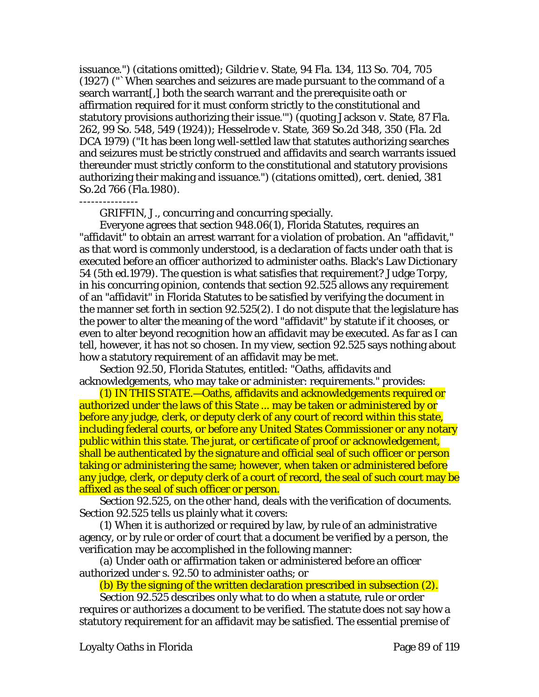issuance.") (citations omitted); Gildrie v. State, 94 Fla. 134, 113 So. 704, 705 (1927) ("`When searches and seizures are made pursuant to the command of a search warrant[,] both the search warrant and the prerequisite oath or affirmation required for it must conform strictly to the constitutional and statutory provisions authorizing their issue.'") (quoting Jackson v. State, 87 Fla. 262, 99 So. 548, 549 (1924)); Hesselrode v. State, 369 So.2d 348, 350 (Fla. 2d DCA 1979) ("It has been long well-settled law that statutes authorizing searches and seizures must be strictly construed and affidavits and search warrants issued thereunder must strictly conform to the constitutional and statutory provisions authorizing their making and issuance.") (citations omitted), cert. denied, 381 So.2d 766 (Fla.1980).

#### ---------------

GRIFFIN, J., concurring and concurring specially.

 Everyone agrees that section 948.06(1), Florida Statutes, requires an "affidavit" to obtain an arrest warrant for a violation of probation. An "affidavit," as that word is commonly understood, is a declaration of facts under oath that is executed before an officer authorized to administer oaths. Black's Law Dictionary 54 (5th ed.1979). The question is what satisfies that requirement? Judge Torpy, in his concurring opinion, contends that section 92.525 allows any requirement of an "affidavit" in Florida Statutes to be satisfied by verifying the document in the manner set forth in section 92.525(2). I do not dispute that the legislature has the power to alter the meaning of the word "affidavit" by statute if it chooses, or even to alter beyond recognition how an affidavit may be executed. As far as I can tell, however, it has not so chosen. In my view, section 92.525 says nothing about how a statutory requirement of an affidavit may be met.

 Section 92.50, Florida Statutes, entitled: "Oaths, affidavits and acknowledgements, who may take or administer: requirements." provides:

 (1) IN THIS STATE.—Oaths, affidavits and acknowledgements required or authorized under the laws of this State ... may be taken or administered by or before any judge, clerk, or deputy clerk of any court of record within this state, including federal courts, or before any United States Commissioner or any notary public within this state. The jurat, or certificate of proof or acknowledgement, shall be authenticated by the signature and official seal of such officer or person taking or administering the same; however, when taken or administered before any judge, clerk, or deputy clerk of a court of record, the seal of such court may be affixed as the seal of such officer or person.

 Section 92.525, on the other hand, deals with the verification of documents. Section 92.525 tells us plainly what it covers:

 (1) When it is authorized or required by law, by rule of an administrative agency, or by rule or order of court that a document be verified by a person, the verification may be accomplished in the following manner:

 (a) Under oath or affirmation taken or administered before an officer authorized under s. 92.50 to administer oaths; or

(b) By the signing of the written declaration prescribed in subsection (2).

 Section 92.525 describes only what to do when a statute, rule or order requires or authorizes a document to be verified. The statute does not say how a statutory requirement for an affidavit may be satisfied. The essential premise of

Loyalty Oaths in Florida **Page 89 of 119**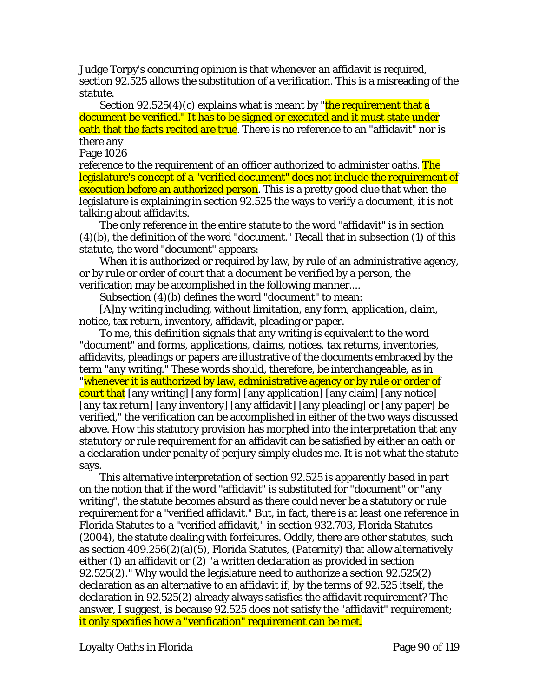Judge Torpy's concurring opinion is that whenever an affidavit is required, section 92.525 allows the substitution of a verification. This is a misreading of the statute.

Section  $92.525(4)(c)$  explains what is meant by "the requirement that a document be verified." It has to be signed or executed and it must state under oath that the facts recited are true. There is no reference to an "affidavit" nor is there any

#### Page 1026

reference to the requirement of an officer authorized to administer oaths. The legislature's concept of a "verified document" does not include the requirement of execution before an authorized person. This is a pretty good clue that when the legislature is explaining in section 92.525 the ways to verify a document, it is not talking about affidavits.

 The only reference in the entire statute to the word "affidavit" is in section (4)(b), the definition of the word "document." Recall that in subsection (1) of this statute, the word "document" appears:

 When it is authorized or required by law, by rule of an administrative agency, or by rule or order of court that a document be verified by a person, the verification may be accomplished in the following manner....

Subsection (4)(b) defines the word "document" to mean:

 [A]ny writing including, without limitation, any form, application, claim, notice, tax return, inventory, affidavit, pleading or paper.

 To me, this definition signals that any writing is equivalent to the word "document" and forms, applications, claims, notices, tax returns, inventories, affidavits, pleadings or papers are illustrative of the documents embraced by the term "any writing." These words should, therefore, be interchangeable, as in "whenever it is authorized by law, administrative agency or by rule or order of court that [any writing] [any form] [any application] [any claim] [any notice] [any tax return] [any inventory] [any affidavit] [any pleading] or [any paper] be verified," the verification can be accomplished in either of the two ways discussed above. How this statutory provision has morphed into the interpretation that any statutory or rule requirement for an affidavit can be satisfied by either an oath or a declaration under penalty of perjury simply eludes me. It is not what the statute says.

 This alternative interpretation of section 92.525 is apparently based in part on the notion that if the word "affidavit" is substituted for "document" or "any writing", the statute becomes absurd as there could never be a statutory or rule requirement for a "verified affidavit." But, in fact, there is at least one reference in Florida Statutes to a "verified affidavit," in section 932.703, Florida Statutes (2004), the statute dealing with forfeitures. Oddly, there are other statutes, such as section  $409.256(2)(a)(5)$ , Florida Statutes, (Paternity) that allow alternatively either (1) an affidavit or (2) "a written declaration as provided in section 92.525(2)." Why would the legislature need to authorize a section 92.525(2) declaration as an alternative to an affidavit if, by the terms of 92.525 itself, the declaration in 92.525(2) already always satisfies the affidavit requirement? The answer, I suggest, is because 92.525 does not satisfy the "affidavit" requirement; it only specifies how a "verification" requirement can be met.

Loyalty Oaths in Florida **Page 90 of 119**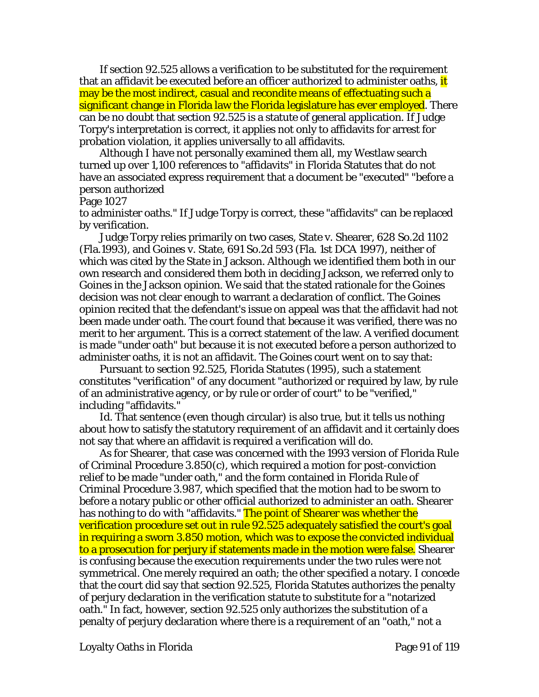If section 92.525 allows a verification to be substituted for the requirement that an affidavit be executed before an officer authorized to administer oaths, <mark>it</mark> may be the most indirect, casual and recondite means of effectuating such a significant change in Florida law the Florida legislature has ever employed. There can be no doubt that section 92.525 is a statute of general application. If Judge Torpy's interpretation is correct, it applies not only to affidavits for arrest for probation violation, it applies universally to all affidavits.

 Although I have not personally examined them all, my Westlaw search turned up over 1,100 references to "affidavits" in Florida Statutes that do not have an associated express requirement that a document be "executed" "before a person authorized

#### Page 1027

to administer oaths." If Judge Torpy is correct, these "affidavits" can be replaced by verification.

 Judge Torpy relies primarily on two cases, State v. Shearer, 628 So.2d 1102 (Fla.1993), and Goines v. State, 691 So.2d 593 (Fla. 1st DCA 1997), neither of which was cited by the State in Jackson. Although we identified them both in our own research and considered them both in deciding Jackson, we referred only to Goines in the Jackson opinion. We said that the stated rationale for the Goines decision was not clear enough to warrant a declaration of conflict. The Goines opinion recited that the defendant's issue on appeal was that the affidavit had not been made under oath. The court found that because it was verified, there was no merit to her argument. This is a correct statement of the law. A verified document is made "under oath" but because it is not executed before a person authorized to administer oaths, it is not an affidavit. The Goines court went on to say that:

 Pursuant to section 92.525, Florida Statutes (1995), such a statement constitutes "verification" of any document "authorized or required by law, by rule of an administrative agency, or by rule or order of court" to be "verified," including "affidavits."

 Id. That sentence (even though circular) is also true, but it tells us nothing about how to satisfy the statutory requirement of an affidavit and it certainly does not say that where an affidavit is required a verification will do.

 As for Shearer, that case was concerned with the 1993 version of Florida Rule of Criminal Procedure 3.850(c), which required a motion for post-conviction relief to be made "under oath," and the form contained in Florida Rule of Criminal Procedure 3.987, which specified that the motion had to be sworn to before a notary public or other official authorized to administer an oath. Shearer has nothing to do with "affidavits." The point of Shearer was whether the verification procedure set out in rule 92.525 adequately satisfied the court's goal in requiring a sworn 3.850 motion, which was to expose the convicted individual to a prosecution for perjury if statements made in the motion were false. Shearer is confusing because the execution requirements under the two rules were not symmetrical. One merely required an oath; the other specified a notary. I concede that the court did say that section 92.525, Florida Statutes authorizes the penalty of perjury declaration in the verification statute to substitute for a "notarized oath." In fact, however, section 92.525 only authorizes the substitution of a penalty of perjury declaration where there is a requirement of an "oath," not a

Loyalty Oaths in Florida **Page 91 of 119**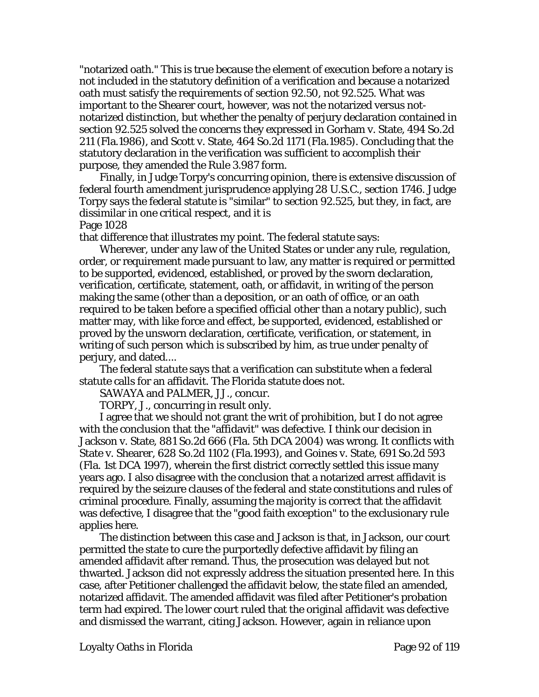"notarized oath." This is true because the element of execution before a notary is not included in the statutory definition of a verification and because a notarized oath must satisfy the requirements of section 92.50, not 92.525. What was important to the Shearer court, however, was not the notarized versus notnotarized distinction, but whether the penalty of perjury declaration contained in section 92.525 solved the concerns they expressed in Gorham v. State, 494 So.2d 211 (Fla.1986), and Scott v. State, 464 So.2d 1171 (Fla.1985). Concluding that the statutory declaration in the verification was sufficient to accomplish their purpose, they amended the Rule 3.987 form.

 Finally, in Judge Torpy's concurring opinion, there is extensive discussion of federal fourth amendment jurisprudence applying 28 U.S.C., section 1746. Judge Torpy says the federal statute is "similar" to section 92.525, but they, in fact, are dissimilar in one critical respect, and it is

Page 1028

that difference that illustrates my point. The federal statute says:

 Wherever, under any law of the United States or under any rule, regulation, order, or requirement made pursuant to law, any matter is required or permitted to be supported, evidenced, established, or proved by the sworn declaration, verification, certificate, statement, oath, or affidavit, in writing of the person making the same (other than a deposition, or an oath of office, or an oath required to be taken before a specified official other than a notary public), such matter may, with like force and effect, be supported, evidenced, established or proved by the unsworn declaration, certificate, verification, or statement, in writing of such person which is subscribed by him, as true under penalty of perjury, and dated....

 The federal statute says that a verification can substitute when a federal statute calls for an affidavit. The Florida statute does not.

SAWAYA and PALMER, JJ., concur.

TORPY, J., concurring in result only.

 I agree that we should not grant the writ of prohibition, but I do not agree with the conclusion that the "affidavit" was defective. I think our decision in Jackson v. State, 881 So.2d 666 (Fla. 5th DCA 2004) was wrong. It conflicts with State v. Shearer, 628 So.2d 1102 (Fla.1993), and Goines v. State, 691 So.2d 593 (Fla. 1st DCA 1997), wherein the first district correctly settled this issue many years ago. I also disagree with the conclusion that a notarized arrest affidavit is required by the seizure clauses of the federal and state constitutions and rules of criminal procedure. Finally, assuming the majority is correct that the affidavit was defective, I disagree that the "good faith exception" to the exclusionary rule applies here.

 The distinction between this case and Jackson is that, in Jackson, our court permitted the state to cure the purportedly defective affidavit by filing an amended affidavit after remand. Thus, the prosecution was delayed but not thwarted. Jackson did not expressly address the situation presented here. In this case, after Petitioner challenged the affidavit below, the state filed an amended, notarized affidavit. The amended affidavit was filed after Petitioner's probation term had expired. The lower court ruled that the original affidavit was defective and dismissed the warrant, citing Jackson. However, again in reliance upon

Loyalty Oaths in Florida **Page 92 of 119**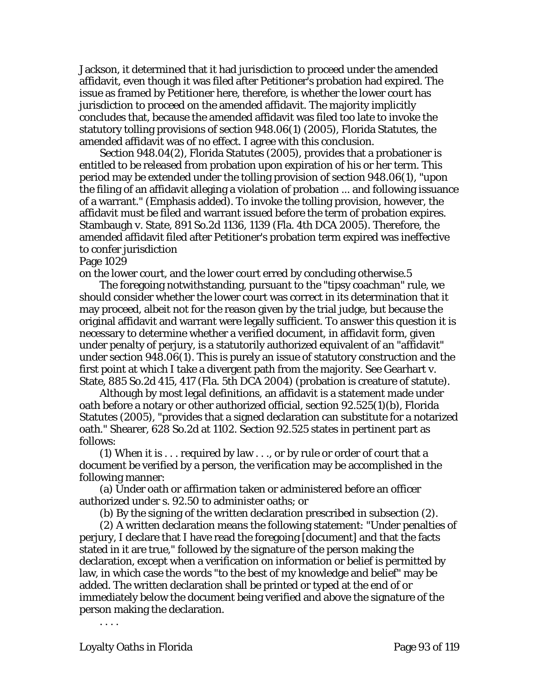Jackson, it determined that it had jurisdiction to proceed under the amended affidavit, even though it was filed after Petitioner's probation had expired. The issue as framed by Petitioner here, therefore, is whether the lower court has jurisdiction to proceed on the amended affidavit. The majority implicitly concludes that, because the amended affidavit was filed too late to invoke the statutory tolling provisions of section 948.06(1) (2005), Florida Statutes, the amended affidavit was of no effect. I agree with this conclusion.

 Section 948.04(2), Florida Statutes (2005), provides that a probationer is entitled to be released from probation upon expiration of his or her term. This period may be extended under the tolling provision of section 948.06(1), "upon the filing of an affidavit alleging a violation of probation ... and following issuance of a warrant." (Emphasis added). To invoke the tolling provision, however, the affidavit must be filed and warrant issued before the term of probation expires. Stambaugh v. State, 891 So.2d 1136, 1139 (Fla. 4th DCA 2005). Therefore, the amended affidavit filed after Petitioner's probation term expired was ineffective to confer jurisdiction

Page 1029

on the lower court, and the lower court erred by concluding otherwise.5

 The foregoing notwithstanding, pursuant to the "tipsy coachman" rule, we should consider whether the lower court was correct in its determination that it may proceed, albeit not for the reason given by the trial judge, but because the original affidavit and warrant were legally sufficient. To answer this question it is necessary to determine whether a verified document, in affidavit form, given under penalty of perjury, is a statutorily authorized equivalent of an "affidavit" under section 948.06(1). This is purely an issue of statutory construction and the first point at which I take a divergent path from the majority. See Gearhart v. State, 885 So.2d 415, 417 (Fla. 5th DCA 2004) (probation is creature of statute).

 Although by most legal definitions, an affidavit is a statement made under oath before a notary or other authorized official, section 92.525(1)(b), Florida Statutes (2005), "provides that a signed declaration can substitute for a notarized oath." Shearer, 628 So.2d at 1102. Section 92.525 states in pertinent part as follows:

(1) When it is  $\ldots$  required by law  $\ldots$  or by rule or order of court that a document be verified by a person, the verification may be accomplished in the following manner:

 (a) Under oath or affirmation taken or administered before an officer authorized under s. 92.50 to administer oaths; or

(b) By the signing of the written declaration prescribed in subsection (2).

 (2) A written declaration means the following statement: "Under penalties of perjury, I declare that I have read the foregoing [document] and that the facts stated in it are true," followed by the signature of the person making the declaration, except when a verification on information or belief is permitted by law, in which case the words "to the best of my knowledge and belief" may be added. The written declaration shall be printed or typed at the end of or immediately below the document being verified and above the signature of the person making the declaration.

. . . .

Loyalty Oaths in Florida **Page 93 of 119**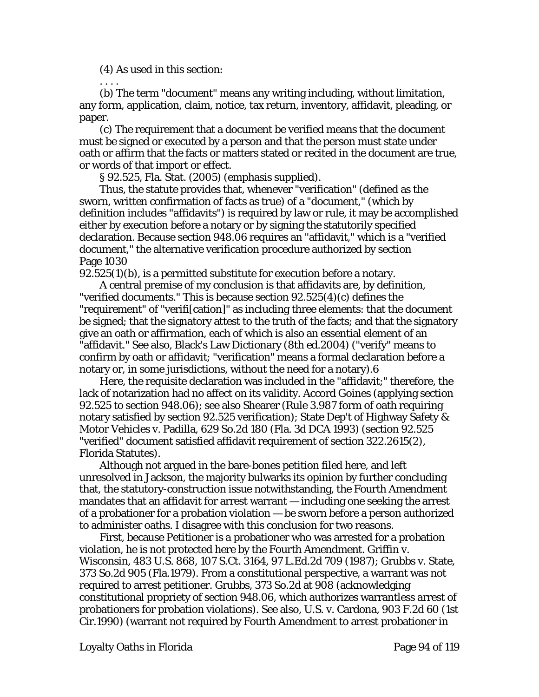(4) As used in this section:

. . . . . . (b) The term "document" means any writing including, without limitation, any form, application, claim, notice, tax return, inventory, affidavit, pleading, or paper.

 (c) The requirement that a document be verified means that the document must be signed or executed by a person and that the person must state under oath or affirm that the facts or matters stated or recited in the document are true, or words of that import or effect.

§ 92.525, Fla. Stat. (2005) (emphasis supplied).

 Thus, the statute provides that, whenever "verification" (defined as the sworn, written confirmation of facts as true) of a "document," (which by definition includes "affidavits") is required by law or rule, it may be accomplished either by execution before a notary or by signing the statutorily specified declaration. Because section 948.06 requires an "affidavit," which is a "verified document," the alternative verification procedure authorized by section Page 1030

92.525(1)(b), is a permitted substitute for execution before a notary.

 A central premise of my conclusion is that affidavits are, by definition, "verified documents." This is because section 92.525(4)(c) defines the "requirement" of "verifi[cation]" as including three elements: that the document be signed; that the signatory attest to the truth of the facts; and that the signatory give an oath or affirmation, each of which is also an essential element of an "affidavit." See also, Black's Law Dictionary (8th ed.2004) ("verify" means to confirm by oath or affidavit; "verification" means a formal declaration before a notary or, in some jurisdictions, without the need for a notary).6

 Here, the requisite declaration was included in the "affidavit;" therefore, the lack of notarization had no affect on its validity. Accord Goines (applying section 92.525 to section 948.06); see also Shearer (Rule 3.987 form of oath requiring notary satisfied by section 92.525 verification); State Dep't of Highway Safety & Motor Vehicles v. Padilla, 629 So.2d 180 (Fla. 3d DCA 1993) (section 92.525 "verified" document satisfied affidavit requirement of section 322.2615(2), Florida Statutes).

 Although not argued in the bare-bones petition filed here, and left unresolved in Jackson, the majority bulwarks its opinion by further concluding that, the statutory-construction issue notwithstanding, the Fourth Amendment mandates that an affidavit for arrest warrant — including one seeking the arrest of a probationer for a probation violation — be sworn before a person authorized to administer oaths. I disagree with this conclusion for two reasons.

 First, because Petitioner is a probationer who was arrested for a probation violation, he is not protected here by the Fourth Amendment. Griffin v. Wisconsin, 483 U.S. 868, 107 S.Ct. 3164, 97 L.Ed.2d 709 (1987); Grubbs v. State, 373 So.2d 905 (Fla.1979). From a constitutional perspective, a warrant was not required to arrest petitioner. Grubbs, 373 So.2d at 908 (acknowledging constitutional propriety of section 948.06, which authorizes warrantless arrest of probationers for probation violations). See also, U.S. v. Cardona, 903 F.2d 60 (1st Cir.1990) (warrant not required by Fourth Amendment to arrest probationer in

Loyalty Oaths in Florida Page 94 of 119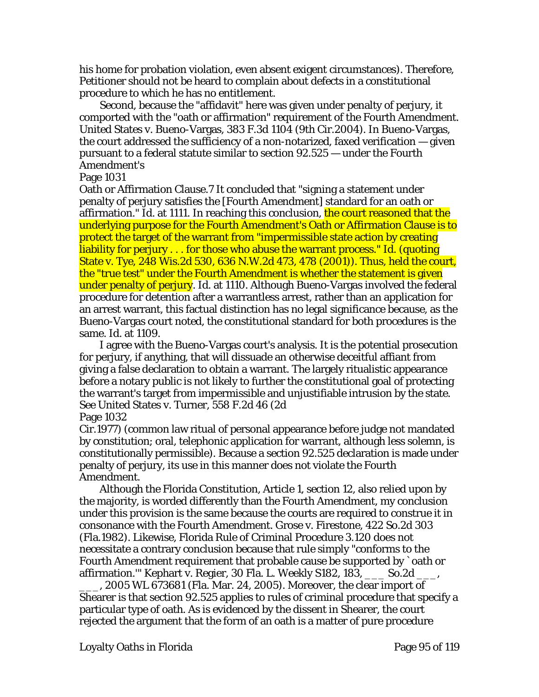his home for probation violation, even absent exigent circumstances). Therefore, Petitioner should not be heard to complain about defects in a constitutional procedure to which he has no entitlement.

 Second, because the "affidavit" here was given under penalty of perjury, it comported with the "oath or affirmation" requirement of the Fourth Amendment. United States v. Bueno-Vargas, 383 F.3d 1104 (9th Cir.2004). In Bueno-Vargas, the court addressed the sufficiency of a non-notarized, faxed verification — given pursuant to a federal statute similar to section 92.525 — under the Fourth Amendment's

#### Page 1031

Oath or Affirmation Clause.7 It concluded that "signing a statement under penalty of perjury satisfies the [Fourth Amendment] standard for an oath or affirmation." Id. at 1111. In reaching this conclusion, the court reasoned that the underlying purpose for the Fourth Amendment's Oath or Affirmation Clause is to protect the target of the warrant from "impermissible state action by creating liability for perjury . . . for those who abuse the warrant process." Id. (quoting State v. Tye, 248 Wis.2d 530, 636 N.W.2d 473, 478 (2001)). Thus, held the court, the "true test" under the Fourth Amendment is whether the statement is given under penalty of perjury. Id. at 1110. Although Bueno-Vargas involved the federal procedure for detention after a warrantless arrest, rather than an application for an arrest warrant, this factual distinction has no legal significance because, as the Bueno-Vargas court noted, the constitutional standard for both procedures is the same. Id. at 1109.

 I agree with the Bueno-Vargas court's analysis. It is the potential prosecution for perjury, if anything, that will dissuade an otherwise deceitful affiant from giving a false declaration to obtain a warrant. The largely ritualistic appearance before a notary public is not likely to further the constitutional goal of protecting the warrant's target from impermissible and unjustifiable intrusion by the state. See United States v. Turner, 558 F.2d 46 (2d

#### Page 1032

Cir.1977) (common law ritual of personal appearance before judge not mandated by constitution; oral, telephonic application for warrant, although less solemn, is constitutionally permissible). Because a section 92.525 declaration is made under penalty of perjury, its use in this manner does not violate the Fourth Amendment.

 Although the Florida Constitution, Article 1, section 12, also relied upon by the majority, is worded differently than the Fourth Amendment, my conclusion under this provision is the same because the courts are required to construe it in consonance with the Fourth Amendment. Grose v. Firestone, 422 So.2d 303 (Fla.1982). Likewise, Florida Rule of Criminal Procedure 3.120 does not necessitate a contrary conclusion because that rule simply "conforms to the Fourth Amendment requirement that probable cause be supported by `oath or affirmation.'" Kephart v. Regier, 30 Fla. L. Weekly S182, 183, \_\_\_ So.2d \_\_\_,

\_\_\_, 2005 WL 673681 (Fla. Mar. 24, 2005). Moreover, the clear import of Shearer is that section 92.525 applies to rules of criminal procedure that specify a particular type of oath. As is evidenced by the dissent in Shearer, the court rejected the argument that the form of an oath is a matter of pure procedure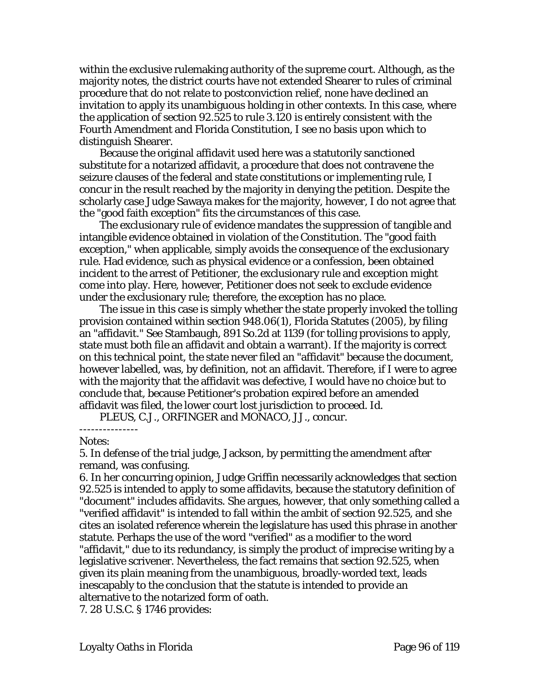within the exclusive rulemaking authority of the supreme court. Although, as the majority notes, the district courts have not extended Shearer to rules of criminal procedure that do not relate to postconviction relief, none have declined an invitation to apply its unambiguous holding in other contexts. In this case, where the application of section 92.525 to rule 3.120 is entirely consistent with the Fourth Amendment and Florida Constitution, I see no basis upon which to distinguish Shearer.

 Because the original affidavit used here was a statutorily sanctioned substitute for a notarized affidavit, a procedure that does not contravene the seizure clauses of the federal and state constitutions or implementing rule, I concur in the result reached by the majority in denying the petition. Despite the scholarly case Judge Sawaya makes for the majority, however, I do not agree that the "good faith exception" fits the circumstances of this case.

 The exclusionary rule of evidence mandates the suppression of tangible and intangible evidence obtained in violation of the Constitution. The "good faith exception," when applicable, simply avoids the consequence of the exclusionary rule. Had evidence, such as physical evidence or a confession, been obtained incident to the arrest of Petitioner, the exclusionary rule and exception might come into play. Here, however, Petitioner does not seek to exclude evidence under the exclusionary rule; therefore, the exception has no place.

 The issue in this case is simply whether the state properly invoked the tolling provision contained within section 948.06(1), Florida Statutes (2005), by filing an "affidavit." See Stambaugh, 891 So.2d at 1139 (for tolling provisions to apply, state must both file an affidavit and obtain a warrant). If the majority is correct on this technical point, the state never filed an "affidavit" because the document, however labelled, was, by definition, not an affidavit. Therefore, if I were to agree with the majority that the affidavit was defective, I would have no choice but to conclude that, because Petitioner's probation expired before an amended affidavit was filed, the lower court lost jurisdiction to proceed. Id.

PLEUS, C.J., ORFINGER and MONACO, JJ., concur.

---------------

Notes:

5. In defense of the trial judge, Jackson, by permitting the amendment after remand, was confusing.

6. In her concurring opinion, Judge Griffin necessarily acknowledges that section 92.525 is intended to apply to some affidavits, because the statutory definition of "document" includes affidavits. She argues, however, that only something called a "verified affidavit" is intended to fall within the ambit of section 92.525, and she cites an isolated reference wherein the legislature has used this phrase in another statute. Perhaps the use of the word "verified" as a modifier to the word "affidavit," due to its redundancy, is simply the product of imprecise writing by a legislative scrivener. Nevertheless, the fact remains that section 92.525, when given its plain meaning from the unambiguous, broadly-worded text, leads inescapably to the conclusion that the statute is intended to provide an alternative to the notarized form of oath.

7. 28 U.S.C. § 1746 provides: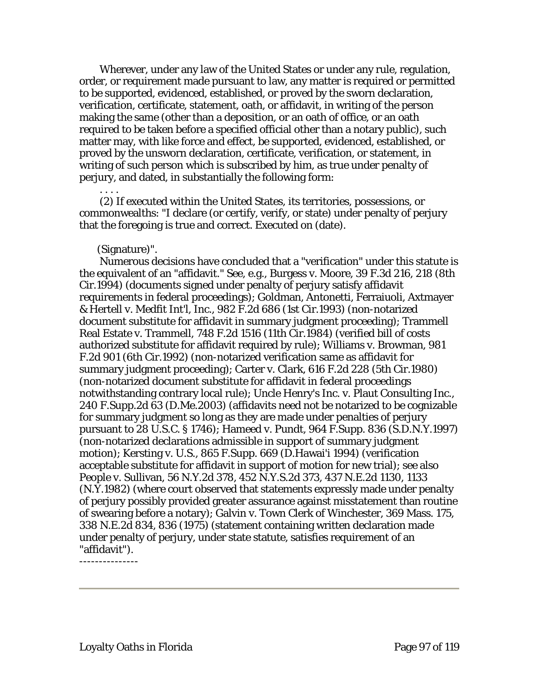Wherever, under any law of the United States or under any rule, regulation, order, or requirement made pursuant to law, any matter is required or permitted to be supported, evidenced, established, or proved by the sworn declaration, verification, certificate, statement, oath, or affidavit, in writing of the person making the same (other than a deposition, or an oath of office, or an oath required to be taken before a specified official other than a notary public), such matter may, with like force and effect, be supported, evidenced, established, or proved by the unsworn declaration, certificate, verification, or statement, in writing of such person which is subscribed by him, as true under penalty of perjury, and dated, in substantially the following form:

 (2) If executed within the United States, its territories, possessions, or commonwealths: "I declare (or certify, verify, or state) under penalty of perjury that the foregoing is true and correct. Executed on (date).

#### (Signature)".

. . . .

 Numerous decisions have concluded that a "verification" under this statute is the equivalent of an "affidavit." See, e.g., Burgess v. Moore, 39 F.3d 216, 218 (8th Cir.1994) (documents signed under penalty of perjury satisfy affidavit requirements in federal proceedings); Goldman, Antonetti, Ferraiuoli, Axtmayer & Hertell v. Medfit Int'l, Inc., 982 F.2d 686 (1st Cir.1993) (non-notarized document substitute for affidavit in summary judgment proceeding); Trammell Real Estate v. Trammell, 748 F.2d 1516 (11th Cir.1984) (verified bill of costs authorized substitute for affidavit required by rule); Williams v. Browman, 981 F.2d 901 (6th Cir.1992) (non-notarized verification same as affidavit for summary judgment proceeding); Carter v. Clark, 616 F.2d 228 (5th Cir.1980) (non-notarized document substitute for affidavit in federal proceedings notwithstanding contrary local rule); Uncle Henry's Inc. v. Plaut Consulting Inc., 240 F.Supp.2d 63 (D.Me.2003) (affidavits need not be notarized to be cognizable for summary judgment so long as they are made under penalties of perjury pursuant to 28 U.S.C. § 1746); Hameed v. Pundt, 964 F.Supp. 836 (S.D.N.Y.1997) (non-notarized declarations admissible in support of summary judgment motion); Kersting v. U.S., 865 F.Supp. 669 (D.Hawai'i 1994) (verification acceptable substitute for affidavit in support of motion for new trial); see also People v. Sullivan, 56 N.Y.2d 378, 452 N.Y.S.2d 373, 437 N.E.2d 1130, 1133 (N.Y.1982) (where court observed that statements expressly made under penalty of perjury possibly provided greater assurance against misstatement than routine of swearing before a notary); Galvin v. Town Clerk of Winchester, 369 Mass. 175, 338 N.E.2d 834, 836 (1975) (statement containing written declaration made under penalty of perjury, under state statute, satisfies requirement of an "affidavit").

---------------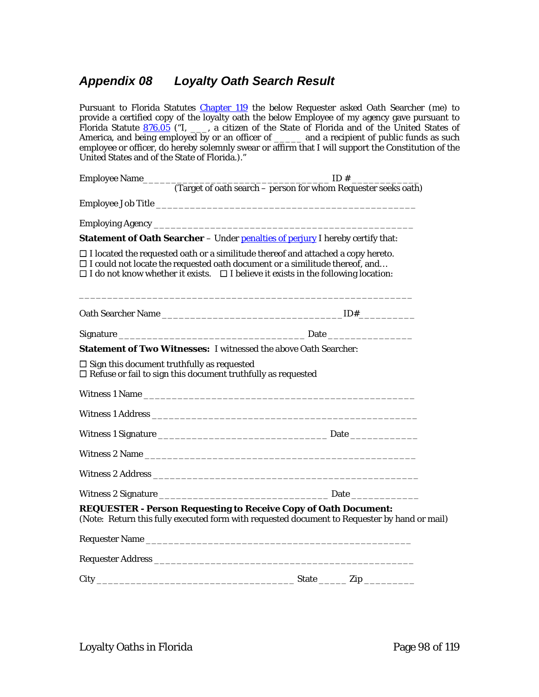## *Appendix 08 Loyalty Oath Search Result*

Pursuant to Florida Statutes <u>[Chapter 119](http://www.leg.state.fl.us/Statutes/index.cfm?App_mode=Display_Statute&URL=Ch0119/ch0119.htm)</u> the below Requester asked Oath Searcher (me) to provide a certified copy of the loyalty oath the below Employee of my agency gave pursuant to Florida Statute <u>876.05</u> ("I, \_\_\_, a citizen of the State of Florida and of the United States of America, and being employed by or an officer of \_\_\_\_\_ and a recipient of public funds as such employee or officer, do hereby solemnly swear or affirm that I will support the Constitution of the United States and of the State of Florida.)."

| Employee Name                                                                                                               |                                                                                                                                                                                                                                                                                |  |
|-----------------------------------------------------------------------------------------------------------------------------|--------------------------------------------------------------------------------------------------------------------------------------------------------------------------------------------------------------------------------------------------------------------------------|--|
|                                                                                                                             | (Target of oath search - person for whom Requester seeks oath)                                                                                                                                                                                                                 |  |
|                                                                                                                             |                                                                                                                                                                                                                                                                                |  |
|                                                                                                                             |                                                                                                                                                                                                                                                                                |  |
|                                                                                                                             | Statement of Oath Searcher - Under <b>penalties of perjury</b> I hereby certify that:                                                                                                                                                                                          |  |
|                                                                                                                             | $\Box$ I located the requested oath or a similitude thereof and attached a copy hereto.<br>$\Box$ I could not locate the requested oath document or a similitude thereof, and<br>$\Box$ I do not know whether it exists. $\Box$ I believe it exists in the following location: |  |
|                                                                                                                             |                                                                                                                                                                                                                                                                                |  |
|                                                                                                                             |                                                                                                                                                                                                                                                                                |  |
|                                                                                                                             | <b>Statement of Two Witnesses: I witnessed the above Oath Searcher:</b>                                                                                                                                                                                                        |  |
| $\square$ Sign this document truthfully as requested<br>$\Box$ Refuse or fail to sign this document truthfully as requested |                                                                                                                                                                                                                                                                                |  |
|                                                                                                                             |                                                                                                                                                                                                                                                                                |  |
|                                                                                                                             |                                                                                                                                                                                                                                                                                |  |
|                                                                                                                             |                                                                                                                                                                                                                                                                                |  |
|                                                                                                                             |                                                                                                                                                                                                                                                                                |  |
|                                                                                                                             |                                                                                                                                                                                                                                                                                |  |
|                                                                                                                             |                                                                                                                                                                                                                                                                                |  |
|                                                                                                                             | <b>REQUESTER - Person Requesting to Receive Copy of Oath Document:</b><br>(Note: Return this fully executed form with requested document to Requester by hand or mail)                                                                                                         |  |
|                                                                                                                             |                                                                                                                                                                                                                                                                                |  |
|                                                                                                                             |                                                                                                                                                                                                                                                                                |  |
|                                                                                                                             |                                                                                                                                                                                                                                                                                |  |
|                                                                                                                             |                                                                                                                                                                                                                                                                                |  |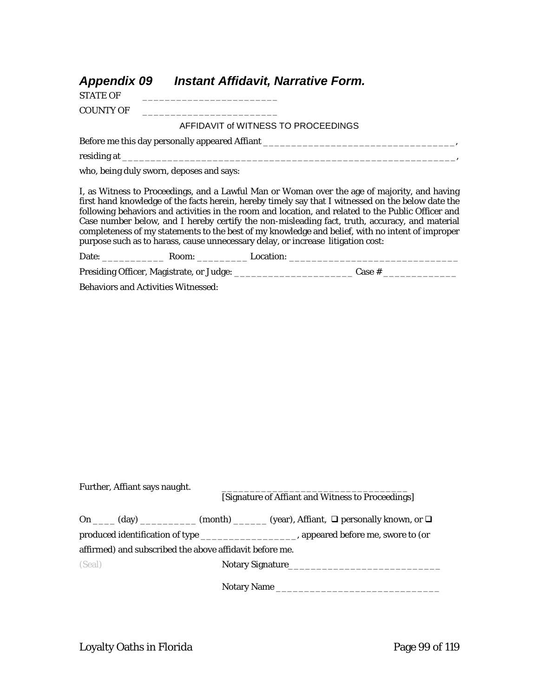| <b>Appendix 09</b> | <b>Instant Affidavit, Narrative Form.</b> |  |
|--------------------|-------------------------------------------|--|
|--------------------|-------------------------------------------|--|

STATE OF \_\_\_\_\_\_\_\_\_\_\_\_\_\_\_\_\_\_\_\_\_\_\_\_

COUNTY OF \_\_\_\_\_\_\_\_\_\_\_\_\_\_\_\_\_\_\_\_\_\_\_\_

#### AFFIDAVIT of WITNESS TO PROCEEDINGS

Before me this day personally appeared Affiant \_\_\_\_\_\_\_\_\_\_\_\_\_\_\_\_\_\_\_\_\_\_\_\_\_\_\_\_\_\_\_\_\_

residing at \_\_\_\_\_\_\_\_\_\_\_\_\_\_\_\_\_\_\_\_\_\_\_\_\_\_\_\_\_\_\_\_\_\_\_\_\_\_\_\_\_\_\_\_\_\_\_\_\_\_\_\_\_\_\_\_\_\_\_,

who, being duly sworn, deposes and says:

I, as Witness to Proceedings, and a Lawful Man or Woman over the age of majority, and having first hand knowledge of the facts herein, hereby timely say that I witnessed on the below date the following behaviors and activities in the room and location, and related to the Public Officer and Case number below, and I hereby certify the non-misleading fact, truth, accuracy, and material completeness of my statements to the best of my knowledge and belief, with no intent of improper purpose such as to harass, cause unnecessary delay, or increase litigation cost:

| $\overline{\phantom{0}}$<br>_____ | _____ | __<br>.<br>the contract of the contract of |  |
|-----------------------------------|-------|--------------------------------------------|--|
|-----------------------------------|-------|--------------------------------------------|--|

Presiding Officer, Magistrate, or Judge: \_\_\_\_\_\_\_\_\_\_\_\_\_\_\_\_\_\_\_\_\_\_\_\_\_\_\_\_\_\_\_Case # \_\_\_\_\_\_\_\_\_\_\_\_\_\_\_\_\_\_\_\_\_

Behaviors and Activities Witnessed:

| Further, Affiant says naught.                                     | [Signature of Affiant and Witness to Proceedings]                                                                                                                                            |
|-------------------------------------------------------------------|----------------------------------------------------------------------------------------------------------------------------------------------------------------------------------------------|
|                                                                   | On _____ (day) ___________ (month) _______ (year), Affiant, $\Box$ personally known, or $\Box$<br>produced identification of type ________________________, appeared before me, swore to (or |
| affirmed) and subscribed the above affidavit before me.<br>(Seal) |                                                                                                                                                                                              |
|                                                                   |                                                                                                                                                                                              |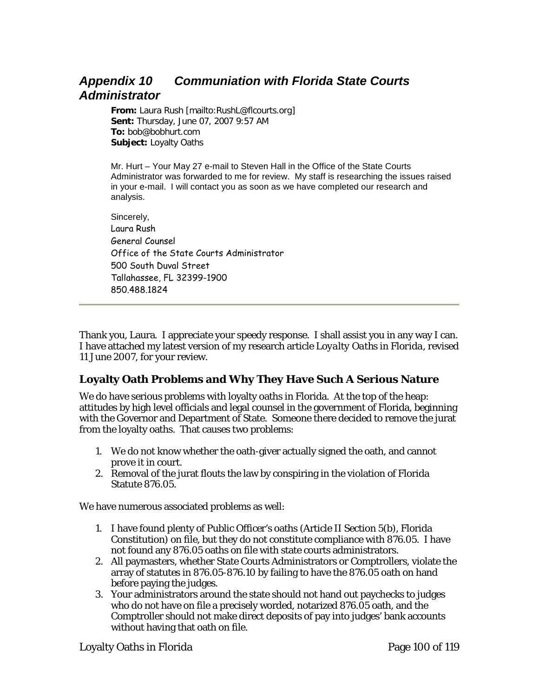# *Appendix 10 Communiation with Florida State Courts Administrator*

**From:** Laura Rush [mailto:RushL@flcourts.org] **Sent:** Thursday, June 07, 2007 9:57 AM **To:** bob@bobhurt.com **Subject:** Loyalty Oaths

Mr. Hurt – Your May 27 e-mail to Steven Hall in the Office of the State Courts Administrator was forwarded to me for review. My staff is researching the issues raised in your e-mail. I will contact you as soon as we have completed our research and analysis.

Sincerely, Laura Rush General Counsel Office of the State Courts Administrator 500 South Duval Street Tallahassee, FL 32399-1900 850.488.1824

Thank you, Laura. I appreciate your speedy response. I shall assist you in any way I can. I have attached my latest version of my research article *Loyalty Oaths in Florida,* revised 11 June 2007, for your review.

### **Loyalty Oath Problems and Why They Have Such A Serious Nature**

We do have serious problems with loyalty oaths in Florida. At the top of the heap: attitudes by high level officials and legal counsel in the government of Florida, beginning with the Governor and Department of State. Someone there decided to remove the jurat from the loyalty oaths. That causes two problems:

- 1. We do not know whether the oath-giver actually signed the oath, and cannot prove it in court.
- 2. Removal of the jurat flouts the law by conspiring in the violation of Florida Statute 876.05.

We have numerous associated problems as well:

- 1. I have found plenty of Public Officer's oaths (Article II Section 5(b), Florida Constitution) on file, but they do not constitute compliance with 876.05. I have not found any 876.05 oaths on file with state courts administrators.
- 2. All paymasters, whether State Courts Administrators or Comptrollers, violate the array of statutes in 876.05-876.10 by failing to have the 876.05 oath on hand before paying the judges.
- 3. Your administrators around the state should not hand out paychecks to judges who do not have on file a precisely worded, notarized 876.05 oath, and the Comptroller should not make direct deposits of pay into judges' bank accounts without having that oath on file.

Loyalty Oaths in Florida **Page 100 of 119**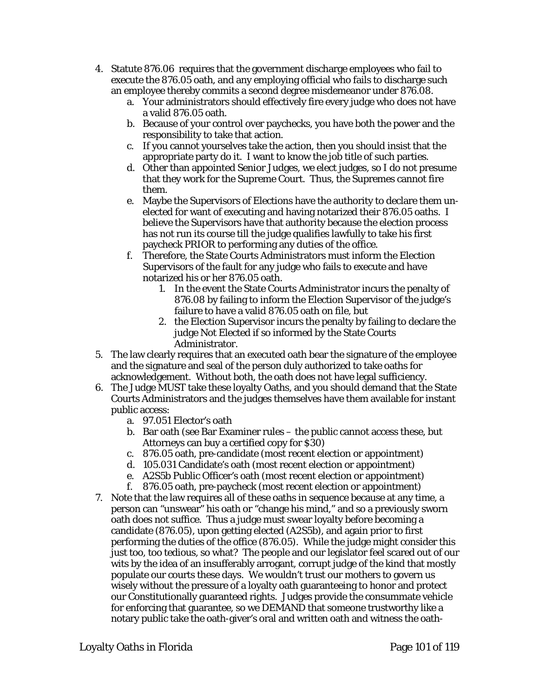- 4. Statute 876.06 requires that the government discharge employees who fail to execute the 876.05 oath, and any employing official who fails to discharge such an employee thereby commits a second degree misdemeanor under 876.08.
	- a. Your administrators should effectively fire every judge who does not have a valid 876.05 oath.
	- b. Because of your control over paychecks, you have both the power and the responsibility to take that action.
	- c. If you cannot yourselves take the action, then you should insist that the appropriate party do it. I want to know the job title of such parties.
	- d. Other than appointed Senior Judges, we elect judges, so I do not presume that they work for the Supreme Court. Thus, the Supremes cannot fire them.
	- e. Maybe the Supervisors of Elections have the authority to declare them unelected for want of executing and having notarized their 876.05 oaths. I believe the Supervisors have that authority because the election process has not run its course till the judge qualifies lawfully to take his first paycheck PRIOR to performing any duties of the office.
	- f. Therefore, the State Courts Administrators must inform the Election Supervisors of the fault for any judge who fails to execute and have notarized his or her 876.05 oath.
		- 1. In the event the State Courts Administrator incurs the penalty of 876.08 by failing to inform the Election Supervisor of the judge's failure to have a valid 876.05 oath on file, but
		- 2. the Election Supervisor incurs the penalty by failing to declare the judge Not Elected if so informed by the State Courts Administrator.
- 5. The law clearly requires that an executed oath bear the signature of the employee and the signature and seal of the person duly authorized to take oaths for acknowledgement. Without both, the oath does not have legal sufficiency.
- 6. The Judge MUST take these loyalty Oaths, and you should demand that the State Courts Administrators and the judges themselves have them available for instant public access:
	- a. 97.051 Elector's oath
	- b. Bar oath (see Bar Examiner rules the public cannot access these, but Attorneys can buy a certified copy for \$30)
	- c. 876.05 oath, pre-candidate (most recent election or appointment)
	- d. 105.031 Candidate's oath (most recent election or appointment)
	- e. A2S5b Public Officer's oath (most recent election or appointment)
	- f. 876.05 oath, pre-paycheck (most recent election or appointment)
- 7. Note that the law requires all of these oaths in sequence because at any time, a person can "unswear" his oath or "change his mind," and so a previously sworn oath does not suffice. Thus a judge must swear loyalty before becoming a candidate (876.05), upon getting elected (A2S5b), and again prior to first performing the duties of the office (876.05). While the judge might consider this just too, too tedious, so what? The people and our legislator feel scared out of our wits by the idea of an insufferably arrogant, corrupt judge of the kind that mostly populate our courts these days. We wouldn't trust our mothers to govern us wisely without the pressure of a loyalty oath guaranteeing to honor and protect our Constitutionally guaranteed rights. Judges provide the consummate vehicle for enforcing that guarantee, so we DEMAND that someone trustworthy like a notary public take the oath-giver's oral and written oath and witness the oath-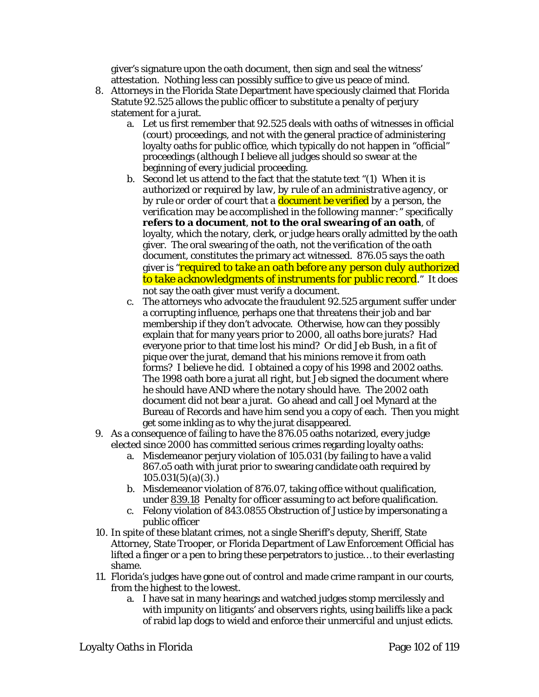giver's signature upon the oath document, then sign and seal the witness' attestation. Nothing less can possibly suffice to give us peace of mind.

- 8. Attorneys in the Florida State Department have speciously claimed that Florida Statute 92.525 allows the public officer to substitute a penalty of perjury statement for a jurat.
	- a. Let us first remember that 92.525 deals with oaths of witnesses in official (court) proceedings, and not with the general practice of administering loyalty oaths for public office, which typically do not happen in "official" proceedings (although I believe all judges should so swear at the beginning of every judicial proceeding.
	- b. Second let us attend to the fact that the statute text "*(1) When it is authorized or required by law, by rule of an administrative agency, or by rule or order of court that a document be verified by a person, the verification may be accomplished in the following manner:*" specifically **refers to a document**, **not to the oral swearing of an oath**, of loyalty, which the notary, clerk, or judge hears orally admitted by the oath giver. The oral swearing of the oath, *not the verification of the oath document,* constitutes the primary act witnessed. 876.05 says the oath giver is "*required to take an oath before any person duly authorized to take acknowledgments of instruments for public record.*" It does not say the oath giver must verify a document.
	- c. The attorneys who advocate the fraudulent 92.525 argument suffer under a corrupting influence, perhaps one that threatens their job and bar membership if they don't advocate. Otherwise, how can they possibly explain that for many years prior to 2000, all oaths bore jurats? Had everyone prior to that time lost his mind? Or did Jeb Bush, in a fit of pique over the jurat, demand that his minions remove it from oath forms? I believe he did. I obtained a copy of his 1998 and 2002 oaths. The 1998 oath bore a jurat all right, but Jeb signed the document where he should have AND where the notary should have. The 2002 oath document did not bear a jurat. Go ahead and call Joel Mynard at the Bureau of Records and have him send you a copy of each. Then you might get some inkling as to why the jurat disappeared.
- 9. As a consequence of failing to have the 876.05 oaths notarized, every judge elected since 2000 has committed serious crimes regarding loyalty oaths:
	- a. Misdemeanor perjury violation of 105.031 (by failing to have a valid 867.o5 oath with jurat prior to swearing candidate oath required by  $105.031(5)(a)(3)$ .)
	- b. Misdemeanor violation of 876.07, taking office without qualification, under [839.18](http://www.leg.state.fl.us/Statutes/index.cfm?App_mode=Display_Statute&Search_String=&URL=Ch0839/SEC18.HTM&Title=-%3E2006-%3ECh0839-%3ESection%2018#0839.18) Penalty for officer assuming to act before qualification.
	- c. Felony violation of 843.0855 Obstruction of Justice by impersonating a public officer
- 10. In spite of these blatant crimes, not a single Sheriff's deputy, Sheriff, State Attorney, State Trooper, or Florida Department of Law Enforcement Official has lifted a finger or a pen to bring these perpetrators to justice… to their everlasting shame.
- 11. Florida's judges have gone out of control and made crime rampant in our courts, from the highest to the lowest.
	- a. I have sat in many hearings and watched judges stomp mercilessly and with impunity on litigants' and observers rights, using bailiffs like a pack of rabid lap dogs to wield and enforce their unmerciful and unjust edicts.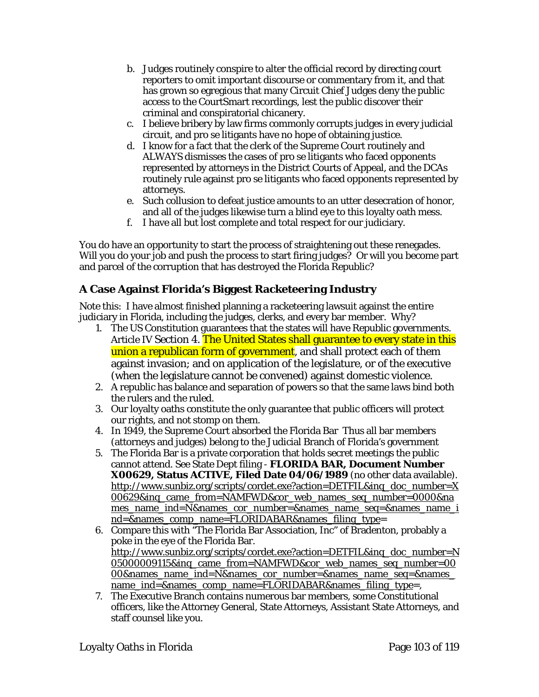- b. Judges routinely conspire to alter the official record by directing court reporters to omit important discourse or commentary from it, and that has grown so egregious that many Circuit Chief Judges deny the public access to the CourtSmart recordings, lest the public discover their criminal and conspiratorial chicanery.
- c. I believe bribery by law firms commonly corrupts judges in every judicial circuit, and pro se litigants have no hope of obtaining justice.
- d. I know for a fact that the clerk of the Supreme Court routinely and ALWAYS dismisses the cases of pro se litigants who faced opponents represented by attorneys in the District Courts of Appeal, and the DCAs routinely rule against pro se litigants who faced opponents represented by attorneys.
- e. Such collusion to defeat justice amounts to an utter desecration of honor, and all of the judges likewise turn a blind eye to this loyalty oath mess.
- f. I have all but lost complete and total respect for our judiciary.

You do have an opportunity to start the process of straightening out these renegades. Will you do your job and push the process to start firing judges? Or will you become part and parcel of the corruption that has destroyed the Florida Republic?

### **A Case Against Florida's Biggest Racketeering Industry**

Note this: I have almost finished planning a racketeering lawsuit against the entire judiciary in Florida, including the judges, clerks, and every bar member. Why?

- 1. The US Constitution guarantees that the states will have Republic governments. Article IV Section 4. The United States shall guarantee to every state in this union a republican form of government, and shall protect each of them against invasion; and on application of the legislature, or of the executive (when the legislature cannot be convened) against domestic violence.
- 2. A republic has balance and separation of powers so that the same laws bind both the rulers and the ruled.
- 3. Our loyalty oaths constitute the only guarantee that public officers will protect our rights, and not stomp on them.
- 4. In 1949, the Supreme Court absorbed the Florida Bar Thus all bar members (attorneys and judges) belong to the Judicial Branch of Florida's government
- 5. The Florida Bar is a private corporation that holds secret meetings the public cannot attend. See State Dept filing - **FLORIDA BAR, Document Number X00629, Status ACTIVE, Filed Date 04/06/1989** (no other data available). [http://www.sunbiz.org/scripts/cordet.exe?action=DETFIL&inq\\_doc\\_number=X](http://www.sunbiz.org/scripts/cordet.exe?action=DETFIL&inq_doc_number=X00629&inq_came_from=NAMFWD&cor_web_names_seq_number=0000&names_name_ind=N&names_cor_number=&names_name_seq=&names_name_ind=&names_comp_name=FLORIDABAR&names_filing_type) [00629&inq\\_came\\_from=NAMFWD&cor\\_web\\_names\\_seq\\_number=0000&na](http://www.sunbiz.org/scripts/cordet.exe?action=DETFIL&inq_doc_number=X00629&inq_came_from=NAMFWD&cor_web_names_seq_number=0000&names_name_ind=N&names_cor_number=&names_name_seq=&names_name_ind=&names_comp_name=FLORIDABAR&names_filing_type) [mes\\_name\\_ind=N&names\\_cor\\_number=&names\\_name\\_seq=&names\\_name\\_i](http://www.sunbiz.org/scripts/cordet.exe?action=DETFIL&inq_doc_number=X00629&inq_came_from=NAMFWD&cor_web_names_seq_number=0000&names_name_ind=N&names_cor_number=&names_name_seq=&names_name_ind=&names_comp_name=FLORIDABAR&names_filing_type) [nd=&names\\_comp\\_name=FLORIDABAR&names\\_filing\\_type=](http://www.sunbiz.org/scripts/cordet.exe?action=DETFIL&inq_doc_number=X00629&inq_came_from=NAMFWD&cor_web_names_seq_number=0000&names_name_ind=N&names_cor_number=&names_name_seq=&names_name_ind=&names_comp_name=FLORIDABAR&names_filing_type)
- 6. Compare this with "The Florida Bar Association, Inc" of Bradenton, probably a poke in the eye of the Florida Bar. [http://www.sunbiz.org/scripts/cordet.exe?action=DETFIL&inq\\_doc\\_number=N](http://www.sunbiz.org/scripts/cordet.exe?action=DETFIL&inq_doc_number=N05000009115&inq_came_from=NAMFWD&cor_web_names_seq_number=0000&names_name_ind=N&names_cor_number=&names_name_seq=&names_name_ind=&names_comp_name=FLORIDABAR&names_filing_type) [05000009115&inq\\_came\\_from=NAMFWD&cor\\_web\\_names\\_seq\\_number=00](http://www.sunbiz.org/scripts/cordet.exe?action=DETFIL&inq_doc_number=N05000009115&inq_came_from=NAMFWD&cor_web_names_seq_number=0000&names_name_ind=N&names_cor_number=&names_name_seq=&names_name_ind=&names_comp_name=FLORIDABAR&names_filing_type) [00&names\\_name\\_ind=N&names\\_cor\\_number=&names\\_name\\_seq=&names\\_](http://www.sunbiz.org/scripts/cordet.exe?action=DETFIL&inq_doc_number=N05000009115&inq_came_from=NAMFWD&cor_web_names_seq_number=0000&names_name_ind=N&names_cor_number=&names_name_seq=&names_name_ind=&names_comp_name=FLORIDABAR&names_filing_type) [name\\_ind=&names\\_comp\\_name=FLORIDABAR&names\\_filing\\_type=](http://www.sunbiz.org/scripts/cordet.exe?action=DETFIL&inq_doc_number=N05000009115&inq_came_from=NAMFWD&cor_web_names_seq_number=0000&names_name_ind=N&names_cor_number=&names_name_seq=&names_name_ind=&names_comp_name=FLORIDABAR&names_filing_type),
- 7. The Executive Branch contains numerous bar members, some Constitutional officers, like the Attorney General, State Attorneys, Assistant State Attorneys, and staff counsel like you.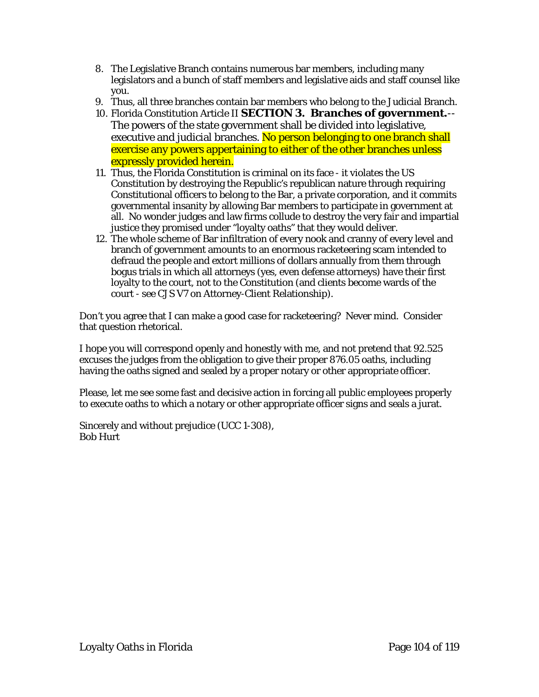- 8. The Legislative Branch contains numerous bar members, including many legislators and a bunch of staff members and legislative aids and staff counsel like you.
- 9. Thus, all three branches contain bar members who belong to the Judicial Branch.
- 10. Florida Constitution Article II **SECTION 3. Branches of government.**-- The powers of the state government shall be divided into legislative, executive and judicial branches. No person belonging to one branch shall exercise any powers appertaining to either of the other branches unless expressly provided herein.
- 11. Thus, the Florida Constitution is criminal on its face it violates the US Constitution by destroying the Republic's republican nature through requiring Constitutional officers to belong to the Bar, a private corporation, and it commits governmental insanity by allowing Bar members to participate in government at all. No wonder judges and law firms collude to destroy the very fair and impartial justice they promised under "loyalty oaths" that they would deliver.
- 12. The whole scheme of Bar infiltration of every nook and cranny of every level and branch of government amounts to an enormous racketeering scam intended to defraud the people and extort millions of dollars annually from them through bogus trials in which all attorneys (yes, even defense attorneys) have their first loyalty to the court, not to the Constitution (and clients become wards of the court - see CJS V7 on Attorney-Client Relationship).

Don't you agree that I can make a good case for racketeering? Never mind. Consider that question rhetorical.

I hope you will correspond openly and honestly with me, and not pretend that 92.525 excuses the judges from the obligation to give their proper 876.05 oaths, including having the oaths signed and sealed by a proper notary or other appropriate officer.

Please, let me see some fast and decisive action in forcing all public employees properly to execute oaths to which a notary or other appropriate officer signs and seals a jurat.

Sincerely and without prejudice (UCC 1-308), Bob Hurt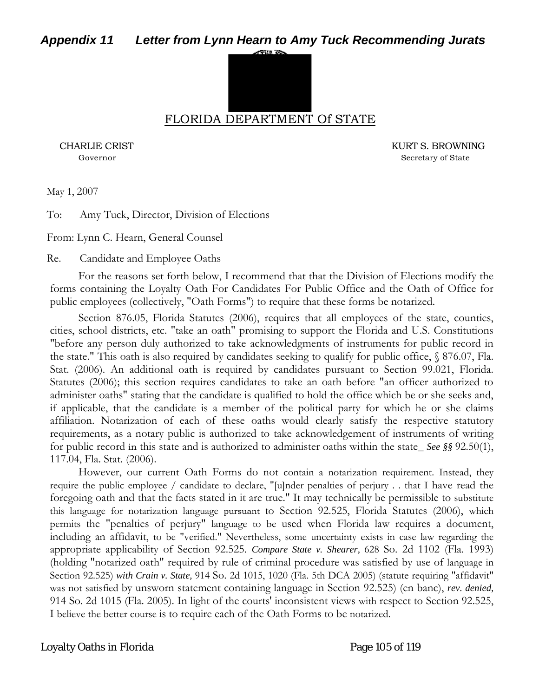# *Appendix 11 Letter from Lynn Hearn to Amy Tuck Recommending Jurats*



CHARLIE CRIST THE CRIST CHARLIE CRIST CHARLIE CRIST Governor Secretary of State Secretary of State Secretary of State Secretary of State Secretary of State Secretary of State Secretary of State Secretary of State Secretary of State Secretary of State Secretary of State Secr

May 1, 2007

To: Amy Tuck, Director, Division of Elections

From: Lynn C. Hearn, General Counsel

Re. Candidate and Employee Oaths

For the reasons set forth below, I recommend that that the Division of Elections modify the forms containing the Loyalty Oath For Candidates For Public Office and the Oath of Office for public employees (collectively, "Oath Forms") to require that these forms be notarized.

Section 876.05, Florida Statutes (2006), requires that all employees of the state, counties, cities, school districts, etc. "take an oath" promising to support the Florida and U.S. Constitutions "before any person duly authorized to take acknowledgments of instruments for public record in the state." This oath is also required by candidates seeking to qualify for public office, § 876.07, Fla. Stat. (2006). An additional oath is required by candidates pursuant to Section 99.021, Florida. Statutes (2006); this section requires candidates to take an oath before "an officer authorized to administer oaths" stating that the candidate is qualified to hold the office which be or she seeks and, if applicable, that the candidate is a member of the political party for which he or she claims affiliation. Notarization of each of these oaths would clearly satisfy the respective statutory requirements, as a notary public is authorized to take acknowledgement of instruments of writing for public record in this state and is authorized to administer oaths within the state\_ *See §§* 92.50(1), 117.04, Fla. Stat. (2006).

However, our current Oath Forms do not contain a notarization requirement. Instead, they require the public employee / candidate to declare, "[u]nder penalties of perjury . . that I have read the foregoing oath and that the facts stated in it are true." It may technically be permissible to substitute this language for notarization language pursuant to Section 92.525, Florida Statutes (2006), which permits the "penalties of perjury" language to be used when Florida law requires a document, including an affidavit, to be "verified." Nevertheless, some uncertainty exists in case law regarding the appropriate applicability of Section 92.525. *Compare State v. Shearer,* 628 So. 2d 1102 (Fla. 1993) (holding "notarized oath" required by rule of criminal procedure was satisfied by use of language in Section 92.525) *with Crain v. State,* 914 So. 2d 1015, 1020 (Fla. 5th DCA 2005) (statute requiring "affidavit" was not satisfied by unsworn statement containing language in Section 92.525) (en banc), *rev. denied,*  914 So. 2d 1015 (Fla. 2005). In light of the courts' inconsistent views with respect to Section 92.525, I believe the better course is to require each of the Oath Forms to be notarized.

Loyalty Oaths in Florida Page 105 of 119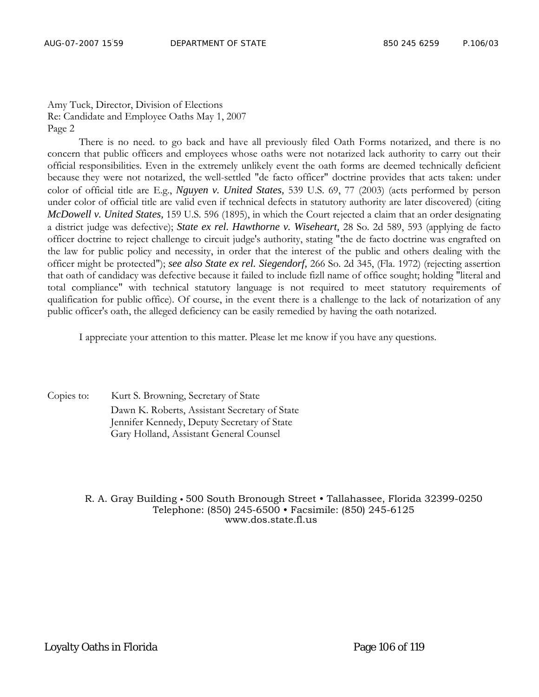Amy Tuck, Director, Division of Elections Re: Candidate and Employee Oaths May 1, 2007 Page 2

There is no need. to go back and have all previously filed Oath Forms notarized, and there is no concern that public officers and employees whose oaths were not notarized lack authority to carry out their official responsibilities. Even in the extremely unlikely event the oath forms are deemed technically deficient because they were not notarized, the well-settled "de facto officer" doctrine provides that acts taken: under color of official title are E.g., *Nguyen v. United States,* 539 U.S. 69, 77 (2003) (acts performed by person under color of official title are valid even if technical defects in statutory authority are later discovered) (citing *McDowell v. United States,* 159 U.S. 596 (1895), in which the Court rejected a claim that an order designating a district judge was defective); *State ex rel. Hawthorne v. Wiseheart,* 28 So. 2d 589, 593 (applying de facto officer doctrine to reject challenge to circuit judge's authority, stating "the de facto doctrine was engrafted on the law for public policy and necessity, in order that the interest of the public and others dealing with the officer might be protected"); *see also State ex rel. Siegendorf,* 266 So. 2d 345, (Fla. 1972) (rejecting assertion that oath of candidacy was defective because it failed to include fizll name of office sought; holding "literal and total compliance" with technical statutory language is not required to meet statutory requirements of qualification for public office). Of course, in the event there is a challenge to the lack of notarization of any public officer's oath, the alleged deficiency can be easily remedied by having the oath notarized.

I appreciate your attention to this matter. Please let me know if you have any questions.

Copies to: Kurt S. Browning, Secretary of State Dawn K. Roberts, Assistant Secretary of State Jennifer Kennedy, Deputy Secretary of State Gary Holland, Assistant General Counsel

> R. A. Gray Building **•** 500 South Bronough Street • Tallahassee, Florida 32399-0250 Telephone: (850) 245-6500 • Facsimile: (850) 245-6125 www.dos.state.fl.us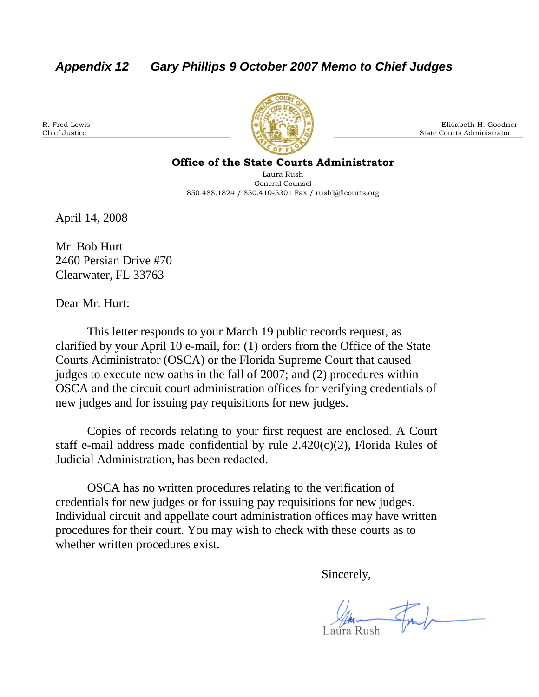*Appendix 12 Gary Phillips 9 October 2007 Memo to Chief Judges*

R. Fred Lewis Chief Justice



Elisabeth H. Goodner State Courts Administrator

#### **Office of the State Courts Administrator**

Laura Rush General Counsel 850.488.1824 / 850.410-5301 Fax / <u>rushl@flcourts.org</u>

April 14, 2008

Mr. Bob Hurt 2460 Persian Drive #70 Clearwater, FL 33763

Dear Mr. Hurt:

This letter responds to your March 19 public records request, as clarified by your April 10 e-mail, for: (1) orders from the Office of the State Courts Administrator (OSCA) or the Florida Supreme Court that caused judges to execute new oaths in the fall of 2007; and (2) procedures within OSCA and the circuit court administration offices for verifying credentials of new judges and for issuing pay requisitions for new judges.

Copies of records relating to your first request are enclosed. A Court staff e-mail address made confidential by rule 2.420(c)(2), Florida Rules of Judicial Administration, has been redacted.

OSCA has no written procedures relating to the verification of credentials for new judges or for issuing pay requisitions for new judges. Individual circuit and appellate court administration offices may have written procedures for their court. You may wish to check with these courts as to whether written procedures exist.

Sincerely,

Laura Rush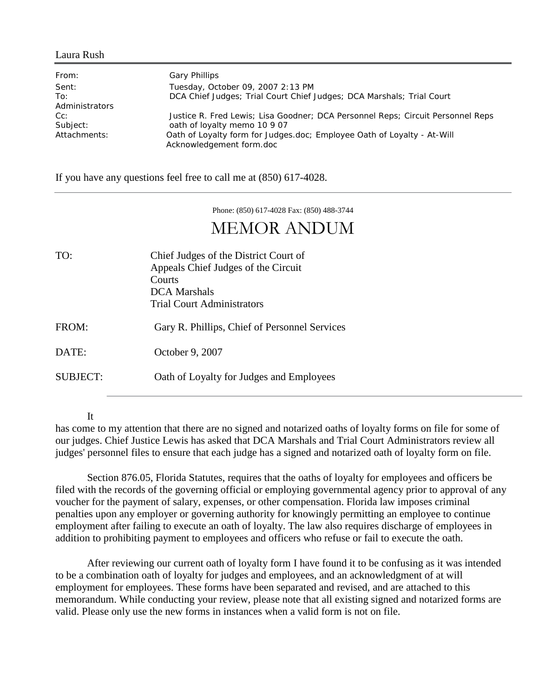#### Laura Rush

| From:          | Gary Phillips                                                                                       |
|----------------|-----------------------------------------------------------------------------------------------------|
| Sent:          | Tuesday, October 09, 2007 2:13 PM                                                                   |
| To:            | DCA Chief Judges; Trial Court Chief Judges; DCA Marshals; Trial Court                               |
| Administrators |                                                                                                     |
| $Cc$ :         | Justice R. Fred Lewis; Lisa Goodner; DCA Personnel Reps; Circuit Personnel Reps                     |
| Subject:       | oath of loyalty memo 10 9 07                                                                        |
| Attachments:   | Oath of Loyalty form for Judges.doc; Employee Oath of Loyalty - At-Will<br>Acknowledgement form.doc |

If you have any questions feel free to call me at (850) 617-4028.

Phone: (850) 617-4028 Fax: (850) 488-3744

# MEMOR ANDUM

TO: Chief Judges of the District Court of Appeals Chief Judges of the Circuit **Courts** DCA Marshals Trial Court Administrators

FROM: Gary R. Phillips, Chief of Personnel Services

DATE: October 9, 2007

SUBJECT: Oath of Loyalty for Judges and Employees

#### It

has come to my attention that there are no signed and notarized oaths of loyalty forms on file for some of our judges. Chief Justice Lewis has asked that DCA Marshals and Trial Court Administrators review all judges' personnel files to ensure that each judge has a signed and notarized oath of loyalty form on file.

Section 876.05, Florida Statutes, requires that the oaths of loyalty for employees and officers be filed with the records of the governing official or employing governmental agency prior to approval of any voucher for the payment of salary, expenses, or other compensation. Florida law imposes criminal penalties upon any employer or governing authority for knowingly permitting an employee to continue employment after failing to execute an oath of loyalty. The law also requires discharge of employees in addition to prohibiting payment to employees and officers who refuse or fail to execute the oath.

After reviewing our current oath of loyalty form I have found it to be confusing as it was intended to be a combination oath of loyalty for judges and employees, and an acknowledgment of at will employment for employees. These forms have been separated and revised, and are attached to this memorandum. While conducting your review, please note that all existing signed and notarized forms are valid. Please only use the new forms in instances when a valid form is not on file.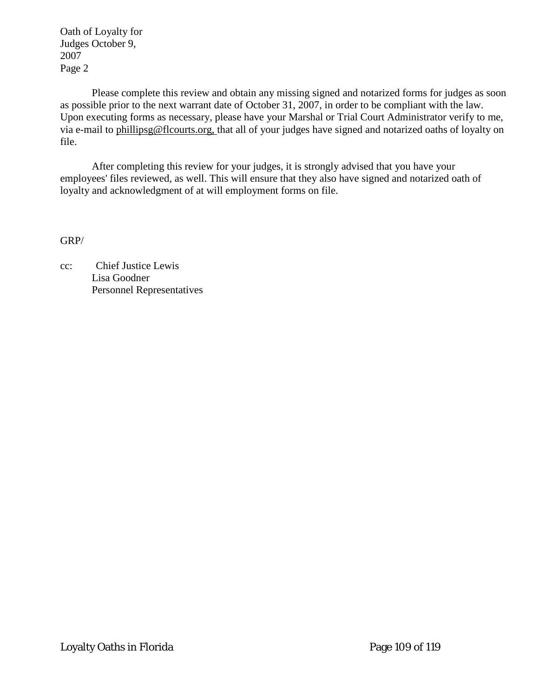Oath of Loyalty for Judges October 9, 2007 Page 2

Please complete this review and obtain any missing signed and notarized forms for judges as soon as possible prior to the next warrant date of October 31, 2007, in order to be compliant with the law. Upon executing forms as necessary, please have your Marshal or Trial Court Administrator verify to me, via e-mail to phillipsg@flcourts.org, that all of your judges have signed and notarized oaths of loyalty on file.

After completing this review for your judges, it is strongly advised that you have your employees' files reviewed, as well. This will ensure that they also have signed and notarized oath of loyalty and acknowledgment of at will employment forms on file.

GRP/

cc: Chief Justice Lewis Lisa Goodner Personnel Representatives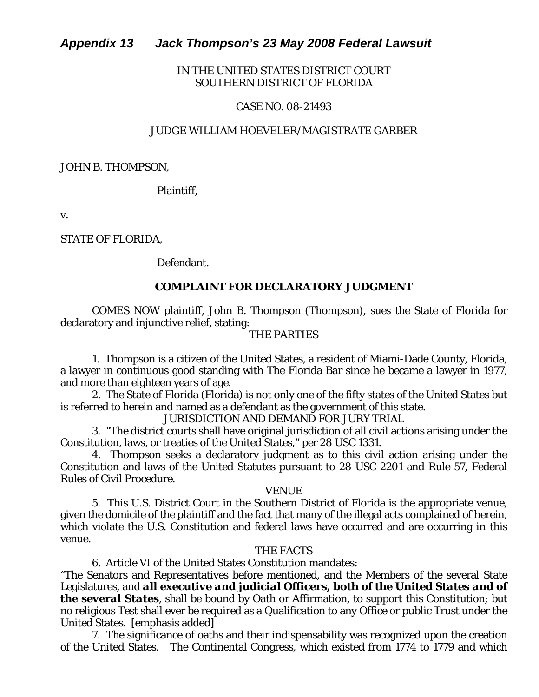### IN THE UNITED STATES DISTRICT COURT SOUTHERN DISTRICT OF FLORIDA

#### CASE NO. 08-21493

#### JUDGE WILLIAM HOEVELER/MAGISTRATE GARBER

JOHN B. THOMPSON,

Plaintiff,

v.

STATE OF FLORIDA,

Defendant.

#### **COMPLAINT FOR DECLARATORY JUDGMENT**

COMES NOW plaintiff, John B. Thompson (Thompson), sues the State of Florida for declaratory and injunctive relief, stating:

## THE PARTIES

1. Thompson is a citizen of the United States, a resident of Miami-Dade County, Florida, a lawyer in continuous good standing with The Florida Bar since he became a lawyer in 1977, and more than eighteen years of age.

2. The State of Florida (Florida) is not only one of the fifty states of the United States but is referred to herein and named as a defendant as the government of this state.

JURISDICTION AND DEMAND FOR JURY TRIAL

3. "The district courts shall have original jurisdiction of all civil actions arising under the Constitution, laws, or treaties of the United States," per 28 USC 1331.

4. Thompson seeks a declaratory judgment as to this civil action arising under the Constitution and laws of the United Statutes pursuant to 28 USC 2201 and Rule 57, Federal Rules of Civil Procedure.

#### **VENUE**

5. This U.S. District Court in the Southern District of Florida is the appropriate venue, given the domicile of the plaintiff and the fact that many of the illegal acts complained of herein, which violate the U.S. Constitution and federal laws have occurred and are occurring in this venue.

#### THE FACTS

6. Article VI of the United States Constitution mandates:

"The Senators and Representatives before mentioned, and the Members of the several State Legislatures, and *all executive and judicial Officers, both of the United States and of*  **the several States**, shall be bound by Oath or Affirmation, to support this Constitution; but no religious Test shall ever be required as a Qualification to any Office or public Trust under the United States. [emphasis added]

7. The significance of oaths and their indispensability was recognized upon the creation of the United States. The Continental Congress, which existed from 1774 to 1779 and which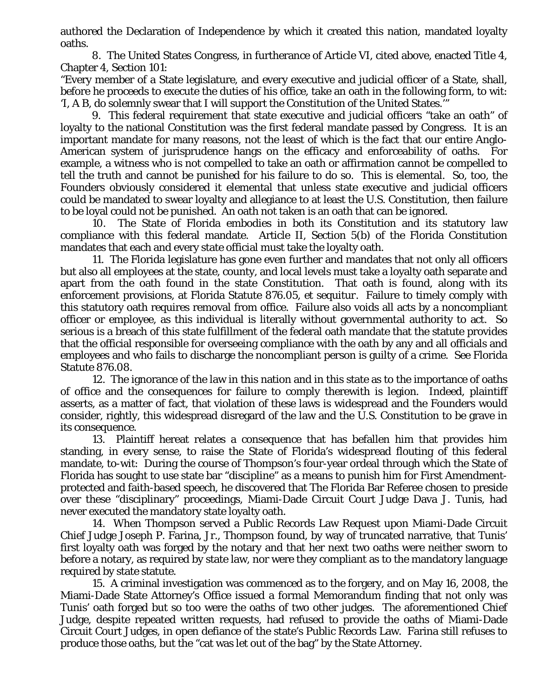authored the Declaration of Independence by which it created this nation, mandated loyalty oaths.

8. The United States Congress, in furtherance of Article VI, cited above, enacted Title 4, Chapter 4, Section 101:

"Every member of a State legislature, and every executive and judicial officer of a State, shall, before he proceeds to execute the duties of his office, take an oath in the following form, to wit: 'I, A B, do solemnly swear that I will support the Constitution of the United States.'"

9. This federal requirement that state executive and judicial officers "take an oath" of loyalty to the national Constitution was the first federal mandate passed by Congress. It is an important mandate for many reasons, not the least of which is the fact that our entire Anglo-American system of jurisprudence hangs on the efficacy and enforceability of oaths. For example, a witness who is not compelled to take an oath or affirmation cannot be compelled to tell the truth and cannot be punished for his failure to do so. This is elemental. So, too, the Founders obviously considered it elemental that unless state executive and judicial officers could be mandated to swear loyalty and allegiance to at least the U.S. Constitution, then failure to be loyal could not be punished. An oath not taken is an oath that can be ignored.

10. The State of Florida embodies in both its Constitution and its statutory law compliance with this federal mandate. Article II, Section 5(b) of the Florida Constitution mandates that each and every state official must take the loyalty oath.

11. The Florida legislature has gone even further and mandates that not only all officers but also all employees at the state, county, and local levels must take a loyalty oath separate and apart from the oath found in the state Constitution. That oath is found, along with its enforcement provisions, at Florida Statute 876.05, *et sequitur*. Failure to timely comply with this statutory oath requires removal from office. Failure also voids all acts by a noncompliant officer or employee, as this individual is literally without governmental authority to act. So serious is a breach of this state fulfillment of the federal oath mandate that the statute provides that the official responsible for overseeing compliance with the oath by any and all officials and employees and who fails to discharge the noncompliant person is guilty of a crime. See Florida Statute 876.08.

12. The ignorance of the law in this nation and in this state as to the importance of oaths of office and the consequences for failure to comply therewith is legion. Indeed, plaintiff asserts, as a matter of fact, that violation of these laws is widespread and the Founders would consider, rightly, this widespread disregard of the law and the U.S. Constitution to be grave in its consequence.

13. Plaintiff hereat relates a consequence that has befallen him that provides him standing, in every sense, to raise the State of Florida's widespread flouting of this federal mandate, to-wit: During the course of Thompson's four-year ordeal through which the State of Florida has sought to use state bar "discipline" as a means to punish him for First Amendmentprotected and faith-based speech, he discovered that The Florida Bar Referee chosen to preside over these "disciplinary" proceedings, Miami-Dade Circuit Court Judge Dava J. Tunis, had never executed the mandatory state loyalty oath.

14. When Thompson served a Public Records Law Request upon Miami-Dade Circuit Chief Judge Joseph P. Farina, Jr., Thompson found, by way of truncated narrative, that Tunis' first loyalty oath was forged by the notary and that her next two oaths were neither sworn to before a notary, as required by state law, nor were they compliant as to the mandatory language required by state statute.

15. A criminal investigation was commenced as to the forgery, and on May 16, 2008, the Miami-Dade State Attorney's Office issued a formal Memorandum finding that not only was Tunis' oath forged but so too were the oaths of two other judges. The aforementioned Chief Judge, despite repeated written requests, had refused to provide the oaths of Miami-Dade Circuit Court Judges, in open defiance of the state's Public Records Law. Farina still refuses to produce those oaths, but the "cat was let out of the bag" by the State Attorney.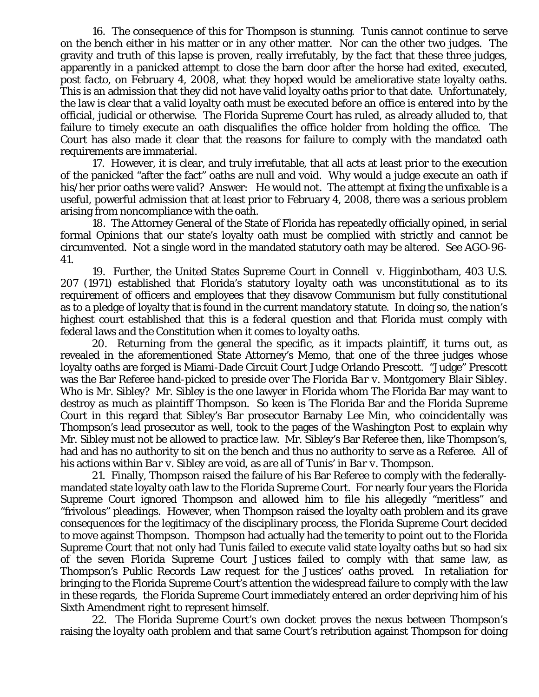16. The consequence of this for Thompson is stunning. Tunis cannot continue to serve on the bench either in his matter or in any other matter. Nor can the other two judges. The gravity and truth of this lapse is proven, really irrefutably, by the fact that these three judges, apparently in a panicked attempt to close the barn door after the horse had exited, executed, *post facto,* on February 4, 2008, what they hoped would be ameliorative state loyalty oaths. This is an admission that they did not have valid loyalty oaths prior to that date. Unfortunately, the law is clear that a valid loyalty oath must be executed *before* an office is entered into by the official, judicial or otherwise. The Florida Supreme Court has ruled, as already alluded to, that failure to timely execute an oath disqualifies the office holder from holding the office. The Court has also made it clear that the reasons for failure to comply with the mandated oath requirements are immaterial.

17. However, it is clear, and truly irrefutable, that all acts at least prior to the execution of the panicked "after the fact" oaths are null and void. Why would a judge execute an oath if his/her prior oaths were valid? Answer: He would not. The attempt at fixing the unfixable is a useful, powerful admission that at least prior to February 4, 2008, there was a serious problem arising from noncompliance with the oath.

18. The Attorney General of the State of Florida has repeatedly officially opined, in serial formal Opinions that our state's loyalty oath must be complied with strictly and cannot be circumvented. Not a single word in the mandated statutory oath may be altered. See AGO-96- 41.

19. Further, the United States Supreme Court in *Connell v. Higginbotham*, 403 U.S. 207 (1971) established that Florida's statutory loyalty oath was unconstitutional as to its requirement of officers and employees that they disavow Communism but fully constitutional as to a pledge of loyalty that is found in the current mandatory statute. In doing so, the nation's highest court established that this is a *federal question* and that Florida must comply with federal laws and the Constitution when it comes to loyalty oaths.

20. Returning from the general the specific, as it impacts plaintiff, it turns out, as revealed in the aforementioned State Attorney's Memo, that one of the three judges whose loyalty oaths are forged is Miami-Dade Circuit Court Judge Orlando Prescott. "Judge" Prescott was the Bar Referee hand-picked to preside over *The Florida Bar v. Montgomery Blair Sibley*. Who is Mr. Sibley? Mr. Sibley is the one lawyer in Florida whom The Florida Bar may want to destroy as much as plaintiff Thompson. So keen is The Florida Bar and the Florida Supreme Court in this regard that Sibley's Bar prosecutor Barnaby Lee Min, who coincidentally was Thompson's lead prosecutor as well, took to the pages of the *Washington Post* to explain why Mr. Sibley must not be allowed to practice law. Mr. Sibley's Bar Referee then, like Thompson's, had and has no authority to sit on the bench and thus no authority to serve as a Referee. All of his actions within *Bar v. Sibley* are void, as are all of Tunis' in *Bar v. Thompson*.

21. Finally, Thompson raised the failure of his Bar Referee to comply with the federallymandated state loyalty oath law to the Florida Supreme Court. For nearly four years the Florida Supreme Court ignored Thompson and allowed him to file his allegedly "meritless" and "frivolous" pleadings. However, when Thompson raised the loyalty oath problem and its grave consequences for the legitimacy of the disciplinary process, the Florida Supreme Court decided to move against Thompson. Thompson had actually had the temerity to point out to the Florida Supreme Court that not only had Tunis failed to execute valid state loyalty oaths but so had six of the seven Florida Supreme Court Justices failed to comply with that same law, as Thompson's Public Records Law request for the Justices' oaths proved. In retaliation for bringing to the Florida Supreme Court's attention the widespread failure to comply with the law in these regards, the Florida Supreme Court immediately entered an order depriving him of his Sixth Amendment right to represent himself.

22. The Florida Supreme Court's own docket proves the nexus between Thompson's raising the loyalty oath problem and that same Court's retribution against Thompson for doing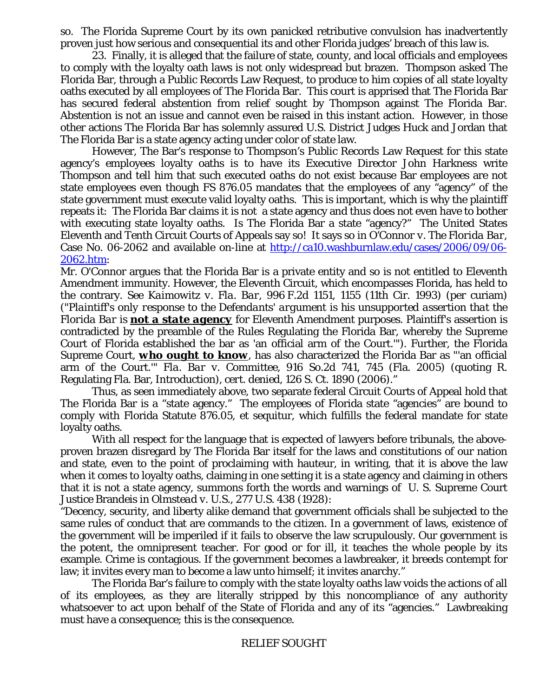so. The Florida Supreme Court by its own panicked retributive convulsion has inadvertently proven just how serious and consequential its and other Florida judges' breach of this law is.

23. Finally, it is alleged that the failure of state, county, and local officials and employees to comply with the loyalty oath laws is not only widespread but brazen. Thompson asked The Florida Bar, through a Public Records Law Request, to produce to him copies of all state loyalty oaths executed by all employees of The Florida Bar. This court is apprised that The Florida Bar has secured federal abstention from relief sought by Thompson against The Florida Bar. Abstention is not an issue and cannot even be raised in this instant action. However, in those other actions The Florida Bar has solemnly assured U.S. District Judges Huck and Jordan that The Florida Bar is a state agency acting under color of state law.

However, The Bar's response to Thompson's Public Records Law Request for this state agency's employees loyalty oaths is to have its Executive Director John Harkness write Thompson and tell him that such executed oaths do not exist because Bar employees are not state employees even though FS 876.05 mandates that the employees of any "agency" of the state government must execute valid loyalty oaths. This is important, which is why the plaintiff repeats it: The Florida Bar claims it is *not* a state agency and thus does not even have to bother with executing state loyalty oaths. Is The Florida Bar a state "agency?" The United States Eleventh and Tenth Circuit Courts of Appeals say so! It says so in *O'Connor v. The Florida Bar*, Case No. 06-2062 and available on-line at [http://ca10.washburnlaw.edu/cases/2006/09/06-](http://ca10.washburnlaw.edu/cases/2006/09/06-2062.htm) [2062.htm:](http://ca10.washburnlaw.edu/cases/2006/09/06-2062.htm)

Mr. O'Connor argues that the Florida Bar is a private entity and so is not entitled to Eleventh Amendment immunity. However, the Eleventh Circuit, which encompasses Florida, has held to the contrary. *See Kaimowitz v. Fla. Bar*, 996 F.2d 1151, 1155 (11th Cir. 1993) (per curiam) ("*Plaintiff's only response to the Defendants' argument is his unsupported assertion that the Florida Bar is not a state agency* for Eleventh Amendment purposes. Plaintiff's assertion is contradicted by the preamble of the Rules Regulating the Florida Bar, whereby the Supreme Court of Florida established the bar as 'an official arm of the Court.'"). Further, the Florida Supreme Court, *who ought to know* , has also characterized the Florida Bar as "'an official arm of the Court.'" *Fla. Bar v. Committee*, 916 So.2d 741, 745 (Fla. 2005) (quoting R. Regulating Fla. Bar, Introduction), *cert. denied*, 126 S. Ct. 1890 (2006)."

Thus, as seen immediately above, two separate federal Circuit Courts of Appeal hold that The Florida Bar is a "state agency." The employees of Florida state "agencies" are bound to comply with Florida Statute 876.05, et sequitur, which fulfills the federal mandate for state loyalty oaths.

With all respect for the language that is expected of lawyers before tribunals, the aboveproven brazen disregard by The Florida Bar *itself* for the laws and constitutions of our nation and state, even to the point of proclaiming with hauteur, in writing, that it is above the law when it comes to loyalty oaths, claiming in one setting it is a state agency and claiming in others that it is not a state agency, summons forth the words and warnings of U. S. Supreme Court Justice Brandeis in *Olmstead v. U.S.,* 277 U.S. 438 (1928):

"Decency, security, and liberty alike demand that government officials shall be subjected to the same rules of conduct that are commands to the citizen. In a government of laws, existence of the government will be imperiled if it fails to observe the law scrupulously. Our government is the potent, the omnipresent teacher. For good or for ill, it teaches the whole people by its example. Crime is contagious. If the government becomes a lawbreaker, it breeds contempt for law; it invites every man to become a law unto himself; it invites anarchy."

The Florida Bar's failure to comply with the state loyalty oaths law voids the actions of all of its employees, as they are literally stripped by this noncompliance of any authority whatsoever to act upon behalf of the State of Florida and any of its "agencies." Lawbreaking must have a consequence; this is the consequence.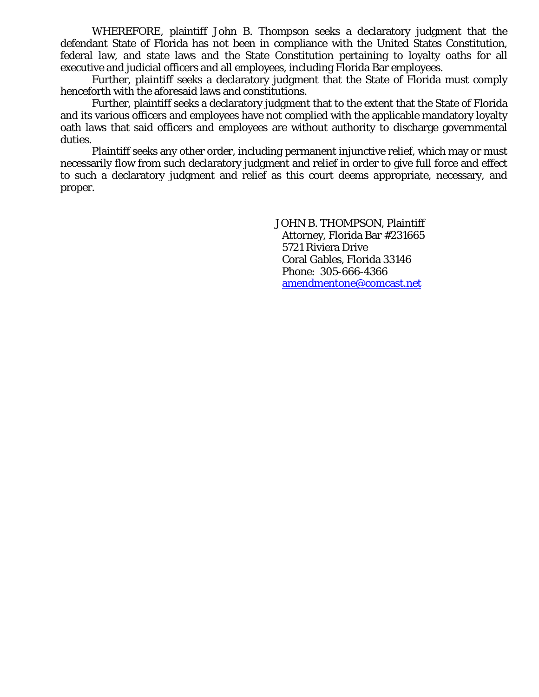WHEREFORE, plaintiff John B. Thompson seeks a declaratory judgment that the defendant State of Florida has not been in compliance with the United States Constitution, federal law, and state laws and the State Constitution pertaining to loyalty oaths for all executive and judicial officers and all employees, including Florida Bar employees.

Further, plaintiff seeks a declaratory judgment that the State of Florida must comply henceforth with the aforesaid laws and constitutions.

Further, plaintiff seeks a declaratory judgment that to the extent that the State of Florida and its various officers and employees have not complied with the applicable mandatory loyalty oath laws that said officers and employees are without authority to discharge governmental duties.

Plaintiff seeks any other order, including permanent injunctive relief, which may or must necessarily flow from such declaratory judgment and relief in order to give full force and effect to such a declaratory judgment and relief as this court deems appropriate, necessary, and proper.

> JOHN B. THOMPSON, Plaintiff Attorney, Florida Bar #231665 5721 Riviera Drive Coral Gables, Florida 33146 Phone: 305-666-4366 [amendmentone@comcast.net](mailto:amendmentone@comcast.net)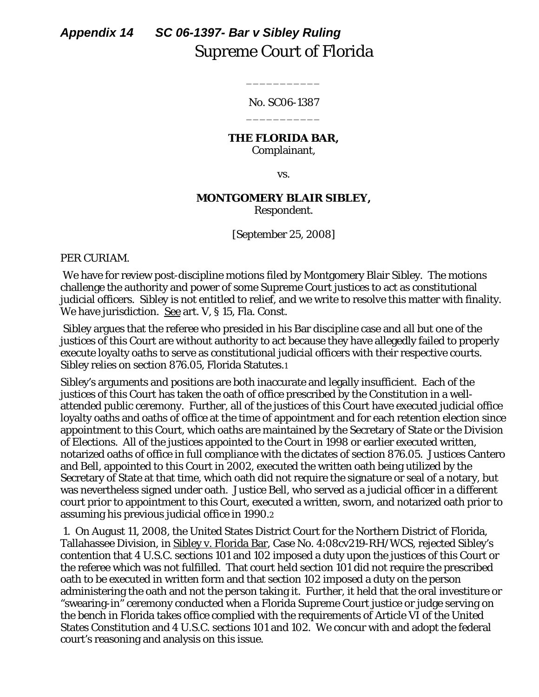# *Appendix 14 SC 06-1397- Bar v Sibley Ruling* Supreme Court of Florida

No. SC06-1387 \_\_\_\_\_\_\_\_\_\_\_

\_\_\_\_\_\_\_\_\_\_\_

# **THE FLORIDA BAR,**

Complainant,

vs.

#### **MONTGOMERY BLAIR SIBLEY,** Respondent.

[September 25, 2008]

PER CURIAM.

We have for review post-discipline motions filed by Montgomery Blair Sibley. The motions challenge the authority and power of some Supreme Court justices to act as constitutional judicial officers. Sibley is not entitled to relief, and we write to resolve this matter with finality. We have jurisdiction. See art. V, § 15, Fla. Const.

Sibley argues that the referee who presided in his Bar discipline case and all but one of the justices of this Court are without authority to act because they have allegedly failed to properly execute loyalty oaths to serve as constitutional judicial officers with their respective courts. Sibley relies on section 876.05, Florida Statutes.1

Sibley's arguments and positions are both inaccurate and legally insufficient. Each of the justices of this Court has taken the oath of office prescribed by the Constitution in a wellattended public ceremony. Further, all of the justices of this Court have executed judicial office loyalty oaths and oaths of office at the time of appointment and for each retention election since appointment to this Court, which oaths are maintained by the Secretary of State or the Division of Elections. All of the justices appointed to the Court in 1998 or earlier executed written, notarized oaths of office in full compliance with the dictates of section 876.05. Justices Cantero and Bell, appointed to this Court in 2002, executed the written oath being utilized by the Secretary of State at that time, which oath did not require the signature or seal of a notary, but was nevertheless signed under oath. Justice Bell, who served as a judicial officer in a different court prior to appointment to this Court, executed a written, sworn, and notarized oath prior to assuming his previous judicial office in 1990.2

1. On August 11, 2008, the United States District Court for the Northern District of Florida, Tallahassee Division, in Sibley v. Florida Bar, Case No. 4:08cv219-RH/WCS, rejected Sibley's contention that 4 U.S.C. sections 101 and 102 imposed a duty upon the justices of this Court or the referee which was not fulfilled. That court held section 101 did not require the prescribed oath to be executed in written form and that section 102 imposed a duty on the person administering the oath and not the person taking it. Further, it held that the oral investiture or "swearing-in" ceremony conducted when a Florida Supreme Court justice or judge serving on the bench in Florida takes office complied with the requirements of Article VI of the United States Constitution and 4 U.S.C. sections 101 and 102. We concur with and adopt the federal court's reasoning and analysis on this issue.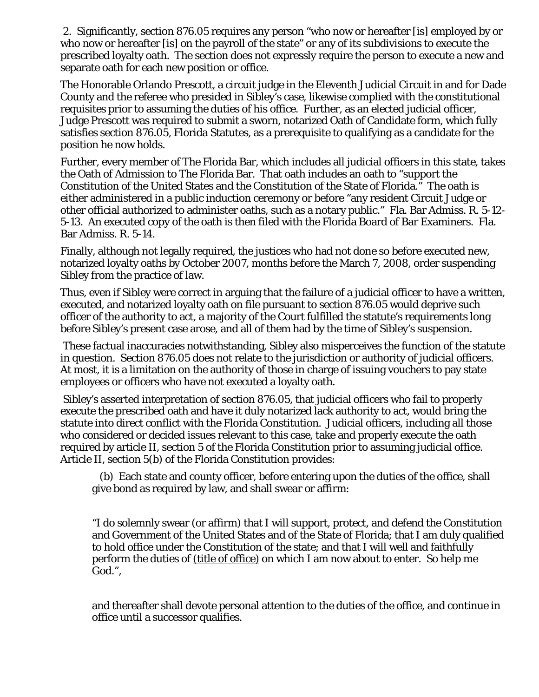2. Significantly, section 876.05 requires any person "who now or hereafter [is] employed by or who now or hereafter [is] on the payroll of the state" or any of its subdivisions to execute the prescribed loyalty oath. The section does not expressly require the person to execute a new and separate oath for each new position or office.

The Honorable Orlando Prescott, a circuit judge in the Eleventh Judicial Circuit in and for Dade County and the referee who presided in Sibley's case, likewise complied with the constitutional requisites prior to assuming the duties of his office. Further, as an elected judicial officer, Judge Prescott was required to submit a sworn, notarized Oath of Candidate form, which fully satisfies section 876.05, Florida Statutes, as a prerequisite to qualifying as a candidate for the position he now holds.

Further, every member of The Florida Bar, which includes all judicial officers in this state, takes the Oath of Admission to The Florida Bar. That oath includes an oath to "support the Constitution of the United States and the Constitution of the State of Florida." The oath is either administered in a public induction ceremony or before "any resident Circuit Judge or other official authorized to administer oaths, such as a notary public." Fla. Bar Admiss. R. 5-12- 5-13. An executed copy of the oath is then filed with the Florida Board of Bar Examiners. Fla. Bar Admiss. R. 5-14.

Finally, although not legally required, the justices who had not done so before executed new, notarized loyalty oaths by October 2007, months before the March 7, 2008, order suspending Sibley from the practice of law.

Thus, even if Sibley were correct in arguing that the failure of a judicial officer to have a written, executed, and notarized loyalty oath on file pursuant to section 876.05 would deprive such officer of the authority to act, a majority of the Court fulfilled the statute's requirements long before Sibley's present case arose, and all of them had by the time of Sibley's suspension.

These factual inaccuracies notwithstanding, Sibley also misperceives the function of the statute in question. Section 876.05 does not relate to the jurisdiction or authority of judicial officers. At most, it is a limitation on the authority of those in charge of issuing vouchers to pay state employees or officers who have not executed a loyalty oath.

Sibley's asserted interpretation of section 876.05, that judicial officers who fail to properly execute the prescribed oath and have it duly notarized lack authority to act, would bring the statute into direct conflict with the Florida Constitution. Judicial officers, including all those who considered or decided issues relevant to this case, take and properly execute the oath required by article II, section 5 of the Florida Constitution prior to assuming judicial office. Article II, section 5(b) of the Florida Constitution provides:

 (b) Each state and county officer, before entering upon the duties of the office, shall give bond as required by law, and shall swear or affirm:

"I do solemnly swear (or affirm) that I will support, protect, and defend the Constitution and Government of the United States and of the State of Florida; that I am duly qualified to hold office under the Constitution of the state; and that I will well and faithfully perform the duties of (title of office) on which I am now about to enter. So help me God.",

and thereafter shall devote personal attention to the duties of the office, and continue in office until a successor qualifies.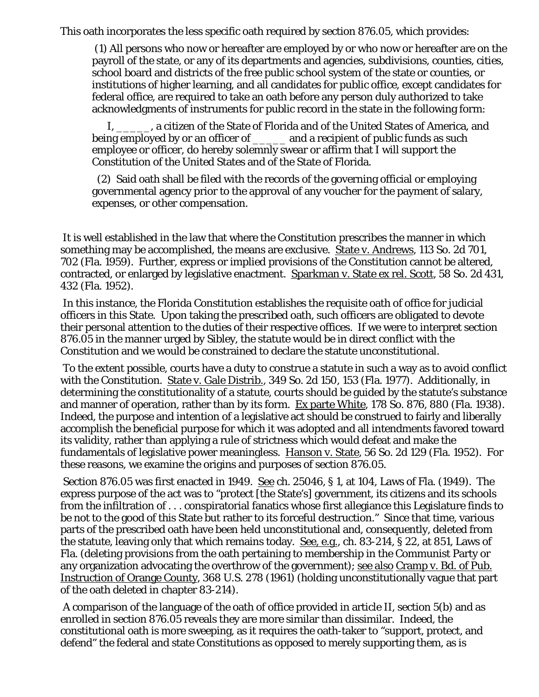This oath incorporates the less specific oath required by section 876.05, which provides:

(1) All persons who now or hereafter are employed by or who now or hereafter are on the payroll of the state, or any of its departments and agencies, subdivisions, counties, cities, school board and districts of the free public school system of the state or counties, or institutions of higher learning, and all candidates for public office, except candidates for federal office, are required to take an oath before any person duly authorized to take acknowledgments of instruments for public record in the state in the following form:

I, a citizen of the State of Florida and of the United States of America, and being employed by or an officer of \_\_\_\_\_\_ and a recipient of public funds as such employee or officer, do hereby solemnly swear or affirm that I will support the Constitution of the United States and of the State of Florida.

 (2) Said oath shall be filed with the records of the governing official or employing governmental agency prior to the approval of any voucher for the payment of salary, expenses, or other compensation.

It is well established in the law that where the Constitution prescribes the manner in which something may be accomplished, the means are exclusive. State v. Andrews, 113 So. 2d 701, 702 (Fla. 1959). Further, express or implied provisions of the Constitution cannot be altered, contracted, or enlarged by legislative enactment. Sparkman v. State ex rel. Scott, 58 So. 2d 431, 432 (Fla. 1952).

In this instance, the Florida Constitution establishes the requisite oath of office for judicial officers in this State. Upon taking the prescribed oath, such officers are obligated to devote their personal attention to the duties of their respective offices. If we were to interpret section 876.05 in the manner urged by Sibley, the statute would be in direct conflict with the Constitution and we would be constrained to declare the statute unconstitutional.

To the extent possible, courts have a duty to construe a statute in such a way as to avoid conflict with the Constitution. State v. Gale Distrib., 349 So. 2d 150, 153 (Fla. 1977). Additionally, in determining the constitutionality of a statute, courts should be guided by the statute's substance and manner of operation, rather than by its form. Ex parte White, 178 So. 876, 880 (Fla. 1938). Indeed, the purpose and intention of a legislative act should be construed to fairly and liberally accomplish the beneficial purpose for which it was adopted and all intendments favored toward its validity, rather than applying a rule of strictness which would defeat and make the fundamentals of legislative power meaningless. Hanson v. State, 56 So. 2d 129 (Fla. 1952). For these reasons, we examine the origins and purposes of section 876.05.

Section 876.05 was first enacted in 1949. <u>See</u> ch. 25046, § 1, at 104, Laws of Fla. (1949). The express purpose of the act was to "protect [the State's] government, its citizens and its schools from the infiltration of . . . conspiratorial fanatics whose first allegiance this Legislature finds to be not to the good of this State but rather to its forceful destruction." Since that time, various parts of the prescribed oath have been held unconstitutional and, consequently, deleted from the statute, leaving only that which remains today. See, e.g., ch. 83-214, § 22, at 851, Laws of Fla. (deleting provisions from the oath pertaining to membership in the Communist Party or any organization advocating the overthrow of the government); see also Cramp v. Bd. of Pub. Instruction of Orange County , 368 U.S. 278 (1961) (holding unconstitutionally vague that part of the oath deleted in chapter 83-214).

A comparison of the language of the oath of office provided in article II, section 5(b) and as enrolled in section 876.05 reveals they are more similar than dissimilar. Indeed, the constitutional oath is more sweeping, as it requires the oath-taker to "support, protect, and defend" the federal and state Constitutions as opposed to merely supporting them, as is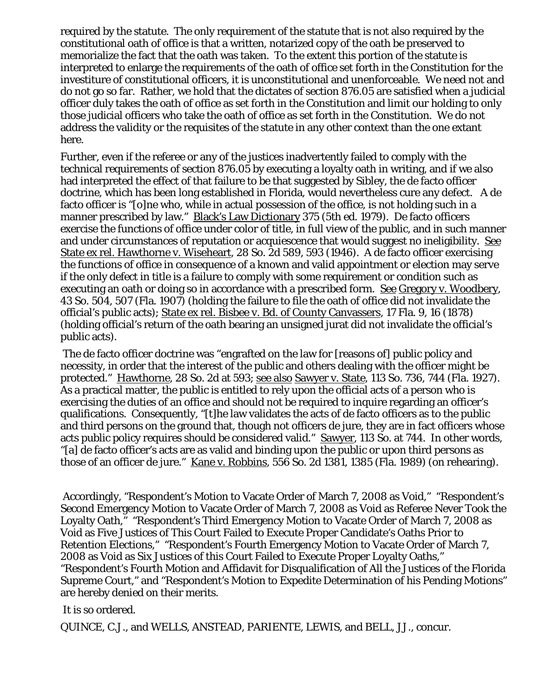required by the statute. The only requirement of the statute that is not also required by the constitutional oath of office is that a written, notarized copy of the oath be preserved to memorialize the fact that the oath was taken. To the extent this portion of the statute is interpreted to enlarge the requirements of the oath of office set forth in the Constitution for the investiture of constitutional officers, it is unconstitutional and unenforceable. We need not and do not go so far. Rather, we hold that the dictates of section 876.05 are satisfied when a judicial officer duly takes the oath of office as set forth in the Constitution and limit our holding to only those judicial officers who take the oath of office as set forth in the Constitution. We do not address the validity or the requisites of the statute in any other context than the one extant here.

Further, even if the referee or any of the justices inadvertently failed to comply with the technical requirements of section 876.05 by executing a loyalty oath in writing, and if we also had interpreted the effect of that failure to be that suggested by Sibley, the de facto officer doctrine, which has been long established in Florida, would nevertheless cure any defect. A de facto officer is "[o]ne who, while in actual possession of the office, is not holding such in a manner prescribed by law." Black's Law Dictionary 375 (5th ed. 1979). De facto officers exercise the functions of office under color of title, in full view of the public, and in such manner and under circumstances of reputation or acquiescence that would suggest no ineligibility. See State ex rel. Hawthorne v. Wiseheart, 28 So. 2d 589, 593 (1946). A de facto officer exercising the functions of office in consequence of a known and valid appointment or election may serve if the only defect in title is a failure to comply with some requirement or condition such as executing an oath or doing so in accordance with a prescribed form. See Gregory v. Woodbery, 43 So. 504, 507 (Fla. 1907) (holding the failure to file the oath of office did not invalidate the official's public acts); State ex rel. Bisbee v. Bd. of County Canvassers, 17 Fla. 9, 16 (1878) (holding official's return of the oath bearing an unsigned jurat did not invalidate the official's public acts).

The de facto officer doctrine was "engrafted on the law for [reasons of] public policy and necessity, in order that the interest of the public and others dealing with the officer might be protected." <u>Hawthorne</u>, 28 So. 2d at 593; <u>see also Sawyer v. State</u>, 113 So. 736, 744 (Fla. 1927). As a practical matter, the public is entitled to rely upon the official acts of a person who is exercising the duties of an office and should not be required to inquire regarding an officer's qualifications. Consequently, "[t]he law validates the acts of de facto officers as to the public and third persons on the ground that, though not officers de jure, they are in fact officers whose acts public policy requires should be considered valid." Sawyer, 113 So. at 744. In other words, "[a] de facto officer's acts are as valid and binding upon the public or upon third persons as those of an officer de jure." Kane v. Robbins, 556 So. 2d 1381, 1385 (Fla. 1989) (on rehearing).

Accordingly, "Respondent's Motion to Vacate Order of March 7, 2008 as Void," "Respondent's Second Emergency Motion to Vacate Order of March 7, 2008 as Void as Referee Never Took the Loyalty Oath," "Respondent's Third Emergency Motion to Vacate Order of March 7, 2008 as Void as Five Justices of This Court Failed to Execute Proper Candidate's Oaths Prior to Retention Elections," "Respondent's Fourth Emergency Motion to Vacate Order of March 7, 2008 as Void as Six Justices of this Court Failed to Execute Proper Loyalty Oaths," "Respondent's Fourth Motion and Affidavit for Disqualification of All the Justices of the Florida Supreme Court," and "Respondent's Motion to Expedite Determination of his Pending Motions" are hereby denied on their merits.

It is so ordered.

QUINCE, C.J., and WELLS, ANSTEAD, PARIENTE, LEWIS, and BELL, JJ., concur.